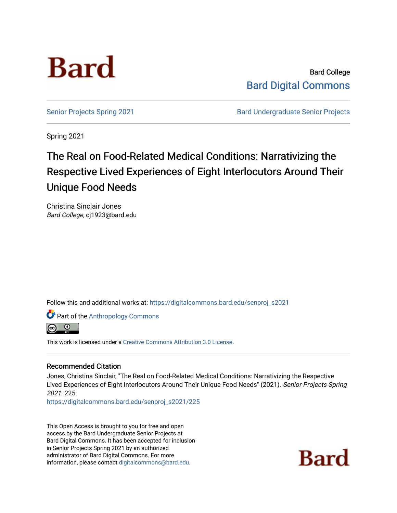

Bard College [Bard Digital Commons](https://digitalcommons.bard.edu/) 

[Senior Projects Spring 2021](https://digitalcommons.bard.edu/senproj_s2021) **Bard Undergraduate Senior Projects** 

Spring 2021

# The Real on Food-Related Medical Conditions: Narrativizing the Respective Lived Experiences of Eight Interlocutors Around Their Unique Food Needs

Christina Sinclair Jones Bard College, cj1923@bard.edu

Follow this and additional works at: [https://digitalcommons.bard.edu/senproj\\_s2021](https://digitalcommons.bard.edu/senproj_s2021?utm_source=digitalcommons.bard.edu%2Fsenproj_s2021%2F225&utm_medium=PDF&utm_campaign=PDFCoverPages)

**Part of the [Anthropology Commons](http://network.bepress.com/hgg/discipline/318?utm_source=digitalcommons.bard.edu%2Fsenproj_s2021%2F225&utm_medium=PDF&utm_campaign=PDFCoverPages)** 



This work is licensed under a [Creative Commons Attribution 3.0 License](https://creativecommons.org/licenses/by/3.0/).

#### Recommended Citation

Jones, Christina Sinclair, "The Real on Food-Related Medical Conditions: Narrativizing the Respective Lived Experiences of Eight Interlocutors Around Their Unique Food Needs" (2021). Senior Projects Spring 2021. 225.

[https://digitalcommons.bard.edu/senproj\\_s2021/225](https://digitalcommons.bard.edu/senproj_s2021/225?utm_source=digitalcommons.bard.edu%2Fsenproj_s2021%2F225&utm_medium=PDF&utm_campaign=PDFCoverPages)

This Open Access is brought to you for free and open access by the Bard Undergraduate Senior Projects at Bard Digital Commons. It has been accepted for inclusion in Senior Projects Spring 2021 by an authorized administrator of Bard Digital Commons. For more information, please contact [digitalcommons@bard.edu.](mailto:digitalcommons@bard.edu)

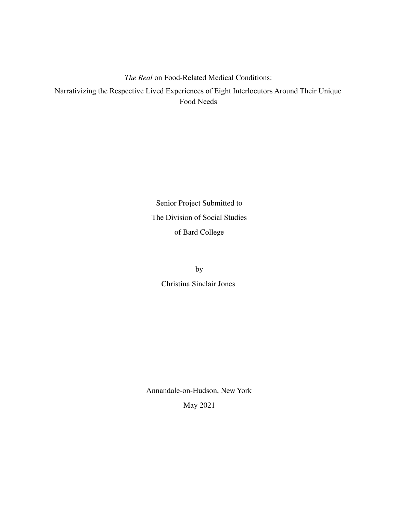## *The Real* on Food-Related Medical Conditions: Narrativizing the Respective Lived Experiences of Eight Interlocutors Around Their Unique Food Needs

Senior Project Submitted to The Division of Social Studies of Bard College

> by Christina Sinclair Jones

Annandale-on-Hudson, New York May 2021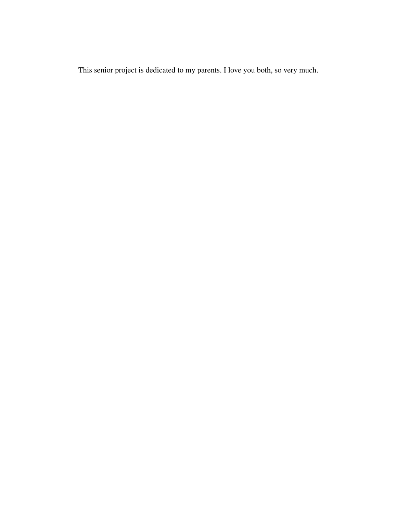This senior project is dedicated to my parents. I love you both, so very much.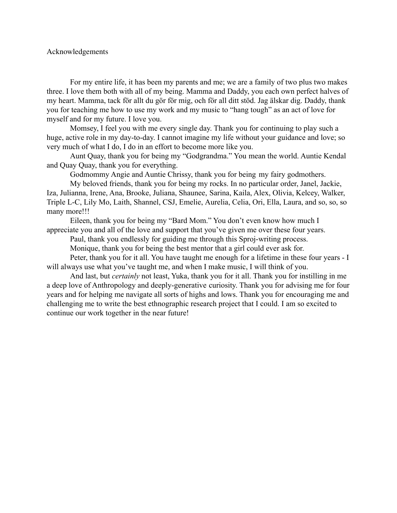#### Acknowledgements

For my entire life, it has been my parents and me; we are a family of two plus two makes three. I love them both with all of my being. Mamma and Daddy, you each own perfect halves of my heart. Mamma, tack för allt du gör för mig, och för all ditt stöd. Jag älskar dig. Daddy, thank you for teaching me how to use my work and my music to "hang tough" as an act of love for myself and for my future. I love you.

Momsey, I feel you with me every single day. Thank you for continuing to play such a huge, active role in my day-to-day. I cannot imagine my life without your guidance and love; so very much of what I do, I do in an effort to become more like you.

Aunt Quay, thank you for being my "Godgrandma." You mean the world. Auntie Kendal and Quay Quay, thank you for everything.

Godmommy Angie and Auntie Chrissy, thank you for being my fairy godmothers.

My beloved friends, thank you for being my rocks. In no particular order, Janel, Jackie, Iza, Julianna, Irene, Ana, Brooke, Juliana, Shaunee, Sarina, Kaila, Alex, Olivia, Kelcey, Walker, Triple L-C, Lily Mo, Laith, Shannel, CSJ, Emelie, Aurelia, Celia, Ori, Ella, Laura, and so, so, so many more!!!

Eileen, thank you for being my "Bard Mom." You don't even know how much I appreciate you and all of the love and support that you've given me over these four years.

Paul, thank you endlessly for guiding me through this Sproj-writing process.

Monique, thank you for being the best mentor that a girl could ever ask for.

Peter, thank you for it all. You have taught me enough for a lifetime in these four years - I will always use what you've taught me, and when I make music, I will think of you.

And last, but *certainly* not least, Yuka, thank you for it all. Thank you for instilling in me a deep love of Anthropology and deeply-generative curiosity. Thank you for advising me for four years and for helping me navigate all sorts of highs and lows. Thank you for encouraging me and challenging me to write the best ethnographic research project that I could. I am so excited to continue our work together in the near future!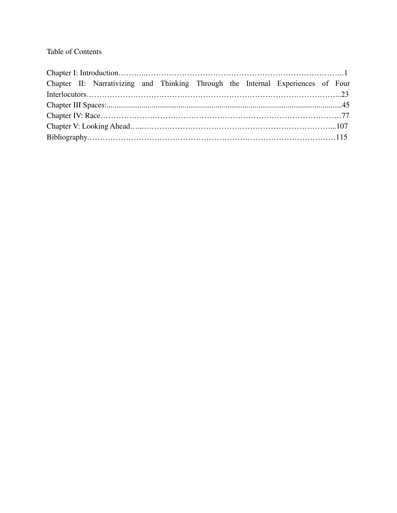### Table of Contents

|  |  | Chapter II: Narrativizing and Thinking Through the Internal Experiences of Four |  |  |  |  |  |  |  |  |
|--|--|---------------------------------------------------------------------------------|--|--|--|--|--|--|--|--|
|  |  |                                                                                 |  |  |  |  |  |  |  |  |
|  |  |                                                                                 |  |  |  |  |  |  |  |  |
|  |  |                                                                                 |  |  |  |  |  |  |  |  |
|  |  |                                                                                 |  |  |  |  |  |  |  |  |
|  |  |                                                                                 |  |  |  |  |  |  |  |  |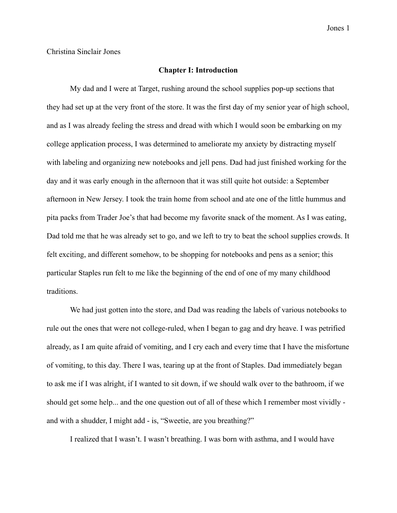Christina Sinclair Jones

#### **Chapter I: Introduction**

My dad and I were at Target, rushing around the school supplies pop-up sections that they had set up at the very front of the store. It was the first day of my senior year of high school, and as I was already feeling the stress and dread with which I would soon be embarking on my college application process, I was determined to ameliorate my anxiety by distracting myself with labeling and organizing new notebooks and jell pens. Dad had just finished working for the day and it was early enough in the afternoon that it was still quite hot outside: a September afternoon in New Jersey. I took the train home from school and ate one of the little hummus and pita packs from Trader Joe's that had become my favorite snack of the moment. As I was eating, Dad told me that he was already set to go, and we left to try to beat the school supplies crowds. It felt exciting, and different somehow, to be shopping for notebooks and pens as a senior; this particular Staples run felt to me like the beginning of the end of one of my many childhood traditions.

We had just gotten into the store, and Dad was reading the labels of various notebooks to rule out the ones that were not college-ruled, when I began to gag and dry heave. I was petrified already, as I am quite afraid of vomiting, and I cry each and every time that I have the misfortune of vomiting, to this day. There I was, tearing up at the front of Staples. Dad immediately began to ask me if I was alright, if I wanted to sit down, if we should walk over to the bathroom, if we should get some help... and the one question out of all of these which I remember most vividly and with a shudder, I might add - is, "Sweetie, are you breathing?"

I realized that I wasn't. I wasn't breathing. I was born with asthma, and I would have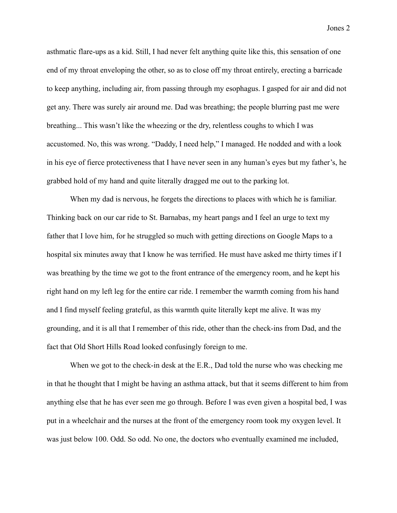asthmatic flare-ups as a kid. Still, I had never felt anything quite like this, this sensation of one end of my throat enveloping the other, so as to close off my throat entirely, erecting a barricade to keep anything, including air, from passing through my esophagus. I gasped for air and did not get any. There was surely air around me. Dad was breathing; the people blurring past me were breathing... This wasn't like the wheezing or the dry, relentless coughs to which I was accustomed. No, this was wrong. "Daddy, I need help," I managed. He nodded and with a look in his eye of fierce protectiveness that I have never seen in any human's eyes but my father's, he grabbed hold of my hand and quite literally dragged me out to the parking lot.

When my dad is nervous, he forgets the directions to places with which he is familiar. Thinking back on our car ride to St. Barnabas, my heart pangs and I feel an urge to text my father that I love him, for he struggled so much with getting directions on Google Maps to a hospital six minutes away that I know he was terrified. He must have asked me thirty times if I was breathing by the time we got to the front entrance of the emergency room, and he kept his right hand on my left leg for the entire car ride. I remember the warmth coming from his hand and I find myself feeling grateful, as this warmth quite literally kept me alive. It was my grounding, and it is all that I remember of this ride, other than the check-ins from Dad, and the fact that Old Short Hills Road looked confusingly foreign to me.

When we got to the check-in desk at the E.R., Dad told the nurse who was checking me in that he thought that I might be having an asthma attack, but that it seems different to him from anything else that he has ever seen me go through. Before I was even given a hospital bed, I was put in a wheelchair and the nurses at the front of the emergency room took my oxygen level. It was just below 100. Odd. So odd. No one, the doctors who eventually examined me included,

Jones 2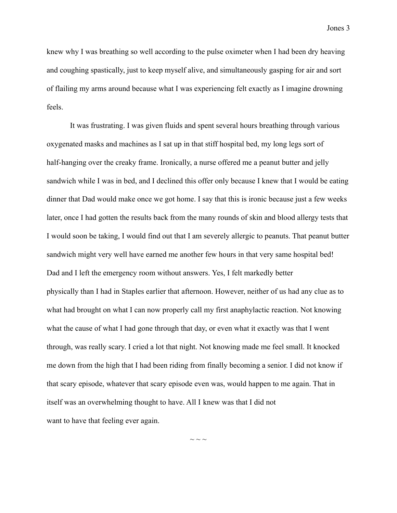knew why I was breathing so well according to the pulse oximeter when I had been dry heaving and coughing spastically, just to keep myself alive, and simultaneously gasping for air and sort of flailing my arms around because what I was experiencing felt exactly as I imagine drowning feels.

It was frustrating. I was given fluids and spent several hours breathing through various oxygenated masks and machines as I sat up in that stiff hospital bed, my long legs sort of half-hanging over the creaky frame. Ironically, a nurse offered me a peanut butter and jelly sandwich while I was in bed, and I declined this offer only because I knew that I would be eating dinner that Dad would make once we got home. I say that this is ironic because just a few weeks later, once I had gotten the results back from the many rounds of skin and blood allergy tests that I would soon be taking, I would find out that I am severely allergic to peanuts. That peanut butter sandwich might very well have earned me another few hours in that very same hospital bed! Dad and I left the emergency room without answers. Yes, I felt markedly better physically than I had in Staples earlier that afternoon. However, neither of us had any clue as to what had brought on what I can now properly call my first anaphylactic reaction. Not knowing what the cause of what I had gone through that day, or even what it exactly was that I went through, was really scary. I cried a lot that night. Not knowing made me feel small. It knocked me down from the high that I had been riding from finally becoming a senior. I did not know if that scary episode, whatever that scary episode even was, would happen to me again. That in itself was an overwhelming thought to have. All I knew was that I did not want to have that feeling ever again.

 $\sim$   $\sim$   $\sim$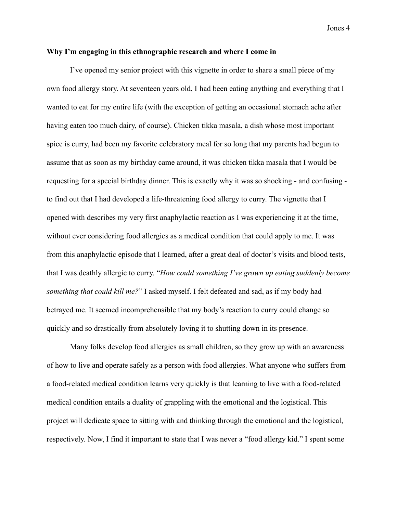#### **Why I'm engaging in this ethnographic research and where I come in**

I've opened my senior project with this vignette in order to share a small piece of my own food allergy story. At seventeen years old, I had been eating anything and everything that I wanted to eat for my entire life (with the exception of getting an occasional stomach ache after having eaten too much dairy, of course). Chicken tikka masala, a dish whose most important spice is curry, had been my favorite celebratory meal for so long that my parents had begun to assume that as soon as my birthday came around, it was chicken tikka masala that I would be requesting for a special birthday dinner. This is exactly why it was so shocking - and confusing to find out that I had developed a life-threatening food allergy to curry. The vignette that I opened with describes my very first anaphylactic reaction as I was experiencing it at the time, without ever considering food allergies as a medical condition that could apply to me. It was from this anaphylactic episode that I learned, after a great deal of doctor's visits and blood tests, that I was deathly allergic to curry. "*How could something I've grown up eating suddenly become something that could kill me?*" I asked myself. I felt defeated and sad, as if my body had betrayed me. It seemed incomprehensible that my body's reaction to curry could change so quickly and so drastically from absolutely loving it to shutting down in its presence.

Many folks develop food allergies as small children, so they grow up with an awareness of how to live and operate safely as a person with food allergies. What anyone who suffers from a food-related medical condition learns very quickly is that learning to live with a food-related medical condition entails a duality of grappling with the emotional and the logistical. This project will dedicate space to sitting with and thinking through the emotional and the logistical, respectively. Now, I find it important to state that I was never a "food allergy kid." I spent some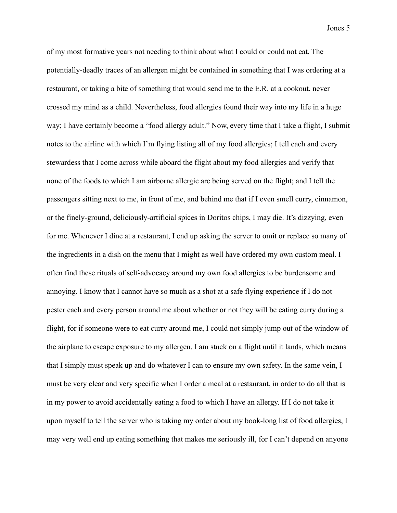of my most formative years not needing to think about what I could or could not eat. The potentially-deadly traces of an allergen might be contained in something that I was ordering at a restaurant, or taking a bite of something that would send me to the E.R. at a cookout, never crossed my mind as a child. Nevertheless, food allergies found their way into my life in a huge way; I have certainly become a "food allergy adult." Now, every time that I take a flight, I submit notes to the airline with which I'm flying listing all of my food allergies; I tell each and every stewardess that I come across while aboard the flight about my food allergies and verify that none of the foods to which I am airborne allergic are being served on the flight; and I tell the passengers sitting next to me, in front of me, and behind me that if I even smell curry, cinnamon, or the finely-ground, deliciously-artificial spices in Doritos chips, I may die. It's dizzying, even for me. Whenever I dine at a restaurant, I end up asking the server to omit or replace so many of the ingredients in a dish on the menu that I might as well have ordered my own custom meal. I often find these rituals of self-advocacy around my own food allergies to be burdensome and annoying. I know that I cannot have so much as a shot at a safe flying experience if I do not pester each and every person around me about whether or not they will be eating curry during a flight, for if someone were to eat curry around me, I could not simply jump out of the window of the airplane to escape exposure to my allergen. I am stuck on a flight until it lands, which means that I simply must speak up and do whatever I can to ensure my own safety. In the same vein, I must be very clear and very specific when I order a meal at a restaurant, in order to do all that is in my power to avoid accidentally eating a food to which I have an allergy. If I do not take it upon myself to tell the server who is taking my order about my book-long list of food allergies, I may very well end up eating something that makes me seriously ill, for I can't depend on anyone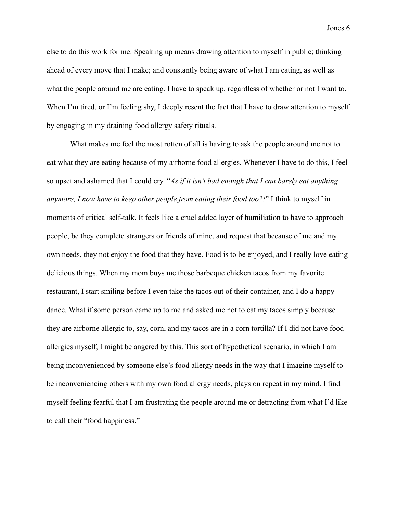else to do this work for me. Speaking up means drawing attention to myself in public; thinking ahead of every move that I make; and constantly being aware of what I am eating, as well as what the people around me are eating. I have to speak up, regardless of whether or not I want to. When I'm tired, or I'm feeling shy, I deeply resent the fact that I have to draw attention to myself by engaging in my draining food allergy safety rituals.

What makes me feel the most rotten of all is having to ask the people around me not to eat what they are eating because of my airborne food allergies. Whenever I have to do this, I feel so upset and ashamed that I could cry. "*As if it isn't bad enough that I can barely eat anything anymore, I now have to keep other people from eating their food too?!*" I think to myself in moments of critical self-talk. It feels like a cruel added layer of humiliation to have to approach people, be they complete strangers or friends of mine, and request that because of me and my own needs, they not enjoy the food that they have. Food is to be enjoyed, and I really love eating delicious things. When my mom buys me those barbeque chicken tacos from my favorite restaurant, I start smiling before I even take the tacos out of their container, and I do a happy dance. What if some person came up to me and asked me not to eat my tacos simply because they are airborne allergic to, say, corn, and my tacos are in a corn tortilla? If I did not have food allergies myself, I might be angered by this. This sort of hypothetical scenario, in which I am being inconvenienced by someone else's food allergy needs in the way that I imagine myself to be inconveniencing others with my own food allergy needs, plays on repeat in my mind. I find myself feeling fearful that I am frustrating the people around me or detracting from what I'd like to call their "food happiness."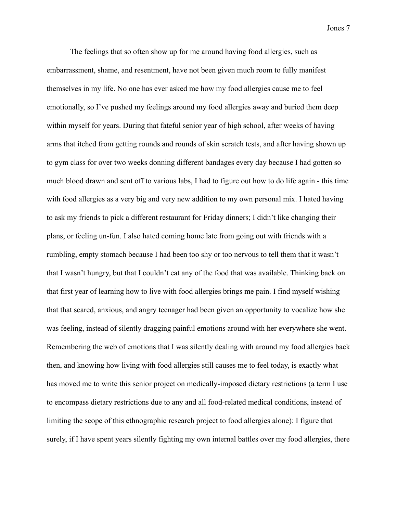The feelings that so often show up for me around having food allergies, such as embarrassment, shame, and resentment, have not been given much room to fully manifest themselves in my life. No one has ever asked me how my food allergies cause me to feel emotionally, so I've pushed my feelings around my food allergies away and buried them deep within myself for years. During that fateful senior year of high school, after weeks of having arms that itched from getting rounds and rounds of skin scratch tests, and after having shown up to gym class for over two weeks donning different bandages every day because I had gotten so much blood drawn and sent off to various labs, I had to figure out how to do life again - this time with food allergies as a very big and very new addition to my own personal mix. I hated having to ask my friends to pick a different restaurant for Friday dinners; I didn't like changing their plans, or feeling un-fun. I also hated coming home late from going out with friends with a rumbling, empty stomach because I had been too shy or too nervous to tell them that it wasn't that I wasn't hungry, but that I couldn't eat any of the food that was available. Thinking back on that first year of learning how to live with food allergies brings me pain. I find myself wishing that that scared, anxious, and angry teenager had been given an opportunity to vocalize how she was feeling, instead of silently dragging painful emotions around with her everywhere she went. Remembering the web of emotions that I was silently dealing with around my food allergies back then, and knowing how living with food allergies still causes me to feel today, is exactly what has moved me to write this senior project on medically-imposed dietary restrictions (a term I use to encompass dietary restrictions due to any and all food-related medical conditions, instead of limiting the scope of this ethnographic research project to food allergies alone): I figure that surely, if I have spent years silently fighting my own internal battles over my food allergies, there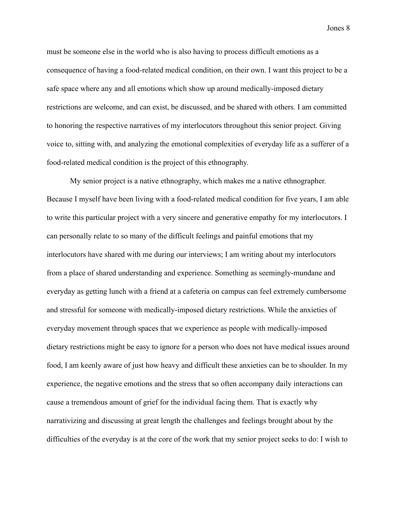must be someone else in the world who is also having to process difficult emotions as a consequence of having a food-related medical condition, on their own. I want this project to be a safe space where any and all emotions which show up around medically-imposed dietary restrictions are welcome, and can exist, be discussed, and be shared with others. I am committed to honoring the respective narratives of my interlocutors throughout this senior project. Giving voice to, sitting with, and analyzing the emotional complexities of everyday life as a sufferer of a food-related medical condition is the project of this ethnography.

My senior project is a native ethnography, which makes me a native ethnographer. Because I myself have been living with a food-related medical condition for five years, I am able to write this particular project with a very sincere and generative empathy for my interlocutors. I can personally relate to so many of the difficult feelings and painful emotions that my interlocutors have shared with me during our interviews; I am writing about my interlocutors from a place of shared understanding and experience. Something as seemingly-mundane and everyday as getting lunch with a friend at a cafeteria on campus can feel extremely cumbersome and stressful for someone with medically-imposed dietary restrictions. While the anxieties of everyday movement through spaces that we experience as people with medically-imposed dietary restrictions might be easy to ignore for a person who does not have medical issues around food, I am keenly aware of just how heavy and difficult these anxieties can be to shoulder. In my experience, the negative emotions and the stress that so often accompany daily interactions can cause a tremendous amount of grief for the individual facing them. That is exactly why narrativizing and discussing at great length the challenges and feelings brought about by the difficulties of the everyday is at the core of the work that my senior project seeks to do: I wish to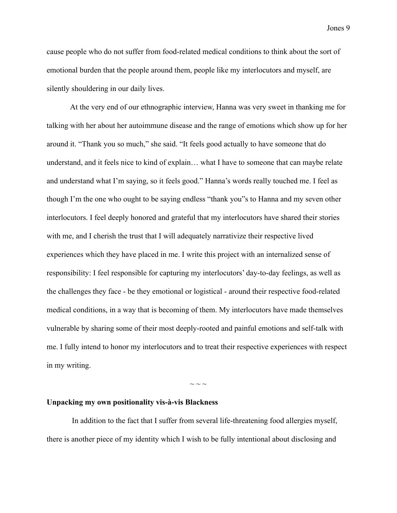cause people who do not suffer from food-related medical conditions to think about the sort of emotional burden that the people around them, people like my interlocutors and myself, are silently shouldering in our daily lives.

At the very end of our ethnographic interview, Hanna was very sweet in thanking me for talking with her about her autoimmune disease and the range of emotions which show up for her around it. "Thank you so much," she said. "It feels good actually to have someone that do understand, and it feels nice to kind of explain… what I have to someone that can maybe relate and understand what I'm saying, so it feels good." Hanna's words really touched me. I feel as though I'm the one who ought to be saying endless "thank you"s to Hanna and my seven other interlocutors. I feel deeply honored and grateful that my interlocutors have shared their stories with me, and I cherish the trust that I will adequately narrativize their respective lived experiences which they have placed in me. I write this project with an internalized sense of responsibility: I feel responsible for capturing my interlocutors' day-to-day feelings, as well as the challenges they face - be they emotional or logistical - around their respective food-related medical conditions, in a way that is becoming of them. My interlocutors have made themselves vulnerable by sharing some of their most deeply-rooted and painful emotions and self-talk with me. I fully intend to honor my interlocutors and to treat their respective experiences with respect in my writing.

#### **Unpacking my own positionality vis-à-vis Blackness**

In addition to the fact that I suffer from several life-threatening food allergies myself, there is another piece of my identity which I wish to be fully intentional about disclosing and

 $\sim$   $\sim$   $\sim$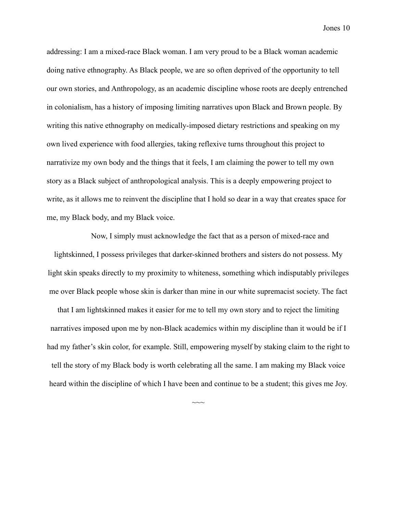addressing: I am a mixed-race Black woman. I am very proud to be a Black woman academic doing native ethnography. As Black people, we are so often deprived of the opportunity to tell our own stories, and Anthropology, as an academic discipline whose roots are deeply entrenched in colonialism, has a history of imposing limiting narratives upon Black and Brown people. By writing this native ethnography on medically-imposed dietary restrictions and speaking on my own lived experience with food allergies, taking reflexive turns throughout this project to narrativize my own body and the things that it feels, I am claiming the power to tell my own story as a Black subject of anthropological analysis. This is a deeply empowering project to write, as it allows me to reinvent the discipline that I hold so dear in a way that creates space for me, my Black body, and my Black voice.

Now, I simply must acknowledge the fact that as a person of mixed-race and lightskinned, I possess privileges that darker-skinned brothers and sisters do not possess. My light skin speaks directly to my proximity to whiteness, something which indisputably privileges me over Black people whose skin is darker than mine in our white supremacist society. The fact that I am lightskinned makes it easier for me to tell my own story and to reject the limiting narratives imposed upon me by non-Black academics within my discipline than it would be if I had my father's skin color, for example. Still, empowering myself by staking claim to the right to tell the story of my Black body is worth celebrating all the same. I am making my Black voice heard within the discipline of which I have been and continue to be a student; this gives me Joy.

 $\sim$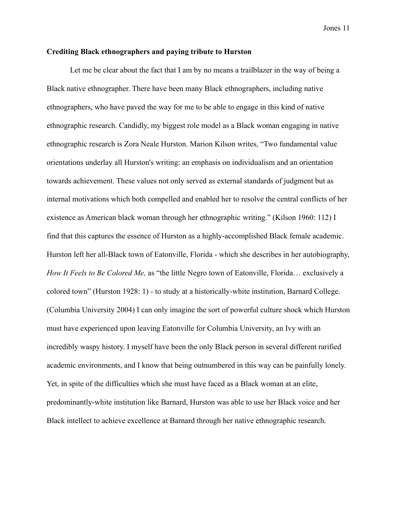#### **Crediting Black ethnographers and paying tribute to Hurston**

Let me be clear about the fact that I am by no means a trailblazer in the way of being a Black native ethnographer. There have been many Black ethnographers, including native ethnographers, who have paved the way for me to be able to engage in this kind of native ethnographic research. Candidly, my biggest role model as a Black woman engaging in native ethnographic research is Zora Neale Hurston. Marion Kilson writes, "Two fundamental value orientations underlay all Hurston's writing: an emphasis on individualism and an orientation towards achievement. These values not only served as external standards of judgment but as internal motivations which both compelled and enabled her to resolve the central conflicts of her existence as American black woman through her ethnographic writing." (Kilson 1960: 112) I find that this captures the essence of Hurston as a highly-accomplished Black female academic. Hurston left her all-Black town of Eatonville, Florida - which she describes in her autobiography, *How It Feels to Be Colored Me,* as "the little Negro town of Eatonville, Florida… exclusively a colored town" (Hurston 1928: 1) - to study at a historically-white institution, Barnard College. (Columbia University 2004) I can only imagine the sort of powerful culture shock which Hurston must have experienced upon leaving Eatonville for Columbia University, an Ivy with an incredibly waspy history. I myself have been the only Black person in several different rarified academic environments, and I know that being outnumbered in this way can be painfully lonely. Yet, in spite of the difficulties which she must have faced as a Black woman at an elite, predominantly-white institution like Barnard, Hurston was able to use her Black voice and her Black intellect to achieve excellence at Barnard through her native ethnographic research.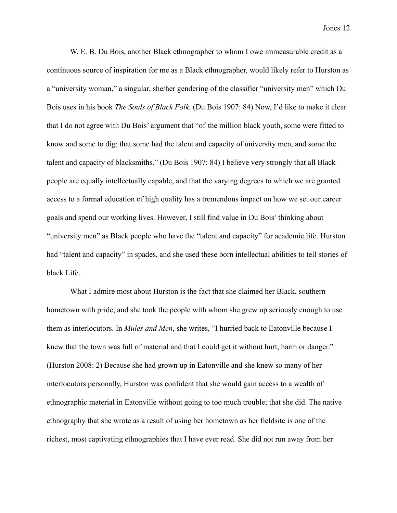W. E. B. Du Bois, another Black ethnographer to whom I owe immeasurable credit as a continuous source of inspiration for me as a Black ethnographer, would likely refer to Hurston as a "university woman," a singular, she/her gendering of the classifier "university men" which Du Bois uses in his book *The Souls of Black Folk.* (Du Bois 1907: 84) Now, I'd like to make it clear that I do not agree with Du Bois' argument that "of the million black youth, some were fitted to know and some to dig; that some had the talent and capacity of university men, and some the talent and capacity of blacksmiths." (Du Bois 1907: 84) I believe very strongly that all Black people are equally intellectually capable, and that the varying degrees to which we are granted access to a formal education of high quality has a tremendous impact on how we set our career goals and spend our working lives. However, I still find value in Du Bois' thinking about "university men" as Black people who have the "talent and capacity" for academic life. Hurston had "talent and capacity" in spades, and she used these born intellectual abilities to tell stories of black Life.

What I admire most about Hurston is the fact that she claimed her Black, southern hometown with pride, and she took the people with whom she grew up seriously enough to use them as interlocutors. In *Mules and Men*, she writes, "I hurried back to Eatonville because I knew that the town was full of material and that I could get it without hurt, harm or danger." (Hurston 2008: 2) Because she had grown up in Eatonville and she knew so many of her interlocutors personally, Hurston was confident that she would gain access to a wealth of ethnographic material in Eatonville without going to too much trouble; that she did. The native ethnography that she wrote as a result of using her hometown as her fieldsite is one of the richest, most captivating ethnographies that I have ever read. She did not run away from her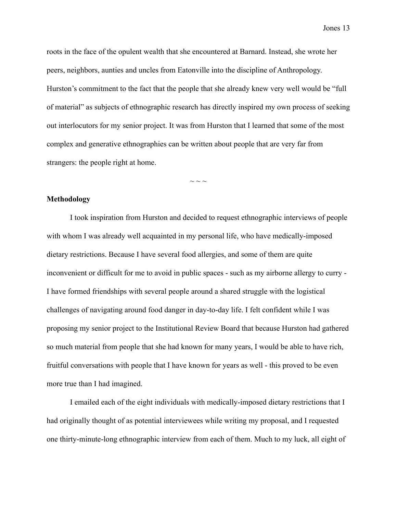roots in the face of the opulent wealth that she encountered at Barnard. Instead, she wrote her peers, neighbors, aunties and uncles from Eatonville into the discipline of Anthropology. Hurston's commitment to the fact that the people that she already knew very well would be "full of material" as subjects of ethnographic research has directly inspired my own process of seeking out interlocutors for my senior project. It was from Hurston that I learned that some of the most complex and generative ethnographies can be written about people that are very far from strangers: the people right at home.

 $\sim$  ~ ~

#### **Methodology**

I took inspiration from Hurston and decided to request ethnographic interviews of people with whom I was already well acquainted in my personal life, who have medically-imposed dietary restrictions. Because I have several food allergies, and some of them are quite inconvenient or difficult for me to avoid in public spaces - such as my airborne allergy to curry - I have formed friendships with several people around a shared struggle with the logistical challenges of navigating around food danger in day-to-day life. I felt confident while I was proposing my senior project to the Institutional Review Board that because Hurston had gathered so much material from people that she had known for many years, I would be able to have rich, fruitful conversations with people that I have known for years as well - this proved to be even more true than I had imagined.

I emailed each of the eight individuals with medically-imposed dietary restrictions that I had originally thought of as potential interviewees while writing my proposal, and I requested one thirty-minute-long ethnographic interview from each of them. Much to my luck, all eight of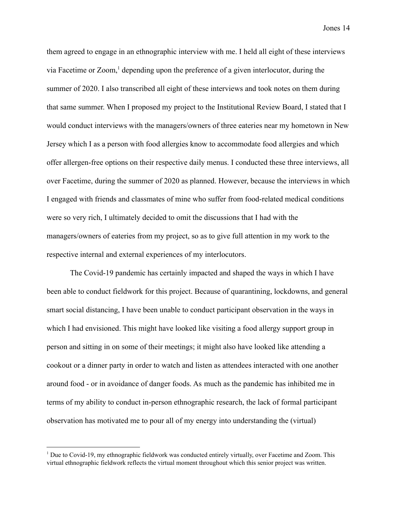them agreed to engage in an ethnographic interview with me. I held all eight of these interviews via Facetime or  $Zoom$ , depending upon the preference of a given interlocutor, during the summer of 2020. I also transcribed all eight of these interviews and took notes on them during that same summer. When I proposed my project to the Institutional Review Board, I stated that I would conduct interviews with the managers/owners of three eateries near my hometown in New Jersey which I as a person with food allergies know to accommodate food allergies and which offer allergen-free options on their respective daily menus. I conducted these three interviews, all over Facetime, during the summer of 2020 as planned. However, because the interviews in which I engaged with friends and classmates of mine who suffer from food-related medical conditions were so very rich, I ultimately decided to omit the discussions that I had with the managers/owners of eateries from my project, so as to give full attention in my work to the respective internal and external experiences of my interlocutors.

The Covid-19 pandemic has certainly impacted and shaped the ways in which I have been able to conduct fieldwork for this project. Because of quarantining, lockdowns, and general smart social distancing, I have been unable to conduct participant observation in the ways in which I had envisioned. This might have looked like visiting a food allergy support group in person and sitting in on some of their meetings; it might also have looked like attending a cookout or a dinner party in order to watch and listen as attendees interacted with one another around food - or in avoidance of danger foods. As much as the pandemic has inhibited me in terms of my ability to conduct in-person ethnographic research, the lack of formal participant observation has motivated me to pour all of my energy into understanding the (virtual)

<sup>&</sup>lt;sup>1</sup> Due to Covid-19, my ethnographic fieldwork was conducted entirely virtually, over Facetime and Zoom. This virtual ethnographic fieldwork reflects the virtual moment throughout which this senior project was written.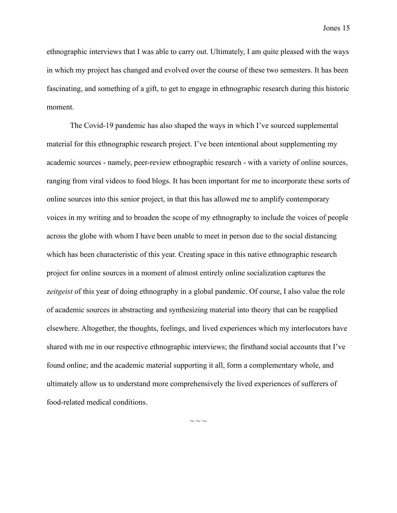ethnographic interviews that I was able to carry out. Ultimately, I am quite pleased with the ways in which my project has changed and evolved over the course of these two semesters. It has been fascinating, and something of a gift, to get to engage in ethnographic research during this historic moment.

The Covid-19 pandemic has also shaped the ways in which I've sourced supplemental material for this ethnographic research project. I've been intentional about supplementing my academic sources - namely, peer-review ethnographic research - with a variety of online sources, ranging from viral videos to food blogs. It has been important for me to incorporate these sorts of online sources into this senior project, in that this has allowed me to amplify contemporary voices in my writing and to broaden the scope of my ethnography to include the voices of people across the globe with whom I have been unable to meet in person due to the social distancing which has been characteristic of this year. Creating space in this native ethnographic research project for online sources in a moment of almost entirely online socialization captures the z*eitgeist* of this year of doing ethnography in a global pandemic. Of course, I also value the role of academic sources in abstracting and synthesizing material into theory that can be reapplied elsewhere. Altogether, the thoughts, feelings, and lived experiences which my interlocutors have shared with me in our respective ethnographic interviews; the firsthand social accounts that I've found online; and the academic material supporting it all, form a complementary whole, and ultimately allow us to understand more comprehensively the lived experiences of sufferers of food-related medical conditions.

 $\sim$   $\sim$   $\sim$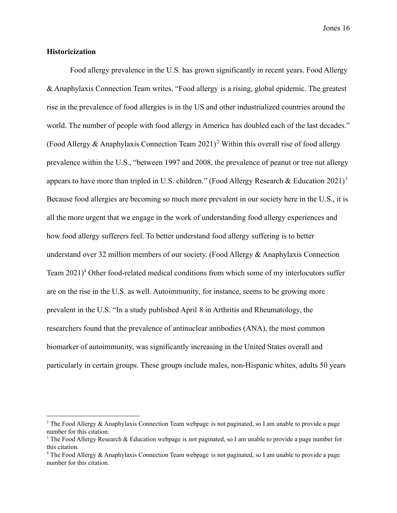#### **Historicization**

Food allergy prevalence in the U.S. has grown significantly in recent years. Food Allergy & Anaphylaxis Connection Team writes, "Food allergy is a rising, global epidemic. The greatest rise in the prevalence of food allergies is in the US and other industrialized countries around the world. The number of people with food allergy in America has doubled each of the last decades." (Food Allergy & Anaphylaxis Connection Team 2021)<sup>2</sup> Within this overall rise of food allergy prevalence within the U.S., "between 1997 and 2008, the prevalence of peanut or tree nut allergy appears to have more than tripled in U.S. children." (Food Allergy Research & Education 2021)<sup>3</sup> Because food allergies are becoming so much more prevalent in our society here in the U.S., it is all the more urgent that we engage in the work of understanding food allergy experiences and how food allergy sufferers feel. To better understand food allergy suffering is to better understand over 32 million members of our society. (Food Allergy & Anaphylaxis Connection Team  $2021$ <sup>4</sup> Other food-related medical conditions from which some of my interlocutors suffer are on the rise in the U.S. as well. Autoimmunity, for instance, seems to be growing more prevalent in the U.S. "In a study published April 8 in Arthritis and Rheumatology, the researchers found that the prevalence of antinuclear antibodies (ANA), the most common biomarker of autoimmunity, was significantly increasing in the United States overall and particularly in certain groups. These groups include males, non-Hispanic whites, adults 50 years

<sup>&</sup>lt;sup>2</sup> The Food Allergy & Anaphylaxis Connection Team webpage is not paginated, so I am unable to provide a page number for this citation.

<sup>&</sup>lt;sup>3</sup> The Food Allergy Research & Education webpage is not paginated, so I am unable to provide a page number for this citation.

<sup>&</sup>lt;sup>4</sup> The Food Allergy & Anaphylaxis Connection Team webpage is not paginated, so I am unable to provide a page number for this citation.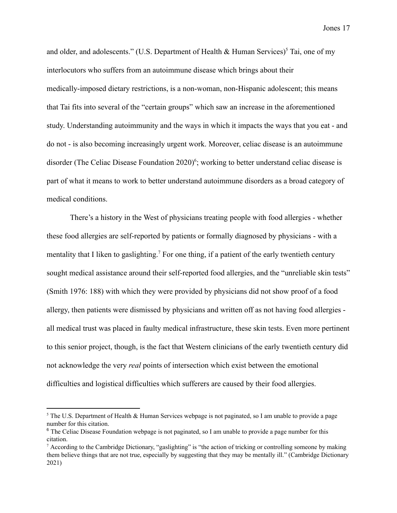and older, and adolescents." (U.S. Department of Health  $\&$  Human Services)<sup>5</sup> Tai, one of my interlocutors who suffers from an autoimmune disease which brings about their medically-imposed dietary restrictions, is a non-woman, non-Hispanic adolescent; this means that Tai fits into several of the "certain groups" which saw an increase in the aforementioned study. Understanding autoimmunity and the ways in which it impacts the ways that you eat - and do not - is also becoming increasingly urgent work. Moreover, celiac disease is an autoimmune disorder (The Celiac Disease Foundation  $2020$ <sup>6</sup>; working to better understand celiac disease is part of what it means to work to better understand autoimmune disorders as a broad category of medical conditions.

There's a history in the West of physicians treating people with food allergies - whether these food allergies are self-reported by patients or formally diagnosed by physicians - with a mentality that I liken to gas lighting.<sup>7</sup> For one thing, if a patient of the early twentieth century sought medical assistance around their self-reported food allergies, and the "unreliable skin tests" (Smith 1976: 188) with which they were provided by physicians did not show proof of a food allergy, then patients were dismissed by physicians and written off as not having food allergies all medical trust was placed in faulty medical infrastructure, these skin tests. Even more pertinent to this senior project, though, is the fact that Western clinicians of the early twentieth century did not acknowledge the very *real* points of intersection which exist between the emotional difficulties and logistical difficulties which sufferers are caused by their food allergies.

 $<sup>5</sup>$  The U.S. Department of Health & Human Services webpage is not paginated, so I am unable to provide a page</sup> number for this citation.

 $6$  The Celiac Disease Foundation webpage is not paginated, so I am unable to provide a page number for this citation.

<sup>&</sup>lt;sup>7</sup> According to the Cambridge Dictionary, "gaslighting" is "the [action](https://dictionary.cambridge.org/us/dictionary/english/action) of [tricking](https://dictionary.cambridge.org/us/dictionary/english/trick) or [controlling](https://dictionary.cambridge.org/us/dictionary/english/controlling) someone by making them [believe](https://dictionary.cambridge.org/us/dictionary/english/believe) things that are not [true,](https://dictionary.cambridge.org/us/dictionary/english/true) [especially](https://dictionary.cambridge.org/us/dictionary/english/especially) by [suggesting](https://dictionary.cambridge.org/us/dictionary/english/suggest) that they may be [mentally](https://dictionary.cambridge.org/us/dictionary/english/mental) [ill.](https://dictionary.cambridge.org/us/dictionary/english/ill)" (Cambridge Dictionary 2021)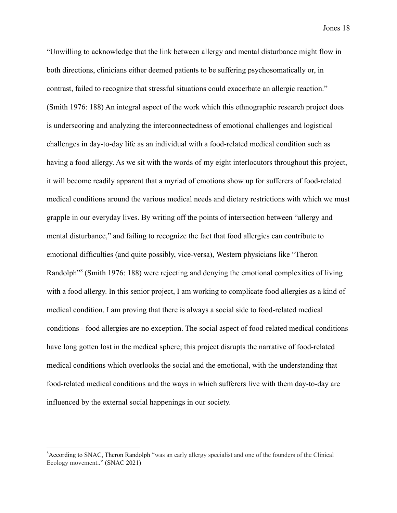"Unwilling to acknowledge that the link between allergy and mental disturbance might flow in both directions, clinicians either deemed patients to be suffering psychosomatically or, in contrast, failed to recognize that stressful situations could exacerbate an allergic reaction." (Smith 1976: 188) An integral aspect of the work which this ethnographic research project does is underscoring and analyzing the interconnectedness of emotional challenges and logistical challenges in day-to-day life as an individual with a food-related medical condition such as having a food allergy. As we sit with the words of my eight interlocutors throughout this project, it will become readily apparent that a myriad of emotions show up for sufferers of food-related medical conditions around the various medical needs and dietary restrictions with which we must grapple in our everyday lives. By writing off the points of intersection between "allergy and mental disturbance," and failing to recognize the fact that food allergies can contribute to emotional difficulties (and quite possibly, vice-versa), Western physicians like "Theron Randolph<sup>38</sup> (Smith 1976: 188) were rejecting and denying the emotional complexities of living with a food allergy. In this senior project, I am working to complicate food allergies as a kind of medical condition. I am proving that there is always a social side to food-related medical conditions - food allergies are no exception. The social aspect of food-related medical conditions have long gotten lost in the medical sphere; this project disrupts the narrative of food-related medical conditions which overlooks the social and the emotional, with the understanding that food-related medical conditions and the ways in which sufferers live with them day-to-day are influenced by the external social happenings in our society.

<sup>8</sup>According to SNAC, Theron Randolph "was an early allergy specialist and one of the founders of the Clinical Ecology movement.." (SNAC 2021)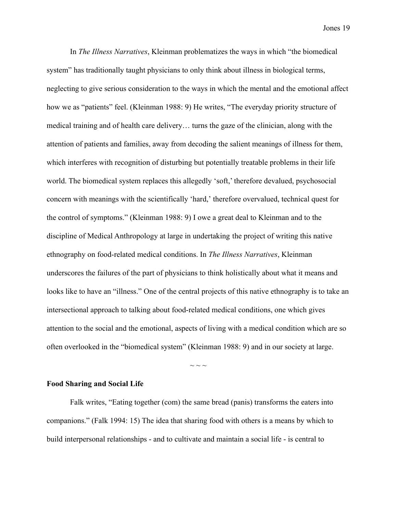In *The Illness Narratives*, Kleinman problematizes the ways in which "the biomedical system" has traditionally taught physicians to only think about illness in biological terms, neglecting to give serious consideration to the ways in which the mental and the emotional affect how we as "patients" feel. (Kleinman 1988: 9) He writes, "The everyday priority structure of medical training and of health care delivery… turns the gaze of the clinician, along with the attention of patients and families, away from decoding the salient meanings of illness for them, which interferes with recognition of disturbing but potentially treatable problems in their life world. The biomedical system replaces this allegedly 'soft,' therefore devalued, psychosocial concern with meanings with the scientifically 'hard,' therefore overvalued, technical quest for the control of symptoms." (Kleinman 1988: 9) I owe a great deal to Kleinman and to the discipline of Medical Anthropology at large in undertaking the project of writing this native ethnography on food-related medical conditions. In *The Illness Narratives*, Kleinman underscores the failures of the part of physicians to think holistically about what it means and looks like to have an "illness." One of the central projects of this native ethnography is to take an intersectional approach to talking about food-related medical conditions, one which gives attention to the social and the emotional, aspects of living with a medical condition which are so often overlooked in the "biomedical system" (Kleinman 1988: 9) and in our society at large.

 $\sim$  ~ ~

#### **Food Sharing and Social Life**

Falk writes, "Eating together (com) the same bread (panis) transforms the eaters into companions." (Falk 1994: 15) The idea that sharing food with others is a means by which to build interpersonal relationships - and to cultivate and maintain a social life - is central to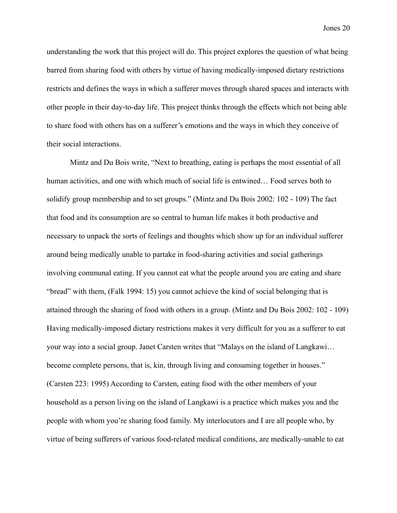understanding the work that this project will do. This project explores the question of what being barred from sharing food with others by virtue of having medically-imposed dietary restrictions restricts and defines the ways in which a sufferer moves through shared spaces and interacts with other people in their day-to-day life. This project thinks through the effects which not being able to share food with others has on a sufferer's emotions and the ways in which they conceive of their social interactions.

Mintz and Du Bois write, "Next to breathing, eating is perhaps the most essential of all human activities, and one with which much of social life is entwined… Food serves both to solidify group membership and to set groups." (Mintz and Du Bois 2002: 102 - 109) The fact that food and its consumption are so central to human life makes it both productive and necessary to unpack the sorts of feelings and thoughts which show up for an individual sufferer around being medically unable to partake in food-sharing activities and social gatherings involving communal eating. If you cannot eat what the people around you are eating and share "bread" with them, (Falk 1994: 15) you cannot achieve the kind of social belonging that is attained through the sharing of food with others in a group. (Mintz and Du Bois 2002: 102 - 109) Having medically-imposed dietary restrictions makes it very difficult for you as a sufferer to eat your way into a social group. Janet Carsten writes that "Malays on the island of Langkawi… become complete persons, that is, kin, through living and consuming together in houses." (Carsten 223: 1995) According to Carsten, eating food with the other members of your household as a person living on the island of Langkawi is a practice which makes you and the people with whom you're sharing food family. My interlocutors and I are all people who, by virtue of being sufferers of various food-related medical conditions, are medically-unable to eat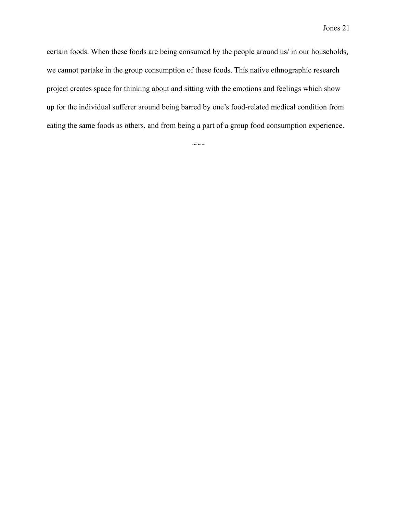certain foods. When these foods are being consumed by the people around us/ in our households, we cannot partake in the group consumption of these foods. This native ethnographic research project creates space for thinking about and sitting with the emotions and feelings which show up for the individual sufferer around being barred by one's food-related medical condition from eating the same foods as others, and from being a part of a group food consumption experience.

 $\sim\sim$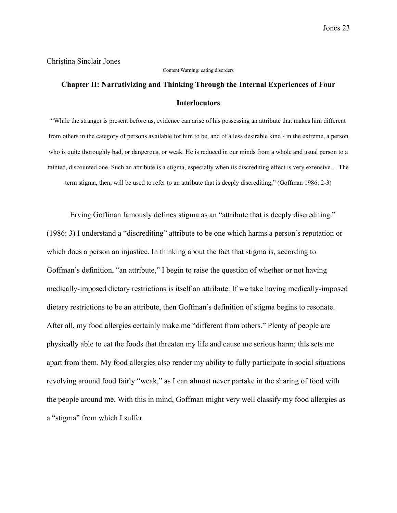#### Christina Sinclair Jones

#### Content Warning: eating disorders

## **Chapter II: Narrativizing and Thinking Through the Internal Experiences of Four Interlocutors**

"While the stranger is present before us, evidence can arise of his possessing an attribute that makes him different from others in the category of persons available for him to be, and of a less desirable kind - in the extreme, a person who is quite thoroughly bad, or dangerous, or weak. He is reduced in our minds from a whole and usual person to a tainted, discounted one. Such an attribute is a stigma, especially when its discrediting effect is very extensive… The term stigma, then, will be used to refer to an attribute that is deeply discrediting," (Goffman 1986: 2-3)

Erving Goffman famously defines stigma as an "attribute that is deeply discrediting." (1986: 3) I understand a "discrediting" attribute to be one which harms a person's reputation or which does a person an injustice. In thinking about the fact that stigma is, according to Goffman's definition, "an attribute," I begin to raise the question of whether or not having medically-imposed dietary restrictions is itself an attribute. If we take having medically-imposed dietary restrictions to be an attribute, then Goffman's definition of stigma begins to resonate. After all, my food allergies certainly make me "different from others." Plenty of people are physically able to eat the foods that threaten my life and cause me serious harm; this sets me apart from them. My food allergies also render my ability to fully participate in social situations revolving around food fairly "weak," as I can almost never partake in the sharing of food with the people around me. With this in mind, Goffman might very well classify my food allergies as a "stigma" from which I suffer.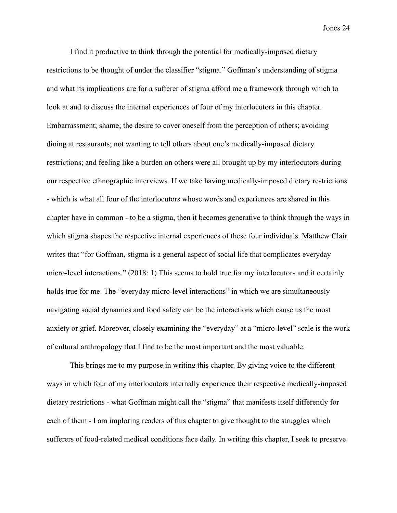I find it productive to think through the potential for medically-imposed dietary restrictions to be thought of under the classifier "stigma." Goffman's understanding of stigma and what its implications are for a sufferer of stigma afford me a framework through which to look at and to discuss the internal experiences of four of my interlocutors in this chapter. Embarrassment; shame; the desire to cover oneself from the perception of others; avoiding dining at restaurants; not wanting to tell others about one's medically-imposed dietary restrictions; and feeling like a burden on others were all brought up by my interlocutors during our respective ethnographic interviews. If we take having medically-imposed dietary restrictions - which is what all four of the interlocutors whose words and experiences are shared in this chapter have in common - to be a stigma, then it becomes generative to think through the ways in which stigma shapes the respective internal experiences of these four individuals. Matthew Clair writes that "for Goffman, stigma is a general aspect of social life that complicates everyday micro-level interactions." (2018: 1) This seems to hold true for my interlocutors and it certainly holds true for me. The "everyday micro-level interactions" in which we are simultaneously navigating social dynamics and food safety can be the interactions which cause us the most anxiety or grief. Moreover, closely examining the "everyday" at a "micro-level" scale is the work of cultural anthropology that I find to be the most important and the most valuable.

This brings me to my purpose in writing this chapter. By giving voice to the different ways in which four of my interlocutors internally experience their respective medically-imposed dietary restrictions - what Goffman might call the "stigma" that manifests itself differently for each of them - I am imploring readers of this chapter to give thought to the struggles which sufferers of food-related medical conditions face daily. In writing this chapter, I seek to preserve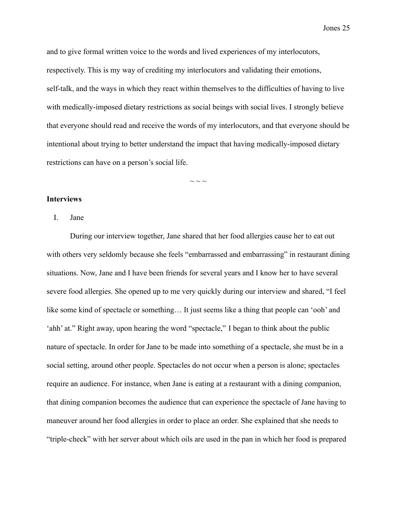and to give formal written voice to the words and lived experiences of my interlocutors, respectively. This is my way of crediting my interlocutors and validating their emotions, self-talk, and the ways in which they react within themselves to the difficulties of having to live with medically-imposed dietary restrictions as social beings with social lives. I strongly believe that everyone should read and receive the words of my interlocutors, and that everyone should be intentional about trying to better understand the impact that having medically-imposed dietary restrictions can have on a person's social life.

 $\sim$  ~ ~

#### **Interviews**

I. Jane

During our interview together, Jane shared that her food allergies cause her to eat out with others very seldomly because she feels "embarrassed and embarrassing" in restaurant dining situations. Now, Jane and I have been friends for several years and I know her to have several severe food allergies. She opened up to me very quickly during our interview and shared, "I feel like some kind of spectacle or something… It just seems like a thing that people can 'ooh' and 'ahh' at." Right away, upon hearing the word "spectacle," I began to think about the public nature of spectacle. In order for Jane to be made into something of a spectacle, she must be in a social setting, around other people. Spectacles do not occur when a person is alone; spectacles require an audience. For instance, when Jane is eating at a restaurant with a dining companion, that dining companion becomes the audience that can experience the spectacle of Jane having to maneuver around her food allergies in order to place an order. She explained that she needs to "triple-check" with her server about which oils are used in the pan in which her food is prepared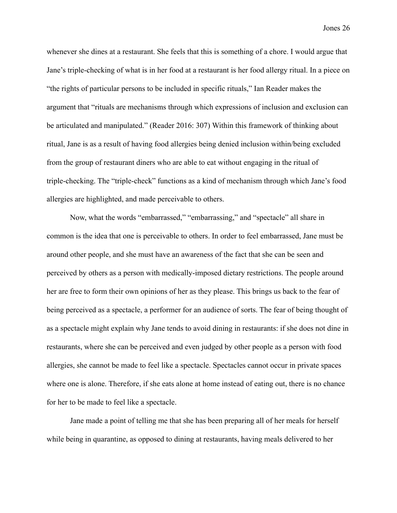whenever she dines at a restaurant. She feels that this is something of a chore. I would argue that Jane's triple-checking of what is in her food at a restaurant is her food allergy ritual. In a piece on "the rights of particular persons to be included in specific rituals," Ian Reader makes the argument that "rituals are mechanisms through which expressions of inclusion and exclusion can be articulated and manipulated." (Reader 2016: 307) Within this framework of thinking about ritual, Jane is as a result of having food allergies being denied inclusion within/being excluded from the group of restaurant diners who are able to eat without engaging in the ritual of triple-checking. The "triple-check" functions as a kind of mechanism through which Jane's food allergies are highlighted, and made perceivable to others.

Now, what the words "embarrassed," "embarrassing," and "spectacle" all share in common is the idea that one is perceivable to others. In order to feel embarrassed, Jane must be around other people, and she must have an awareness of the fact that she can be seen and perceived by others as a person with medically-imposed dietary restrictions. The people around her are free to form their own opinions of her as they please. This brings us back to the fear of being perceived as a spectacle, a performer for an audience of sorts. The fear of being thought of as a spectacle might explain why Jane tends to avoid dining in restaurants: if she does not dine in restaurants, where she can be perceived and even judged by other people as a person with food allergies, she cannot be made to feel like a spectacle. Spectacles cannot occur in private spaces where one is alone. Therefore, if she eats alone at home instead of eating out, there is no chance for her to be made to feel like a spectacle.

Jane made a point of telling me that she has been preparing all of her meals for herself while being in quarantine, as opposed to dining at restaurants, having meals delivered to her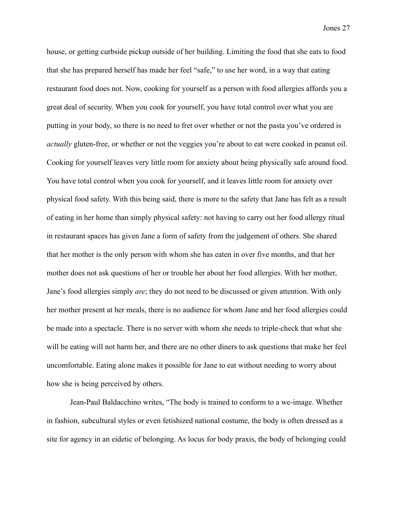house, or getting curbside pickup outside of her building. Limiting the food that she eats to food that she has prepared herself has made her feel "safe," to use her word, in a way that eating restaurant food does not. Now, cooking for yourself as a person with food allergies affords you a great deal of security. When you cook for yourself, you have total control over what you are putting in your body, so there is no need to fret over whether or not the pasta you've ordered is *actually* gluten-free, or whether or not the veggies you're about to eat were cooked in peanut oil. Cooking for yourself leaves very little room for anxiety about being physically safe around food. You have total control when you cook for yourself, and it leaves little room for anxiety over physical food safety. With this being said, there is more to the safety that Jane has felt as a result of eating in her home than simply physical safety: not having to carry out her food allergy ritual in restaurant spaces has given Jane a form of safety from the judgement of others. She shared that her mother is the only person with whom she has eaten in over five months, and that her mother does not ask questions of her or trouble her about her food allergies. With her mother, Jane's food allergies simply *are*; they do not need to be discussed or given attention. With only her mother present at her meals, there is no audience for whom Jane and her food allergies could be made into a spectacle. There is no server with whom she needs to triple-check that what she will be eating will not harm her, and there are no other diners to ask questions that make her feel uncomfortable. Eating alone makes it possible for Jane to eat without needing to worry about how she is being perceived by others.

Jean-Paul Baldacchino writes, "The body is trained to conform to a we-image. Whether in fashion, subcultural styles or even fetishized national costume, the body is often dressed as a site for agency in an eidetic of belonging. As locus for body praxis, the body of belonging could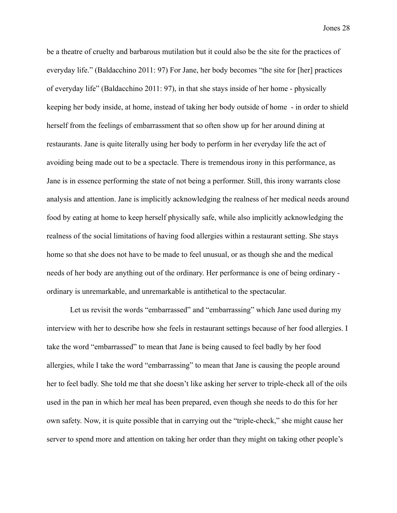be a theatre of cruelty and barbarous mutilation but it could also be the site for the practices of everyday life." (Baldacchino 2011: 97) For Jane, her body becomes "the site for [her] practices of everyday life" (Baldacchino 2011: 97), in that she stays inside of her home - physically keeping her body inside, at home, instead of taking her body outside of home - in order to shield herself from the feelings of embarrassment that so often show up for her around dining at restaurants. Jane is quite literally using her body to perform in her everyday life the act of avoiding being made out to be a spectacle. There is tremendous irony in this performance, as Jane is in essence performing the state of not being a performer. Still, this irony warrants close analysis and attention. Jane is implicitly acknowledging the realness of her medical needs around food by eating at home to keep herself physically safe, while also implicitly acknowledging the realness of the social limitations of having food allergies within a restaurant setting. She stays home so that she does not have to be made to feel unusual, or as though she and the medical needs of her body are anything out of the ordinary. Her performance is one of being ordinary ordinary is unremarkable, and unremarkable is antithetical to the spectacular.

Let us revisit the words "embarrassed" and "embarrassing" which Jane used during my interview with her to describe how she feels in restaurant settings because of her food allergies. I take the word "embarrassed" to mean that Jane is being caused to feel badly by her food allergies, while I take the word "embarrassing" to mean that Jane is causing the people around her to feel badly. She told me that she doesn't like asking her server to triple-check all of the oils used in the pan in which her meal has been prepared, even though she needs to do this for her own safety. Now, it is quite possible that in carrying out the "triple-check," she might cause her server to spend more and attention on taking her order than they might on taking other people's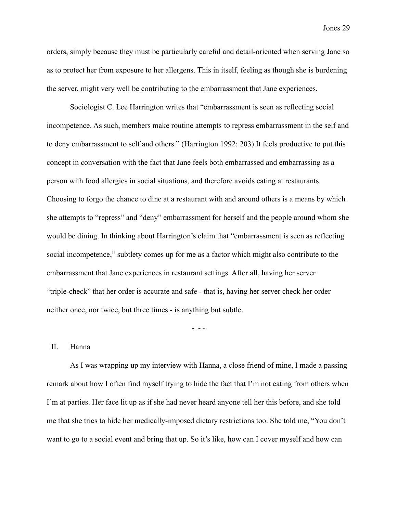orders, simply because they must be particularly careful and detail-oriented when serving Jane so as to protect her from exposure to her allergens. This in itself, feeling as though she is burdening the server, might very well be contributing to the embarrassment that Jane experiences.

Sociologist C. Lee Harrington writes that "embarrassment is seen as reflecting social incompetence. As such, members make routine attempts to repress embarrassment in the self and to deny embarrassment to self and others." (Harrington 1992: 203) It feels productive to put this concept in conversation with the fact that Jane feels both embarrassed and embarrassing as a person with food allergies in social situations, and therefore avoids eating at restaurants. Choosing to forgo the chance to dine at a restaurant with and around others is a means by which she attempts to "repress" and "deny" embarrassment for herself and the people around whom she would be dining. In thinking about Harrington's claim that "embarrassment is seen as reflecting social incompetence," subtlety comes up for me as a factor which might also contribute to the embarrassment that Jane experiences in restaurant settings. After all, having her server "triple-check" that her order is accurate and safe - that is, having her server check her order neither once, nor twice, but three times - is anything but subtle.

#### II. Hanna

As I was wrapping up my interview with Hanna, a close friend of mine, I made a passing remark about how I often find myself trying to hide the fact that I'm not eating from others when I'm at parties. Her face lit up as if she had never heard anyone tell her this before, and she told me that she tries to hide her medically-imposed dietary restrictions too. She told me, "You don't want to go to a social event and bring that up. So it's like, how can I cover myself and how can

 $\sim$   $\sim$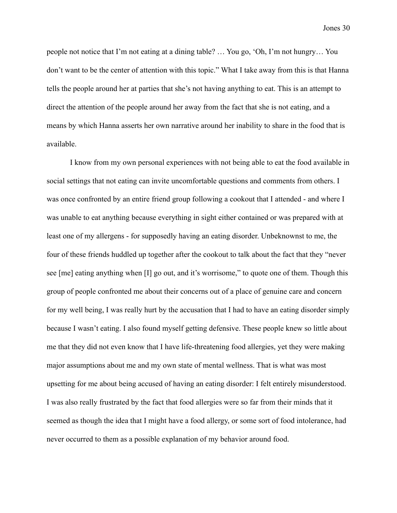people not notice that I'm not eating at a dining table? … You go, 'Oh, I'm not hungry… You don't want to be the center of attention with this topic." What I take away from this is that Hanna tells the people around her at parties that she's not having anything to eat. This is an attempt to direct the attention of the people around her away from the fact that she is not eating, and a means by which Hanna asserts her own narrative around her inability to share in the food that is available.

I know from my own personal experiences with not being able to eat the food available in social settings that not eating can invite uncomfortable questions and comments from others. I was once confronted by an entire friend group following a cookout that I attended - and where I was unable to eat anything because everything in sight either contained or was prepared with at least one of my allergens - for supposedly having an eating disorder. Unbeknownst to me, the four of these friends huddled up together after the cookout to talk about the fact that they "never see [me] eating anything when [I] go out, and it's worrisome," to quote one of them. Though this group of people confronted me about their concerns out of a place of genuine care and concern for my well being, I was really hurt by the accusation that I had to have an eating disorder simply because I wasn't eating. I also found myself getting defensive. These people knew so little about me that they did not even know that I have life-threatening food allergies, yet they were making major assumptions about me and my own state of mental wellness. That is what was most upsetting for me about being accused of having an eating disorder: I felt entirely misunderstood. I was also really frustrated by the fact that food allergies were so far from their minds that it seemed as though the idea that I might have a food allergy, or some sort of food intolerance, had never occurred to them as a possible explanation of my behavior around food.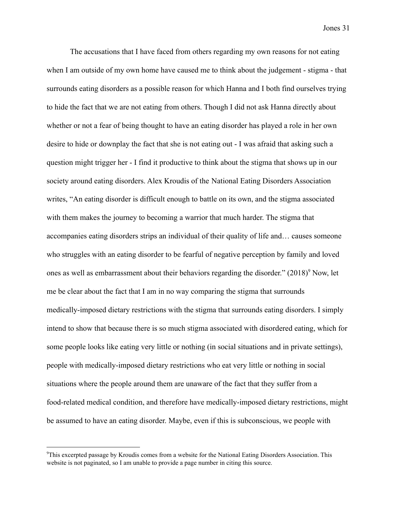The accusations that I have faced from others regarding my own reasons for not eating when I am outside of my own home have caused me to think about the judgement - stigma - that surrounds eating disorders as a possible reason for which Hanna and I both find ourselves trying to hide the fact that we are not eating from others. Though I did not ask Hanna directly about whether or not a fear of being thought to have an eating disorder has played a role in her own desire to hide or downplay the fact that she is not eating out - I was afraid that asking such a question might trigger her - I find it productive to think about the stigma that shows up in our society around eating disorders. Alex Kroudis of the National Eating Disorders Association writes, "An eating disorder is difficult enough to battle on its own, and the stigma associated with them makes the journey to becoming a warrior that much harder. The stigma that accompanies eating disorders strips an individual of their quality of life and… causes someone who struggles with an eating disorder to be fearful of negative perception by family and loved ones as well as embarrassment about their behaviors regarding the disorder."  $(2018)^9$  Now, let me be clear about the fact that I am in no way comparing the stigma that surrounds medically-imposed dietary restrictions with the stigma that surrounds eating disorders. I simply intend to show that because there is so much stigma associated with disordered eating, which for some people looks like eating very little or nothing (in social situations and in private settings), people with medically-imposed dietary restrictions who eat very little or nothing in social situations where the people around them are unaware of the fact that they suffer from a food-related medical condition, and therefore have medically-imposed dietary restrictions, might be assumed to have an eating disorder. Maybe, even if this is subconscious, we people with

<sup>9</sup>This excerpted passage by Kroudis comes from a website for the National Eating Disorders Association. This website is not paginated, so I am unable to provide a page number in citing this source.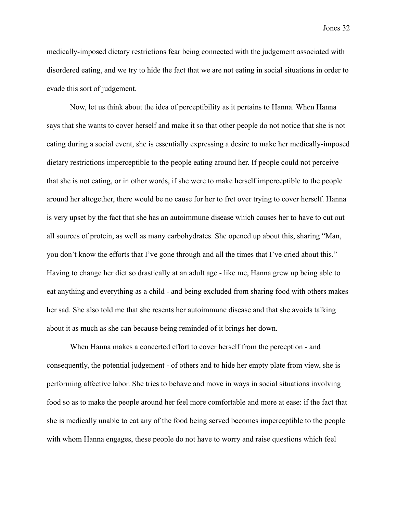medically-imposed dietary restrictions fear being connected with the judgement associated with disordered eating, and we try to hide the fact that we are not eating in social situations in order to evade this sort of judgement.

Now, let us think about the idea of perceptibility as it pertains to Hanna. When Hanna says that she wants to cover herself and make it so that other people do not notice that she is not eating during a social event, she is essentially expressing a desire to make her medically-imposed dietary restrictions imperceptible to the people eating around her. If people could not perceive that she is not eating, or in other words, if she were to make herself imperceptible to the people around her altogether, there would be no cause for her to fret over trying to cover herself. Hanna is very upset by the fact that she has an autoimmune disease which causes her to have to cut out all sources of protein, as well as many carbohydrates. She opened up about this, sharing "Man, you don't know the efforts that I've gone through and all the times that I've cried about this." Having to change her diet so drastically at an adult age - like me, Hanna grew up being able to eat anything and everything as a child - and being excluded from sharing food with others makes her sad. She also told me that she resents her autoimmune disease and that she avoids talking about it as much as she can because being reminded of it brings her down.

When Hanna makes a concerted effort to cover herself from the perception - and consequently, the potential judgement - of others and to hide her empty plate from view, she is performing affective labor. She tries to behave and move in ways in social situations involving food so as to make the people around her feel more comfortable and more at ease: if the fact that she is medically unable to eat any of the food being served becomes imperceptible to the people with whom Hanna engages, these people do not have to worry and raise questions which feel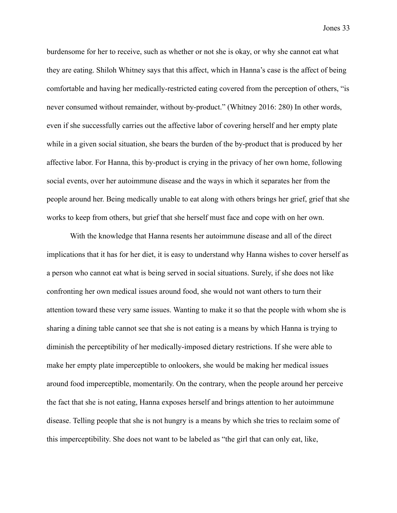burdensome for her to receive, such as whether or not she is okay, or why she cannot eat what they are eating. Shiloh Whitney says that this affect, which in Hanna's case is the affect of being comfortable and having her medically-restricted eating covered from the perception of others, "is never consumed without remainder, without by-product." (Whitney 2016: 280) In other words, even if she successfully carries out the affective labor of covering herself and her empty plate while in a given social situation, she bears the burden of the by-product that is produced by her affective labor. For Hanna, this by-product is crying in the privacy of her own home, following social events, over her autoimmune disease and the ways in which it separates her from the people around her. Being medically unable to eat along with others brings her grief, grief that she works to keep from others, but grief that she herself must face and cope with on her own.

With the knowledge that Hanna resents her autoimmune disease and all of the direct implications that it has for her diet, it is easy to understand why Hanna wishes to cover herself as a person who cannot eat what is being served in social situations. Surely, if she does not like confronting her own medical issues around food, she would not want others to turn their attention toward these very same issues. Wanting to make it so that the people with whom she is sharing a dining table cannot see that she is not eating is a means by which Hanna is trying to diminish the perceptibility of her medically-imposed dietary restrictions. If she were able to make her empty plate imperceptible to onlookers, she would be making her medical issues around food imperceptible, momentarily. On the contrary, when the people around her perceive the fact that she is not eating, Hanna exposes herself and brings attention to her autoimmune disease. Telling people that she is not hungry is a means by which she tries to reclaim some of this imperceptibility. She does not want to be labeled as "the girl that can only eat, like,

Jones 33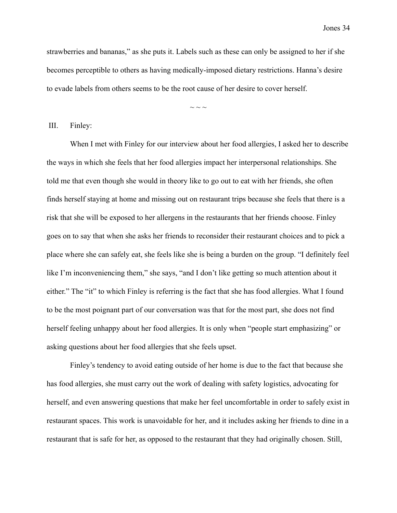strawberries and bananas," as she puts it. Labels such as these can only be assigned to her if she becomes perceptible to others as having medically-imposed dietary restrictions. Hanna's desire to evade labels from others seems to be the root cause of her desire to cover herself.

 $\sim$  ~ ~

III. Finley:

When I met with Finley for our interview about her food allergies, I asked her to describe the ways in which she feels that her food allergies impact her interpersonal relationships. She told me that even though she would in theory like to go out to eat with her friends, she often finds herself staying at home and missing out on restaurant trips because she feels that there is a risk that she will be exposed to her allergens in the restaurants that her friends choose. Finley goes on to say that when she asks her friends to reconsider their restaurant choices and to pick a place where she can safely eat, she feels like she is being a burden on the group. "I definitely feel like I'm inconveniencing them," she says, "and I don't like getting so much attention about it either." The "it" to which Finley is referring is the fact that she has food allergies. What I found to be the most poignant part of our conversation was that for the most part, she does not find herself feeling unhappy about her food allergies. It is only when "people start emphasizing" or asking questions about her food allergies that she feels upset.

Finley's tendency to avoid eating outside of her home is due to the fact that because she has food allergies, she must carry out the work of dealing with safety logistics, advocating for herself, and even answering questions that make her feel uncomfortable in order to safely exist in restaurant spaces. This work is unavoidable for her, and it includes asking her friends to dine in a restaurant that is safe for her, as opposed to the restaurant that they had originally chosen. Still,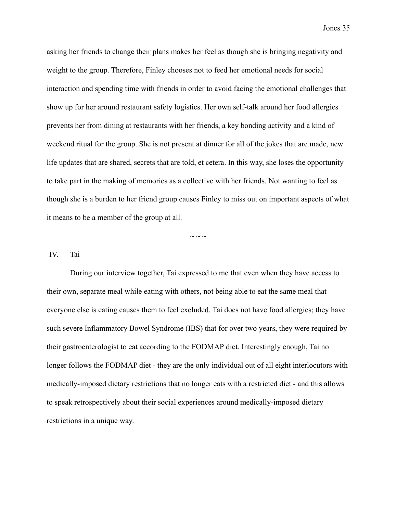asking her friends to change their plans makes her feel as though she is bringing negativity and weight to the group. Therefore, Finley chooses not to feed her emotional needs for social interaction and spending time with friends in order to avoid facing the emotional challenges that show up for her around restaurant safety logistics. Her own self-talk around her food allergies prevents her from dining at restaurants with her friends, a key bonding activity and a kind of weekend ritual for the group. She is not present at dinner for all of the jokes that are made, new life updates that are shared, secrets that are told, et cetera. In this way, she loses the opportunity to take part in the making of memories as a collective with her friends. Not wanting to feel as though she is a burden to her friend group causes Finley to miss out on important aspects of what it means to be a member of the group at all.

 $\sim$   $\sim$   $\sim$ 

### IV. Tai

During our interview together, Tai expressed to me that even when they have access to their own, separate meal while eating with others, not being able to eat the same meal that everyone else is eating causes them to feel excluded. Tai does not have food allergies; they have such severe Inflammatory Bowel Syndrome (IBS) that for over two years, they were required by their gastroenterologist to eat according to the FODMAP diet. Interestingly enough, Tai no longer follows the FODMAP diet - they are the only individual out of all eight interlocutors with medically-imposed dietary restrictions that no longer eats with a restricted diet - and this allows to speak retrospectively about their social experiences around medically-imposed dietary restrictions in a unique way.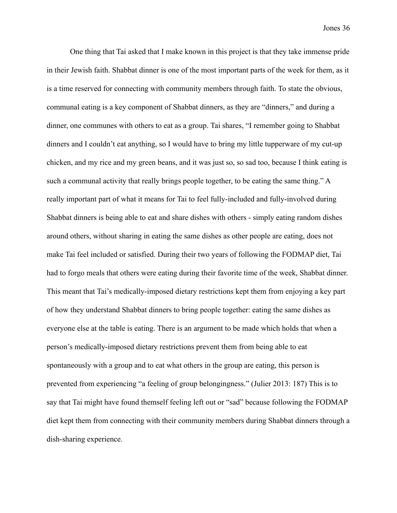One thing that Tai asked that I make known in this project is that they take immense pride in their Jewish faith. Shabbat dinner is one of the most important parts of the week for them, as it is a time reserved for connecting with community members through faith. To state the obvious, communal eating is a key component of Shabbat dinners, as they are "dinners," and during a dinner, one communes with others to eat as a group. Tai shares, "I remember going to Shabbat dinners and I couldn't eat anything, so I would have to bring my little tupperware of my cut-up chicken, and my rice and my green beans, and it was just so, so sad too, because I think eating is such a communal activity that really brings people together, to be eating the same thing." A really important part of what it means for Tai to feel fully-included and fully-involved during Shabbat dinners is being able to eat and share dishes with others - simply eating random dishes around others, without sharing in eating the same dishes as other people are eating, does not make Tai feel included or satisfied. During their two years of following the FODMAP diet, Tai had to forgo meals that others were eating during their favorite time of the week, Shabbat dinner. This meant that Tai's medically-imposed dietary restrictions kept them from enjoying a key part of how they understand Shabbat dinners to bring people together: eating the same dishes as everyone else at the table is eating. There is an argument to be made which holds that when a person's medically-imposed dietary restrictions prevent them from being able to eat spontaneously with a group and to eat what others in the group are eating, this person is prevented from experiencing "a feeling of group belongingness." (Julier 2013: 187) This is to say that Tai might have found themself feeling left out or "sad" because following the FODMAP diet kept them from connecting with their community members during Shabbat dinners through a dish-sharing experience.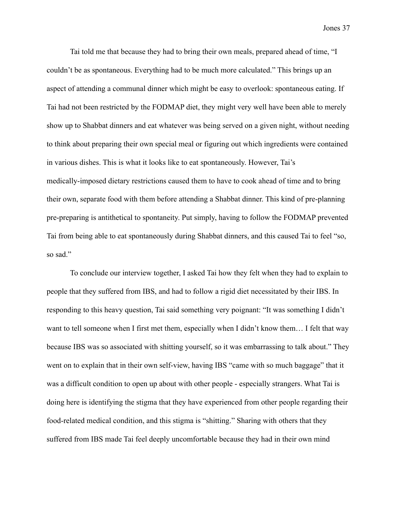Tai told me that because they had to bring their own meals, prepared ahead of time, "I couldn't be as spontaneous. Everything had to be much more calculated." This brings up an aspect of attending a communal dinner which might be easy to overlook: spontaneous eating. If Tai had not been restricted by the FODMAP diet, they might very well have been able to merely show up to Shabbat dinners and eat whatever was being served on a given night, without needing to think about preparing their own special meal or figuring out which ingredients were contained in various dishes. This is what it looks like to eat spontaneously. However, Tai's medically-imposed dietary restrictions caused them to have to cook ahead of time and to bring their own, separate food with them before attending a Shabbat dinner. This kind of pre-planning pre-preparing is antithetical to spontaneity. Put simply, having to follow the FODMAP prevented Tai from being able to eat spontaneously during Shabbat dinners, and this caused Tai to feel "so, so sad."

To conclude our interview together, I asked Tai how they felt when they had to explain to people that they suffered from IBS, and had to follow a rigid diet necessitated by their IBS. In responding to this heavy question, Tai said something very poignant: "It was something I didn't want to tell someone when I first met them, especially when I didn't know them... I felt that way because IBS was so associated with shitting yourself, so it was embarrassing to talk about." They went on to explain that in their own self-view, having IBS "came with so much baggage" that it was a difficult condition to open up about with other people - especially strangers. What Tai is doing here is identifying the stigma that they have experienced from other people regarding their food-related medical condition, and this stigma is "shitting." Sharing with others that they suffered from IBS made Tai feel deeply uncomfortable because they had in their own mind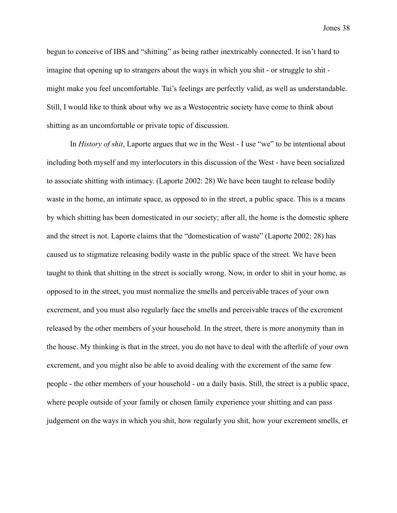begun to conceive of IBS and "shitting" as being rather inextricably connected. It isn't hard to imagine that opening up to strangers about the ways in which you shit - or struggle to shit might make you feel uncomfortable. Tai's feelings are perfectly valid, as well as understandable. Still, I would like to think about why we as a Westocentric society have come to think about shitting as an uncomfortable or private topic of discussion.

In *History of shit*, Laporte argues that we in the West - I use "we" to be intentional about including both myself and my interlocutors in this discussion of the West - have been socialized to associate shitting with intimacy. (Laporte 2002: 28) We have been taught to release bodily waste in the home, an intimate space, as opposed to in the street, a public space. This is a means by which shitting has been domesticated in our society; after all, the home is the domestic sphere and the street is not. Laporte claims that the "domestication of waste" (Laporte 2002: 28) has caused us to stigmatize releasing bodily waste in the public space of the street. We have been taught to think that shitting in the street is socially wrong. Now, in order to shit in your home, as opposed to in the street, you must normalize the smells and perceivable traces of your own excrement, and you must also regularly face the smells and perceivable traces of the excrement released by the other members of your household. In the street, there is more anonymity than in the house. My thinking is that in the street, you do not have to deal with the afterlife of your own excrement, and you might also be able to avoid dealing with the excrement of the same few people - the other members of your household - on a daily basis. Still, the street is a public space, where people outside of your family or chosen family experience your shitting and can pass judgement on the ways in which you shit, how regularly you shit, how your excrement smells, et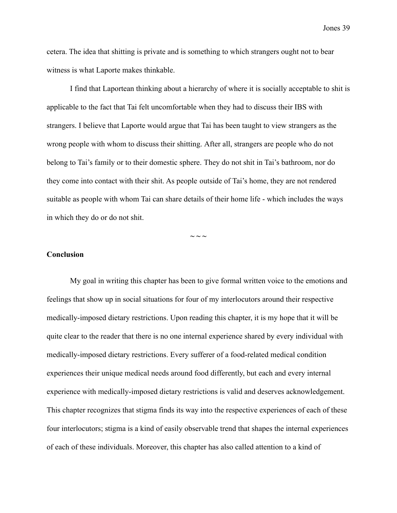cetera. The idea that shitting is private and is something to which strangers ought not to bear witness is what Laporte makes thinkable.

I find that Laportean thinking about a hierarchy of where it is socially acceptable to shit is applicable to the fact that Tai felt uncomfortable when they had to discuss their IBS with strangers. I believe that Laporte would argue that Tai has been taught to view strangers as the wrong people with whom to discuss their shitting. After all, strangers are people who do not belong to Tai's family or to their domestic sphere. They do not shit in Tai's bathroom, nor do they come into contact with their shit. As people outside of Tai's home, they are not rendered suitable as people with whom Tai can share details of their home life - which includes the ways in which they do or do not shit.

 $\sim$   $\sim$   $\sim$ 

## **Conclusion**

My goal in writing this chapter has been to give formal written voice to the emotions and feelings that show up in social situations for four of my interlocutors around their respective medically-imposed dietary restrictions. Upon reading this chapter, it is my hope that it will be quite clear to the reader that there is no one internal experience shared by every individual with medically-imposed dietary restrictions. Every sufferer of a food-related medical condition experiences their unique medical needs around food differently, but each and every internal experience with medically-imposed dietary restrictions is valid and deserves acknowledgement. This chapter recognizes that stigma finds its way into the respective experiences of each of these four interlocutors; stigma is a kind of easily observable trend that shapes the internal experiences of each of these individuals. Moreover, this chapter has also called attention to a kind of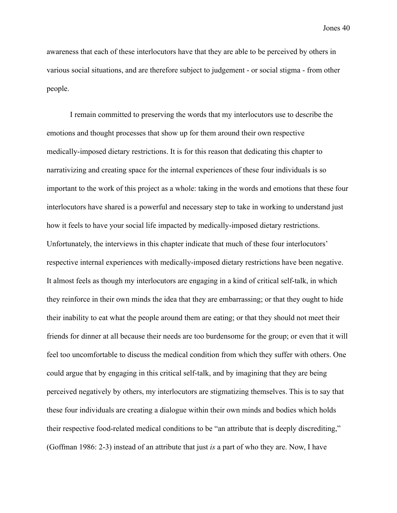awareness that each of these interlocutors have that they are able to be perceived by others in various social situations, and are therefore subject to judgement - or social stigma - from other people.

I remain committed to preserving the words that my interlocutors use to describe the emotions and thought processes that show up for them around their own respective medically-imposed dietary restrictions. It is for this reason that dedicating this chapter to narrativizing and creating space for the internal experiences of these four individuals is so important to the work of this project as a whole: taking in the words and emotions that these four interlocutors have shared is a powerful and necessary step to take in working to understand just how it feels to have your social life impacted by medically-imposed dietary restrictions. Unfortunately, the interviews in this chapter indicate that much of these four interlocutors' respective internal experiences with medically-imposed dietary restrictions have been negative. It almost feels as though my interlocutors are engaging in a kind of critical self-talk, in which they reinforce in their own minds the idea that they are embarrassing; or that they ought to hide their inability to eat what the people around them are eating; or that they should not meet their friends for dinner at all because their needs are too burdensome for the group; or even that it will feel too uncomfortable to discuss the medical condition from which they suffer with others. One could argue that by engaging in this critical self-talk, and by imagining that they are being perceived negatively by others, my interlocutors are stigmatizing themselves. This is to say that these four individuals are creating a dialogue within their own minds and bodies which holds their respective food-related medical conditions to be "an attribute that is deeply discrediting," (Goffman 1986: 2-3) instead of an attribute that just *is* a part of who they are. Now, I have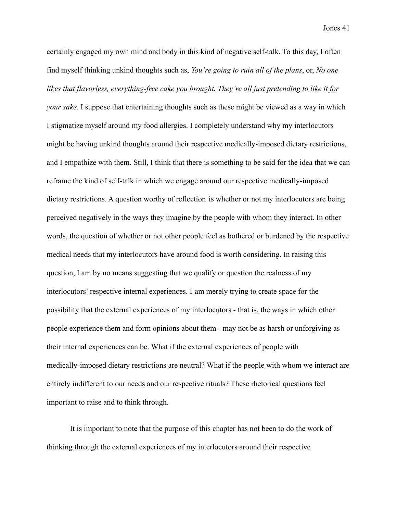certainly engaged my own mind and body in this kind of negative self-talk. To this day, I often find myself thinking unkind thoughts such as, *You're going to ruin all of the plans*, or, *No one likes that flavorless, everything-free cake you brought. They're all just pretending to like it for your sake.* I suppose that entertaining thoughts such as these might be viewed as a way in which I stigmatize myself around my food allergies. I completely understand why my interlocutors might be having unkind thoughts around their respective medically-imposed dietary restrictions, and I empathize with them. Still, I think that there is something to be said for the idea that we can reframe the kind of self-talk in which we engage around our respective medically-imposed dietary restrictions. A question worthy of reflection is whether or not my interlocutors are being perceived negatively in the ways they imagine by the people with whom they interact. In other words, the question of whether or not other people feel as bothered or burdened by the respective medical needs that my interlocutors have around food is worth considering. In raising this question, I am by no means suggesting that we qualify or question the realness of my interlocutors' respective internal experiences. I am merely trying to create space for the possibility that the external experiences of my interlocutors - that is, the ways in which other people experience them and form opinions about them - may not be as harsh or unforgiving as their internal experiences can be. What if the external experiences of people with medically-imposed dietary restrictions are neutral? What if the people with whom we interact are entirely indifferent to our needs and our respective rituals? These rhetorical questions feel important to raise and to think through.

It is important to note that the purpose of this chapter has not been to do the work of thinking through the external experiences of my interlocutors around their respective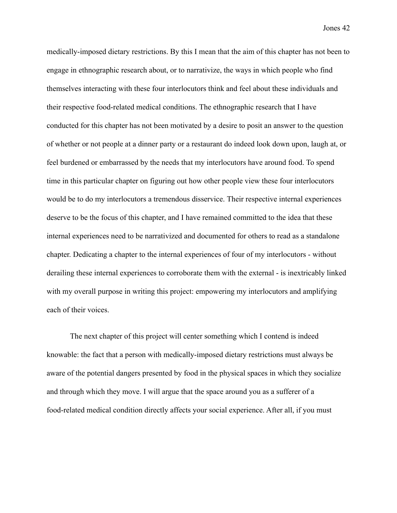medically-imposed dietary restrictions. By this I mean that the aim of this chapter has not been to engage in ethnographic research about, or to narrativize, the ways in which people who find themselves interacting with these four interlocutors think and feel about these individuals and their respective food-related medical conditions. The ethnographic research that I have conducted for this chapter has not been motivated by a desire to posit an answer to the question of whether or not people at a dinner party or a restaurant do indeed look down upon, laugh at, or feel burdened or embarrassed by the needs that my interlocutors have around food. To spend time in this particular chapter on figuring out how other people view these four interlocutors would be to do my interlocutors a tremendous disservice. Their respective internal experiences deserve to be the focus of this chapter, and I have remained committed to the idea that these internal experiences need to be narrativized and documented for others to read as a standalone chapter. Dedicating a chapter to the internal experiences of four of my interlocutors - without derailing these internal experiences to corroborate them with the external - is inextricably linked with my overall purpose in writing this project: empowering my interlocutors and amplifying each of their voices.

The next chapter of this project will center something which I contend is indeed knowable: the fact that a person with medically-imposed dietary restrictions must always be aware of the potential dangers presented by food in the physical spaces in which they socialize and through which they move. I will argue that the space around you as a sufferer of a food-related medical condition directly affects your social experience. After all, if you must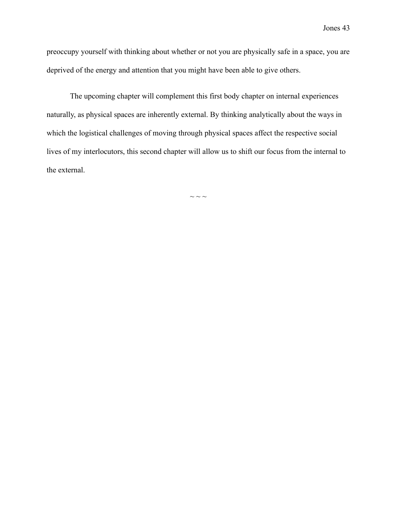preoccupy yourself with thinking about whether or not you are physically safe in a space, you are deprived of the energy and attention that you might have been able to give others.

The upcoming chapter will complement this first body chapter on internal experiences naturally, as physical spaces are inherently external. By thinking analytically about the ways in which the logistical challenges of moving through physical spaces affect the respective social lives of my interlocutors, this second chapter will allow us to shift our focus from the internal to the external.

 $\sim$   $\sim$   $\sim$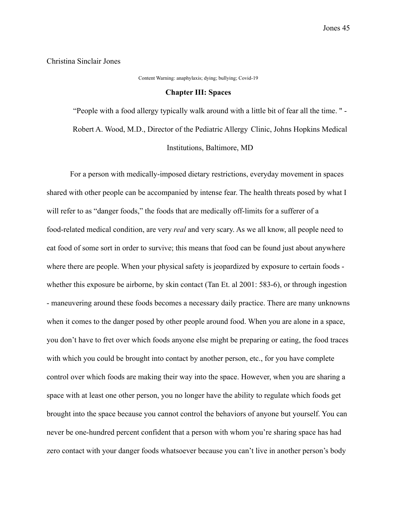Christina Sinclair Jones

Content Warning: anaphylaxis; dying; bullying; Covid-19

#### **Chapter III: Spaces**

"People with a food allergy typically walk around with a little bit of fear all the time. " - Robert A. Wood, M.D., Director of the Pediatric Allergy Clinic, Johns Hopkins Medical Institutions, Baltimore, MD

For a person with medically-imposed dietary restrictions, everyday movement in spaces shared with other people can be accompanied by intense fear. The health threats posed by what I will refer to as "danger foods," the foods that are medically off-limits for a sufferer of a food-related medical condition, are very *real* and very scary. As we all know, all people need to eat food of some sort in order to survive; this means that food can be found just about anywhere where there are people. When your physical safety is jeopardized by exposure to certain foods whether this exposure be airborne, by skin contact (Tan Et. al 2001: 583-6), or through ingestion - maneuvering around these foods becomes a necessary daily practice. There are many unknowns when it comes to the danger posed by other people around food. When you are alone in a space, you don't have to fret over which foods anyone else might be preparing or eating, the food traces with which you could be brought into contact by another person, etc., for you have complete control over which foods are making their way into the space. However, when you are sharing a space with at least one other person, you no longer have the ability to regulate which foods get brought into the space because you cannot control the behaviors of anyone but yourself. You can never be one-hundred percent confident that a person with whom you're sharing space has had zero contact with your danger foods whatsoever because you can't live in another person's body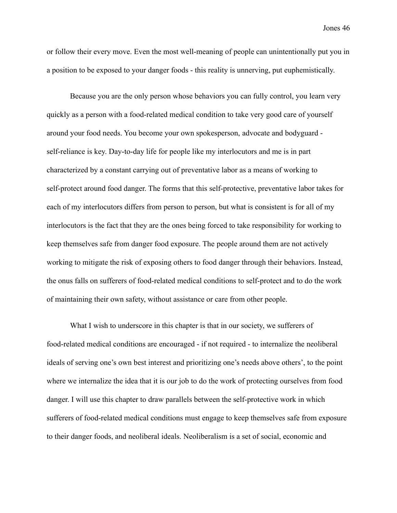or follow their every move. Even the most well-meaning of people can unintentionally put you in a position to be exposed to your danger foods - this reality is unnerving, put euphemistically.

Because you are the only person whose behaviors you can fully control, you learn very quickly as a person with a food-related medical condition to take very good care of yourself around your food needs. You become your own spokesperson, advocate and bodyguard self-reliance is key. Day-to-day life for people like my interlocutors and me is in part characterized by a constant carrying out of preventative labor as a means of working to self-protect around food danger. The forms that this self-protective, preventative labor takes for each of my interlocutors differs from person to person, but what is consistent is for all of my interlocutors is the fact that they are the ones being forced to take responsibility for working to keep themselves safe from danger food exposure. The people around them are not actively working to mitigate the risk of exposing others to food danger through their behaviors. Instead, the onus falls on sufferers of food-related medical conditions to self-protect and to do the work of maintaining their own safety, without assistance or care from other people.

What I wish to underscore in this chapter is that in our society, we sufferers of food-related medical conditions are encouraged - if not required - to internalize the neoliberal ideals of serving one's own best interest and prioritizing one's needs above others', to the point where we internalize the idea that it is our job to do the work of protecting ourselves from food danger. I will use this chapter to draw parallels between the self-protective work in which sufferers of food-related medical conditions must engage to keep themselves safe from exposure to their danger foods, and neoliberal ideals. Neoliberalism is a set of social, economic and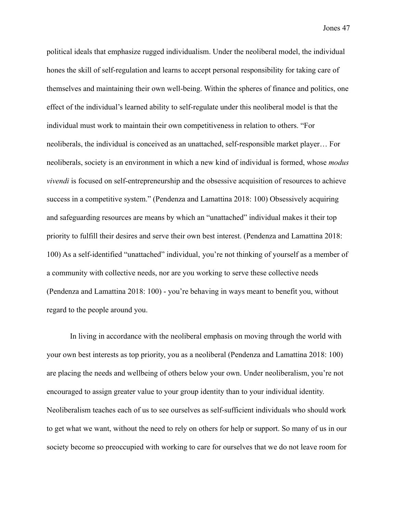political ideals that emphasize rugged individualism. Under the neoliberal model, the individual hones the skill of self-regulation and learns to accept personal responsibility for taking care of themselves and maintaining their own well-being. Within the spheres of finance and politics, one effect of the individual's learned ability to self-regulate under this neoliberal model is that the individual must work to maintain their own competitiveness in relation to others. "For neoliberals, the individual is conceived as an unattached, self-responsible market player… For neoliberals, society is an environment in which a new kind of individual is formed, whose *modus vivendi* is focused on self-entrepreneurship and the obsessive acquisition of resources to achieve success in a competitive system." (Pendenza and Lamattina 2018: 100) Obsessively acquiring and safeguarding resources are means by which an "unattached" individual makes it their top priority to fulfill their desires and serve their own best interest. (Pendenza and Lamattina 2018: 100) As a self-identified "unattached" individual, you're not thinking of yourself as a member of a community with collective needs, nor are you working to serve these collective needs (Pendenza and Lamattina 2018: 100) - you're behaving in ways meant to benefit you, without regard to the people around you.

In living in accordance with the neoliberal emphasis on moving through the world with your own best interests as top priority, you as a neoliberal (Pendenza and Lamattina 2018: 100) are placing the needs and wellbeing of others below your own. Under neoliberalism, you're not encouraged to assign greater value to your group identity than to your individual identity. Neoliberalism teaches each of us to see ourselves as self-sufficient individuals who should work to get what we want, without the need to rely on others for help or support. So many of us in our society become so preoccupied with working to care for ourselves that we do not leave room for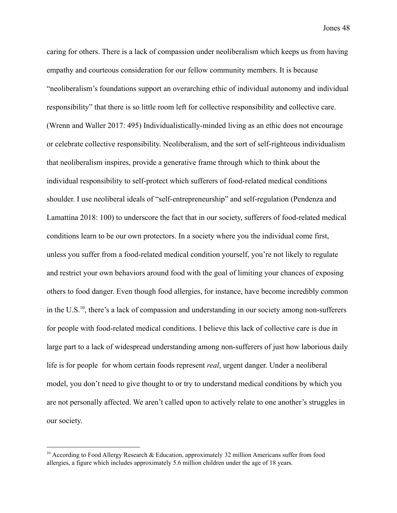caring for others. There is a lack of compassion under neoliberalism which keeps us from having empathy and courteous consideration for our fellow community members. It is because "neoliberalism's foundations support an overarching ethic of individual autonomy and individual responsibility" that there is so little room left for collective responsibility and collective care. (Wrenn and Waller 2017: 495) Individualistically-minded living as an ethic does not encourage or celebrate collective responsibility. Neoliberalism, and the sort of self-righteous individualism that neoliberalism inspires, provide a generative frame through which to think about the individual responsibility to self-protect which sufferers of food-related medical conditions shoulder. I use neoliberal ideals of "self-entrepreneurship" and self-regulation (Pendenza and Lamattina 2018: 100) to underscore the fact that in our society, sufferers of food-related medical conditions learn to be our own protectors. In a society where you the individual come first, unless you suffer from a food-related medical condition yourself, you're not likely to regulate and restrict your own behaviors around food with the goal of limiting your chances of exposing others to food danger. Even though food allergies, for instance, have become incredibly common in the U.S.<sup>10</sup>, there's a lack of compassion and understanding in our society among non-sufferers for people with food-related medical conditions. I believe this lack of collective care is due in large part to a lack of widespread understanding among non-sufferers of just how laborious daily life is for people for whom certain foods represent *real*, urgent danger. Under a neoliberal model, you don't need to give thought to or try to understand medical conditions by which you are not personally affected. We aren't called upon to actively relate to one another's struggles in our society.

 $10$  According to Food Allergy Research & Education, approximately 32 million Americans suffer from food allergies, a figure which includes approximately 5.6 million children under the age of 18 years.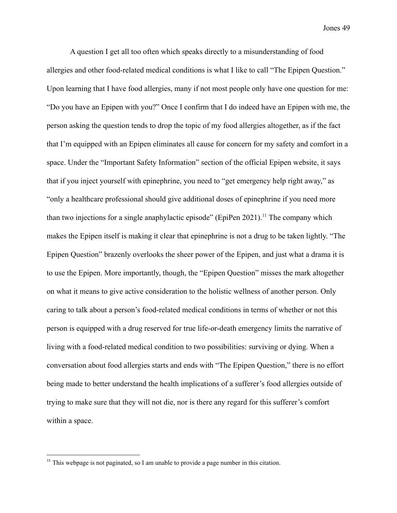A question I get all too often which speaks directly to a misunderstanding of food allergies and other food-related medical conditions is what I like to call "The Epipen Question." Upon learning that I have food allergies, many if not most people only have one question for me: "Do you have an Epipen with you?" Once I confirm that I do indeed have an Epipen with me, the person asking the question tends to drop the topic of my food allergies altogether, as if the fact that I'm equipped with an Epipen eliminates all cause for concern for my safety and comfort in a space. Under the "Important Safety Information" section of the official Epipen website, it says that if you inject yourself with epinephrine, you need to "get emergency help right away," as "only a healthcare professional should give additional doses of epinephrine if you need more than two injections for a single anaphylactic episode" (EpiPen 2021).<sup>11</sup> The company which makes the Epipen itself is making it clear that epinephrine is not a drug to be taken lightly. "The Epipen Question" brazenly overlooks the sheer power of the Epipen, and just what a drama it is to use the Epipen. More importantly, though, the "Epipen Question" misses the mark altogether on what it means to give active consideration to the holistic wellness of another person. Only caring to talk about a person's food-related medical conditions in terms of whether or not this person is equipped with a drug reserved for true life-or-death emergency limits the narrative of living with a food-related medical condition to two possibilities: surviving or dying. When a conversation about food allergies starts and ends with "The Epipen Question," there is no effort being made to better understand the health implications of a sufferer's food allergies outside of trying to make sure that they will not die, nor is there any regard for this sufferer's comfort within a space.

<sup>&</sup>lt;sup>11</sup> This webpage is not paginated, so I am unable to provide a page number in this citation.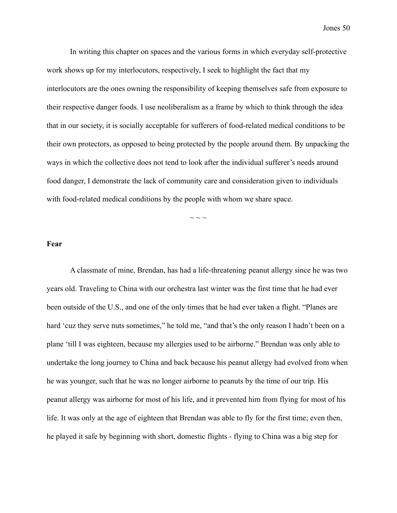In writing this chapter on spaces and the various forms in which everyday self-protective work shows up for my interlocutors, respectively, I seek to highlight the fact that my interlocutors are the ones owning the responsibility of keeping themselves safe from exposure to their respective danger foods. I use neoliberalism as a frame by which to think through the idea that in our society, it is socially acceptable for sufferers of food-related medical conditions to be their own protectors, as opposed to being protected by the people around them. By unpacking the ways in which the collective does not tend to look after the individual sufferer's needs around food danger, I demonstrate the lack of community care and consideration given to individuals with food-related medical conditions by the people with whom we share space.

 $\sim$  ~ ~

### **Fear**

A classmate of mine, Brendan, has had a life-threatening peanut allergy since he was two years old. Traveling to China with our orchestra last winter was the first time that he had ever been outside of the U.S., and one of the only times that he had ever taken a flight. "Planes are hard 'cuz they serve nuts sometimes," he told me, "and that's the only reason I hadn't been on a plane 'till I was eighteen, because my allergies used to be airborne." Brendan was only able to undertake the long journey to China and back because his peanut allergy had evolved from when he was younger, such that he was no longer airborne to peanuts by the time of our trip. His peanut allergy was airborne for most of his life, and it prevented him from flying for most of his life. It was only at the age of eighteen that Brendan was able to fly for the first time; even then, he played it safe by beginning with short, domestic flights - flying to China was a big step for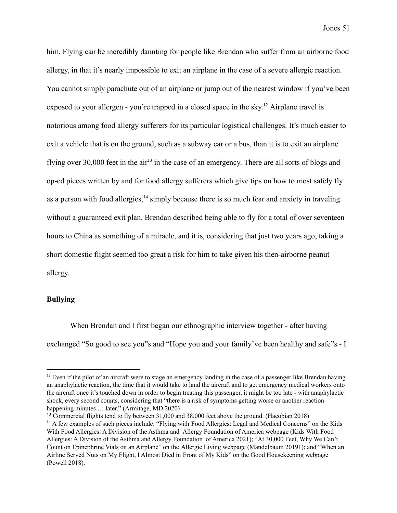him. Flying can be incredibly daunting for people like Brendan who suffer from an airborne food allergy, in that it's nearly impossible to exit an airplane in the case of a severe allergic reaction. You cannot simply parachute out of an airplane or jump out of the nearest window if you've been exposed to your allergen - you're trapped in a closed space in the sky.<sup>12</sup> Airplane travel is notorious among food allergy sufferers for its particular logistical challenges. It's much easier to exit a vehicle that is on the ground, such as a subway car or a bus, than it is to exit an airplane flying over 30,000 feet in the air<sup>13</sup> in the case of an emergency. There are all sorts of blogs and op-ed pieces written by and for food allergy sufferers which give tips on how to most safely fly as a person with food allergies,  $\frac{14}{4}$  simply because there is so much fear and anxiety in traveling without a guaranteed exit plan. Brendan described being able to fly for a total of over seventeen hours to China as something of a miracle, and it is, considering that just two years ago, taking a short domestic flight seemed too great a risk for him to take given his then-airborne peanut allergy.

# **Bullying**

When Brendan and I first began our ethnographic interview together - after having exchanged "So good to see you"s and "Hope you and your family've been healthy and safe"s - I

 $12$  Even if the pilot of an aircraft were to stage an emergency landing in the case of a passenger like Brendan having an anaphylactic reaction, the time that it would take to land the aircraft and to get emergency medical workers onto the aircraft once it's touched down in order to begin treating this passenger, it might be too late - with anaphylactic shock, every second counts, considering that "there is a risk of symptoms getting worse or another reaction happening minutes … later." (Armitage, MD 2020)

<sup>13</sup> Commercial flights tend to fly between 31,000 and 38,000 feet above the ground. (Hacobian 2018)

<sup>&</sup>lt;sup>14</sup> A few examples of such pieces include: "Flying with Food Allergies: Legal and Medical Concerns" on the Kids With Food Allergies: A Division of the Asthma and Allergy Foundation of America webpage (Kids With Food Allergies: A Division of the Asthma and Allergy Foundation of America 2021); "At 30,000 Feet, Why We Can't Count on Epinephrine Vials on an Airplane" on the Allergic Living webpage ([Mandelbaum](https://www.allergicliving.com/author/lianne-mandelbaum/) 20191); and "When an Airline Served Nuts on My Flight, I Almost Died in Front of My Kids" on the Good Housekeeping webpage (Powell 2018).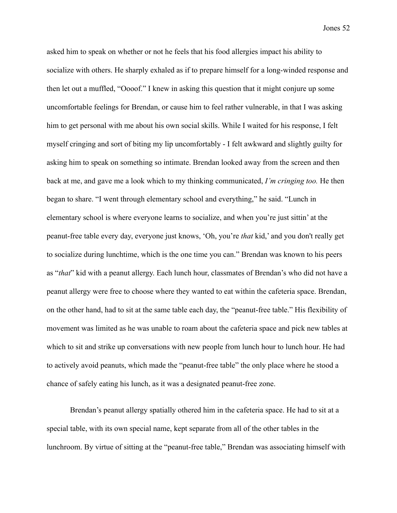asked him to speak on whether or not he feels that his food allergies impact his ability to socialize with others. He sharply exhaled as if to prepare himself for a long-winded response and then let out a muffled, "Oooof." I knew in asking this question that it might conjure up some uncomfortable feelings for Brendan, or cause him to feel rather vulnerable, in that I was asking him to get personal with me about his own social skills. While I waited for his response, I felt myself cringing and sort of biting my lip uncomfortably - I felt awkward and slightly guilty for asking him to speak on something so intimate. Brendan looked away from the screen and then back at me, and gave me a look which to my thinking communicated, *I'm cringing too.* He then began to share. "I went through elementary school and everything," he said. "Lunch in elementary school is where everyone learns to socialize, and when you're just sittin' at the peanut-free table every day, everyone just knows, 'Oh, you're *that* kid,' and you don't really get to socialize during lunchtime, which is the one time you can." Brendan was known to his peers as "*that*" kid with a peanut allergy. Each lunch hour, classmates of Brendan's who did not have a peanut allergy were free to choose where they wanted to eat within the cafeteria space. Brendan, on the other hand, had to sit at the same table each day, the "peanut-free table." His flexibility of movement was limited as he was unable to roam about the cafeteria space and pick new tables at which to sit and strike up conversations with new people from lunch hour to lunch hour. He had to actively avoid peanuts, which made the "peanut-free table" the only place where he stood a chance of safely eating his lunch, as it was a designated peanut-free zone.

Brendan's peanut allergy spatially othered him in the cafeteria space. He had to sit at a special table, with its own special name, kept separate from all of the other tables in the lunchroom. By virtue of sitting at the "peanut-free table," Brendan was associating himself with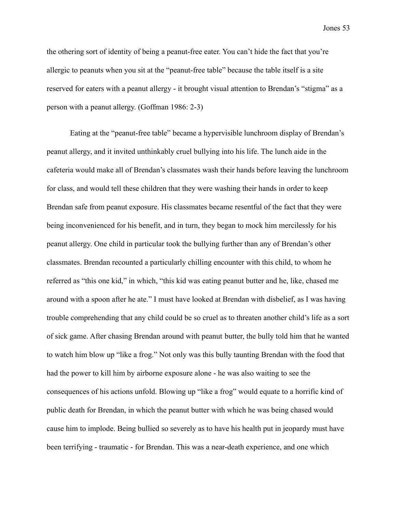the othering sort of identity of being a peanut-free eater. You can't hide the fact that you're allergic to peanuts when you sit at the "peanut-free table" because the table itself is a site reserved for eaters with a peanut allergy - it brought visual attention to Brendan's "stigma" as a person with a peanut allergy. (Goffman 1986: 2-3)

Eating at the "peanut-free table" became a hypervisible lunchroom display of Brendan's peanut allergy, and it invited unthinkably cruel bullying into his life. The lunch aide in the cafeteria would make all of Brendan's classmates wash their hands before leaving the lunchroom for class, and would tell these children that they were washing their hands in order to keep Brendan safe from peanut exposure. His classmates became resentful of the fact that they were being inconvenienced for his benefit, and in turn, they began to mock him mercilessly for his peanut allergy. One child in particular took the bullying further than any of Brendan's other classmates. Brendan recounted a particularly chilling encounter with this child, to whom he referred as "this one kid," in which, "this kid was eating peanut butter and he, like, chased me around with a spoon after he ate." I must have looked at Brendan with disbelief, as I was having trouble comprehending that any child could be so cruel as to threaten another child's life as a sort of sick game. After chasing Brendan around with peanut butter, the bully told him that he wanted to watch him blow up "like a frog." Not only was this bully taunting Brendan with the food that had the power to kill him by airborne exposure alone - he was also waiting to see the consequences of his actions unfold. Blowing up "like a frog" would equate to a horrific kind of public death for Brendan, in which the peanut butter with which he was being chased would cause him to implode. Being bullied so severely as to have his health put in jeopardy must have been terrifying - traumatic - for Brendan. This was a near-death experience, and one which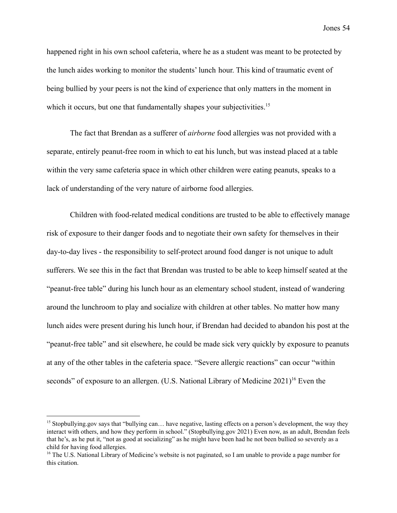happened right in his own school cafeteria, where he as a student was meant to be protected by the lunch aides working to monitor the students' lunch hour. This kind of traumatic event of being bullied by your peers is not the kind of experience that only matters in the moment in which it occurs, but one that fundamentally shapes your subjectivities.<sup>15</sup>

The fact that Brendan as a sufferer of *airborne* food allergies was not provided with a separate, entirely peanut-free room in which to eat his lunch, but was instead placed at a table within the very same cafeteria space in which other children were eating peanuts, speaks to a lack of understanding of the very nature of airborne food allergies.

Children with food-related medical conditions are trusted to be able to effectively manage risk of exposure to their danger foods and to negotiate their own safety for themselves in their day-to-day lives - the responsibility to self-protect around food danger is not unique to adult sufferers. We see this in the fact that Brendan was trusted to be able to keep himself seated at the "peanut-free table" during his lunch hour as an elementary school student, instead of wandering around the lunchroom to play and socialize with children at other tables. No matter how many lunch aides were present during his lunch hour, if Brendan had decided to abandon his post at the "peanut-free table" and sit elsewhere, he could be made sick very quickly by exposure to peanuts at any of the other tables in the cafeteria space. "Severe allergic reactions" can occur "within seconds" of exposure to an allergen. (U.S. National Library of Medicine  $2021$ )<sup>16</sup> Even the

<sup>&</sup>lt;sup>15</sup> Stopbullying gov says that "bullying can... have negative, lasting effects on a person's development, the way they interact with others, and how they perform in school." (Stopbullying.gov 2021) Even now, as an adult, Brendan feels that he's, as he put it, "not as good at socializing" as he might have been had he not been bullied so severely as a child for having food allergies.

<sup>&</sup>lt;sup>16</sup> The U.S. National Library of Medicine's website is not paginated, so I am unable to provide a page number for this citation.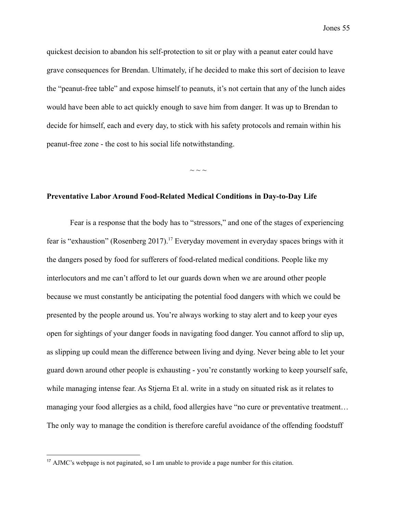quickest decision to abandon his self-protection to sit or play with a peanut eater could have grave consequences for Brendan. Ultimately, if he decided to make this sort of decision to leave the "peanut-free table" and expose himself to peanuts, it's not certain that any of the lunch aides would have been able to act quickly enough to save him from danger. It was up to Brendan to decide for himself, each and every day, to stick with his safety protocols and remain within his peanut-free zone - the cost to his social life notwithstanding.

 $\sim$  ~ ~

# **Preventative Labor Around Food-Related Medical Conditions in Day-to-Day Life**

Fear is a response that the body has to "stressors," and one of the stages of experiencing fear is "exhaustion" (Rosenberg 2017).<sup>17</sup> Everyday movement in everyday spaces brings with it the dangers posed by food for sufferers of food-related medical conditions. People like my interlocutors and me can't afford to let our guards down when we are around other people because we must constantly be anticipating the potential food dangers with which we could be presented by the people around us. You're always working to stay alert and to keep your eyes open for sightings of your danger foods in navigating food danger. You cannot afford to slip up, as slipping up could mean the difference between living and dying. Never being able to let your guard down around other people is exhausting - you're constantly working to keep yourself safe, while managing intense fear. As Stjerna Et al. write in a study on situated risk as it relates to managing your food allergies as a child, food allergies have "no cure or preventative treatment… The only way to manage the condition is therefore careful avoidance of the offending foodstuff

<sup>17</sup> AJMC's webpage is not paginated, so I am unable to provide a page number for this citation.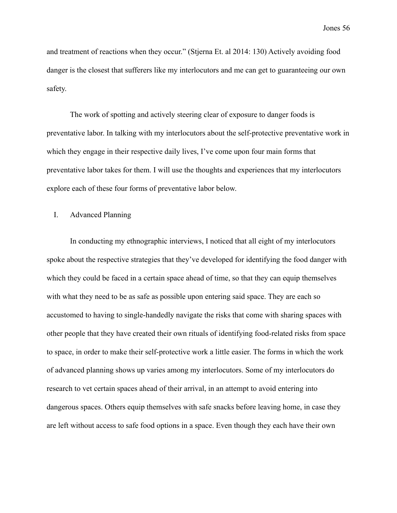and treatment of reactions when they occur." (Stjerna Et. al 2014: 130) Actively avoiding food danger is the closest that sufferers like my interlocutors and me can get to guaranteeing our own safety.

The work of spotting and actively steering clear of exposure to danger foods is preventative labor. In talking with my interlocutors about the self-protective preventative work in which they engage in their respective daily lives. I've come upon four main forms that preventative labor takes for them. I will use the thoughts and experiences that my interlocutors explore each of these four forms of preventative labor below.

I. Advanced Planning

In conducting my ethnographic interviews, I noticed that all eight of my interlocutors spoke about the respective strategies that they've developed for identifying the food danger with which they could be faced in a certain space ahead of time, so that they can equip themselves with what they need to be as safe as possible upon entering said space. They are each so accustomed to having to single-handedly navigate the risks that come with sharing spaces with other people that they have created their own rituals of identifying food-related risks from space to space, in order to make their self-protective work a little easier. The forms in which the work of advanced planning shows up varies among my interlocutors. Some of my interlocutors do research to vet certain spaces ahead of their arrival, in an attempt to avoid entering into dangerous spaces. Others equip themselves with safe snacks before leaving home, in case they are left without access to safe food options in a space. Even though they each have their own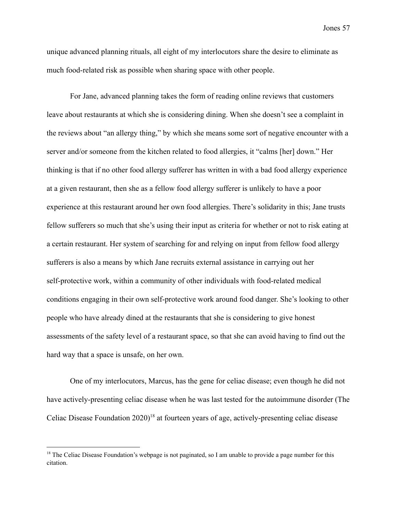unique advanced planning rituals, all eight of my interlocutors share the desire to eliminate as much food-related risk as possible when sharing space with other people.

For Jane, advanced planning takes the form of reading online reviews that customers leave about restaurants at which she is considering dining. When she doesn't see a complaint in the reviews about "an allergy thing," by which she means some sort of negative encounter with a server and/or someone from the kitchen related to food allergies, it "calms [her] down." Her thinking is that if no other food allergy sufferer has written in with a bad food allergy experience at a given restaurant, then she as a fellow food allergy sufferer is unlikely to have a poor experience at this restaurant around her own food allergies. There's solidarity in this; Jane trusts fellow sufferers so much that she's using their input as criteria for whether or not to risk eating at a certain restaurant. Her system of searching for and relying on input from fellow food allergy sufferers is also a means by which Jane recruits external assistance in carrying out her self-protective work, within a community of other individuals with food-related medical conditions engaging in their own self-protective work around food danger. She's looking to other people who have already dined at the restaurants that she is considering to give honest assessments of the safety level of a restaurant space, so that she can avoid having to find out the hard way that a space is unsafe, on her own.

One of my interlocutors, Marcus, has the gene for celiac disease; even though he did not have actively-presenting celiac disease when he was last tested for the autoimmune disorder (The Celiac Disease Foundation  $2020$ <sup>18</sup> at fourteen years of age, actively-presenting celiac disease

<sup>&</sup>lt;sup>18</sup> The Celiac Disease Foundation's webpage is not paginated, so I am unable to provide a page number for this citation.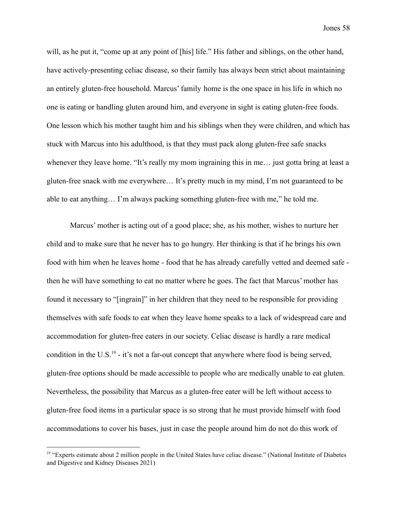will, as he put it, "come up at any point of [his] life." His father and siblings, on the other hand, have actively-presenting celiac disease, so their family has always been strict about maintaining an entirely gluten-free household. Marcus' family home is the one space in his life in which no one is eating or handling gluten around him, and everyone in sight is eating gluten-free foods. One lesson which his mother taught him and his siblings when they were children, and which has stuck with Marcus into his adulthood, is that they must pack along gluten-free safe snacks whenever they leave home. "It's really my mom ingraining this in me… just gotta bring at least a gluten-free snack with me everywhere… It's pretty much in my mind, I'm not guaranteed to be able to eat anything… I'm always packing something gluten-free with me," he told me.

Marcus' mother is acting out of a good place; she, as his mother, wishes to nurture her child and to make sure that he never has to go hungry. Her thinking is that if he brings his own food with him when he leaves home - food that he has already carefully vetted and deemed safe then he will have something to eat no matter where he goes. The fact that Marcus' mother has found it necessary to "[ingrain]" in her children that they need to be responsible for providing themselves with safe foods to eat when they leave home speaks to a lack of widespread care and accommodation for gluten-free eaters in our society. Celiac disease is hardly a rare medical condition in the U.S.<sup>19</sup> - it's not a far-out concept that anywhere where food is being served, gluten-free options should be made accessible to people who are medically unable to eat gluten. Nevertheless, the possibility that Marcus as a gluten-free eater will be left without access to gluten-free food items in a particular space is so strong that he must provide himself with food accommodations to cover his bases, just in case the people around him do not do this work of

 $19$  "Experts estimate about 2 million people in the United States have celiac disease." (National Institute of Diabetes and Digestive and Kidney Diseases 2021)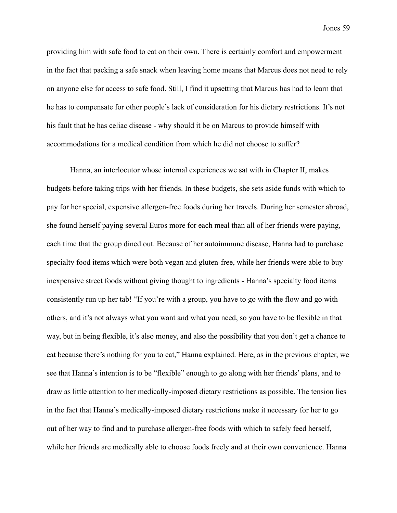providing him with safe food to eat on their own. There is certainly comfort and empowerment in the fact that packing a safe snack when leaving home means that Marcus does not need to rely on anyone else for access to safe food. Still, I find it upsetting that Marcus has had to learn that he has to compensate for other people's lack of consideration for his dietary restrictions. It's not his fault that he has celiac disease - why should it be on Marcus to provide himself with accommodations for a medical condition from which he did not choose to suffer?

Hanna, an interlocutor whose internal experiences we sat with in Chapter II, makes budgets before taking trips with her friends. In these budgets, she sets aside funds with which to pay for her special, expensive allergen-free foods during her travels. During her semester abroad, she found herself paying several Euros more for each meal than all of her friends were paying, each time that the group dined out. Because of her autoimmune disease, Hanna had to purchase specialty food items which were both vegan and gluten-free, while her friends were able to buy inexpensive street foods without giving thought to ingredients - Hanna's specialty food items consistently run up her tab! "If you're with a group, you have to go with the flow and go with others, and it's not always what you want and what you need, so you have to be flexible in that way, but in being flexible, it's also money, and also the possibility that you don't get a chance to eat because there's nothing for you to eat," Hanna explained. Here, as in the previous chapter, we see that Hanna's intention is to be "flexible" enough to go along with her friends' plans, and to draw as little attention to her medically-imposed dietary restrictions as possible. The tension lies in the fact that Hanna's medically-imposed dietary restrictions make it necessary for her to go out of her way to find and to purchase allergen-free foods with which to safely feed herself, while her friends are medically able to choose foods freely and at their own convenience. Hanna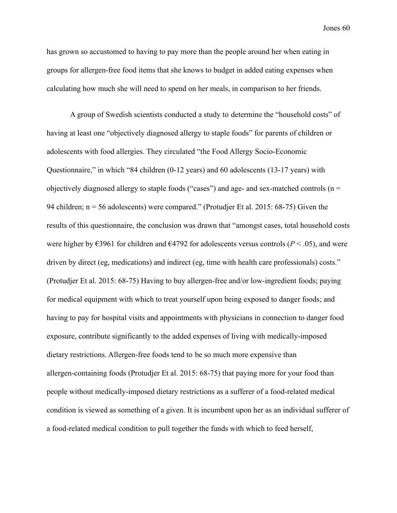has grown so accustomed to having to pay more than the people around her when eating in groups for allergen-free food items that she knows to budget in added eating expenses when calculating how much she will need to spend on her meals, in comparison to her friends.

A group of Swedish scientists conducted a study to determine the "household costs" of having at least one "objectively diagnosed allergy to staple foods" for parents of children or adolescents with food allergies. They circulated "the Food Allergy Socio-Economic Questionnaire," in which "84 children (0-12 years) and 60 adolescents (13-17 years) with objectively diagnosed allergy to staple foods ("cases") and age- and sex-matched controls ( $n =$ 94 children; n = 56 adolescents) were compared." (Protudjer Et al. 2015: 68-75) Given the results of this questionnaire, the conclusion was drawn that "amongst cases, total household costs were higher by  $\epsilon$ 3961 for children and  $\epsilon$ 4792 for adolescents versus controls (*P* < .05), and were driven by direct (eg, medications) and indirect (eg, time with health care professionals) costs." (Protudjer Et al. 2015: 68-75) Having to buy allergen-free and/or low-ingredient foods; paying for medical equipment with which to treat yourself upon being exposed to danger foods; and having to pay for hospital visits and appointments with physicians in connection to danger food exposure, contribute significantly to the added expenses of living with medically-imposed dietary restrictions. Allergen-free foods tend to be so much more expensive than allergen-containing foods (Protudjer Et al. 2015: 68-75) that paying more for your food than people without medically-imposed dietary restrictions as a sufferer of a food-related medical condition is viewed as something of a given. It is incumbent upon her as an individual sufferer of a food-related medical condition to pull together the funds with which to feed herself,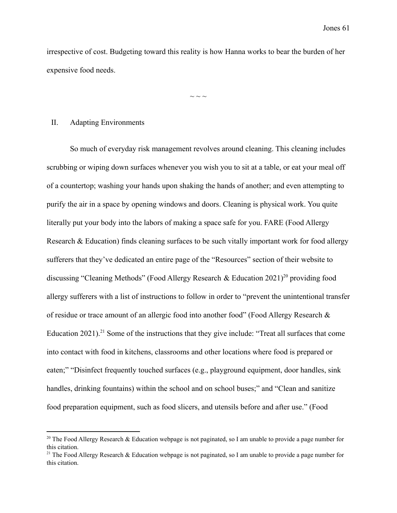irrespective of cost. Budgeting toward this reality is how Hanna works to bear the burden of her expensive food needs.

 $\sim$   $\sim$   $\sim$ 

#### II. Adapting Environments

So much of everyday risk management revolves around cleaning. This cleaning includes scrubbing or wiping down surfaces whenever you wish you to sit at a table, or eat your meal off of a countertop; washing your hands upon shaking the hands of another; and even attempting to purify the air in a space by opening windows and doors. Cleaning is physical work. You quite literally put your body into the labors of making a space safe for you. FARE (Food Allergy Research & Education) finds cleaning surfaces to be such vitally important work for food allergy sufferers that they've dedicated an entire page of the "Resources" section of their website to discussing "Cleaning Methods" (Food Allergy Research & Education 2021)<sup>20</sup> providing food allergy sufferers with a list of instructions to follow in order to "prevent the unintentional transfer of residue or trace amount of an allergic food into another food" (Food Allergy Research & Education 2021).<sup>21</sup> Some of the instructions that they give include: "Treat all surfaces that come into contact with food in kitchens, classrooms and other locations where food is prepared or eaten;" "Disinfect frequently touched surfaces (e.g., playground equipment, door handles, sink handles, drinking fountains) within the school and on school buses;" and "Clean and sanitize food preparation equipment, such as food slicers, and utensils before and after use." (Food

<sup>&</sup>lt;sup>20</sup> The Food Allergy Research & Education webpage is not paginated, so I am unable to provide a page number for this citation.

<sup>&</sup>lt;sup>21</sup> The Food Allergy Research & Education webpage is not paginated, so I am unable to provide a page number for this citation.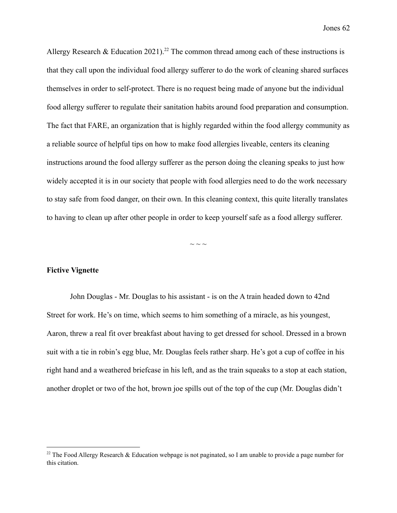Allergy Research & Education 2021).<sup>22</sup> The common thread among each of these instructions is that they call upon the individual food allergy sufferer to do the work of cleaning shared surfaces themselves in order to self-protect. There is no request being made of anyone but the individual food allergy sufferer to regulate their sanitation habits around food preparation and consumption. The fact that FARE, an organization that is highly regarded within the food allergy community as a reliable source of helpful tips on how to make food allergies liveable, centers its cleaning instructions around the food allergy sufferer as the person doing the cleaning speaks to just how widely accepted it is in our society that people with food allergies need to do the work necessary to stay safe from food danger, on their own. In this cleaning context, this quite literally translates to having to clean up after other people in order to keep yourself safe as a food allergy sufferer.

 $\sim$   $\sim$   $\sim$ 

### **Fictive Vignette**

John Douglas - Mr. Douglas to his assistant - is on the A train headed down to 42nd Street for work. He's on time, which seems to him something of a miracle, as his youngest, Aaron, threw a real fit over breakfast about having to get dressed for school. Dressed in a brown suit with a tie in robin's egg blue, Mr. Douglas feels rather sharp. He's got a cup of coffee in his right hand and a weathered briefcase in his left, and as the train squeaks to a stop at each station, another droplet or two of the hot, brown joe spills out of the top of the cup (Mr. Douglas didn't

<sup>&</sup>lt;sup>22</sup> The Food Allergy Research & Education webpage is not paginated, so I am unable to provide a page number for this citation.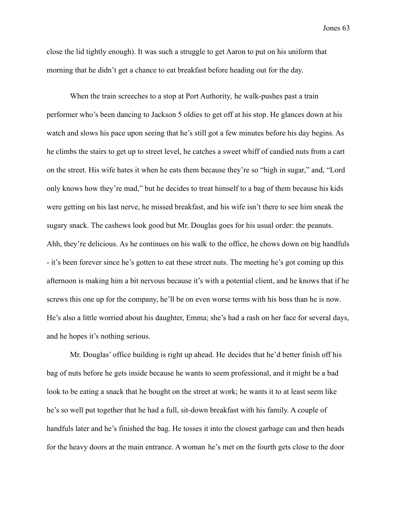close the lid tightly enough). It was such a struggle to get Aaron to put on his uniform that morning that he didn't get a chance to eat breakfast before heading out for the day.

When the train screeches to a stop at Port Authority, he walk-pushes past a train performer who's been dancing to Jackson 5 oldies to get off at his stop. He glances down at his watch and slows his pace upon seeing that he's still got a few minutes before his day begins. As he climbs the stairs to get up to street level, he catches a sweet whiff of candied nuts from a cart on the street. His wife hates it when he eats them because they're so "high in sugar," and, "Lord only knows how they're mad," but he decides to treat himself to a bag of them because his kids were getting on his last nerve, he missed breakfast, and his wife isn't there to see him sneak the sugary snack. The cashews look good but Mr. Douglas goes for his usual order: the peanuts. Ahh, they're delicious. As he continues on his walk to the office, he chows down on big handfuls - it's been forever since he's gotten to eat these street nuts. The meeting he's got coming up this afternoon is making him a bit nervous because it's with a potential client, and he knows that if he screws this one up for the company, he'll be on even worse terms with his boss than he is now. He's also a little worried about his daughter, Emma; she's had a rash on her face for several days, and he hopes it's nothing serious.

Mr. Douglas' office building is right up ahead. He decides that he'd better finish off his bag of nuts before he gets inside because he wants to seem professional, and it might be a bad look to be eating a snack that he bought on the street at work; he wants it to at least seem like he's so well put together that he had a full, sit-down breakfast with his family. A couple of handfuls later and he's finished the bag. He tosses it into the closest garbage can and then heads for the heavy doors at the main entrance. A woman he's met on the fourth gets close to the door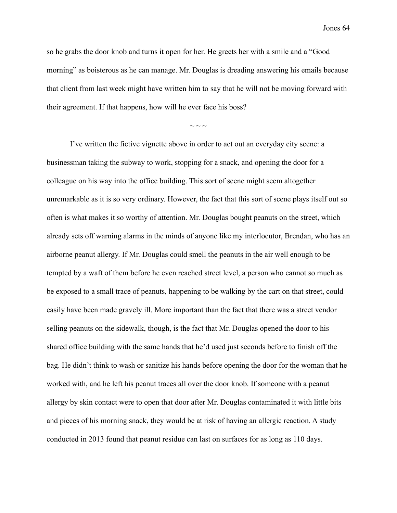so he grabs the door knob and turns it open for her. He greets her with a smile and a "Good morning" as boisterous as he can manage. Mr. Douglas is dreading answering his emails because that client from last week might have written him to say that he will not be moving forward with their agreement. If that happens, how will he ever face his boss?

 $\sim$  ~ ~

I've written the fictive vignette above in order to act out an everyday city scene: a businessman taking the subway to work, stopping for a snack, and opening the door for a colleague on his way into the office building. This sort of scene might seem altogether unremarkable as it is so very ordinary. However, the fact that this sort of scene plays itself out so often is what makes it so worthy of attention. Mr. Douglas bought peanuts on the street, which already sets off warning alarms in the minds of anyone like my interlocutor, Brendan, who has an airborne peanut allergy. If Mr. Douglas could smell the peanuts in the air well enough to be tempted by a waft of them before he even reached street level, a person who cannot so much as be exposed to a small trace of peanuts, happening to be walking by the cart on that street, could easily have been made gravely ill. More important than the fact that there was a street vendor selling peanuts on the sidewalk, though, is the fact that Mr. Douglas opened the door to his shared office building with the same hands that he'd used just seconds before to finish off the bag. He didn't think to wash or sanitize his hands before opening the door for the woman that he worked with, and he left his peanut traces all over the door knob. If someone with a peanut allergy by skin contact were to open that door after Mr. Douglas contaminated it with little bits and pieces of his morning snack, they would be at risk of having an allergic reaction. A study conducted in 2013 found that peanut residue can last on surfaces for as long as 110 days.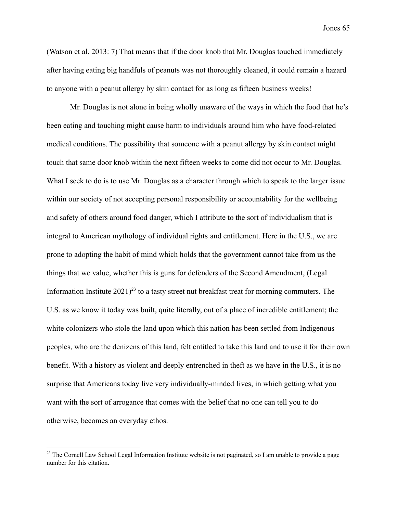(Watson et al. 2013: 7) That means that if the door knob that Mr. Douglas touched immediately after having eating big handfuls of peanuts was not thoroughly cleaned, it could remain a hazard to anyone with a peanut allergy by skin contact for as long as fifteen business weeks!

Mr. Douglas is not alone in being wholly unaware of the ways in which the food that he's been eating and touching might cause harm to individuals around him who have food-related medical conditions. The possibility that someone with a peanut allergy by skin contact might touch that same door knob within the next fifteen weeks to come did not occur to Mr. Douglas. What I seek to do is to use Mr. Douglas as a character through which to speak to the larger issue within our society of not accepting personal responsibility or accountability for the wellbeing and safety of others around food danger, which I attribute to the sort of individualism that is integral to American mythology of individual rights and entitlement. Here in the U.S., we are prone to adopting the habit of mind which holds that the government cannot take from us the things that we value, whether this is guns for defenders of the Second Amendment, (Legal Information Institute  $2021$ <sup>23</sup> to a tasty street nut breakfast treat for morning commuters. The U.S. as we know it today was built, quite literally, out of a place of incredible entitlement; the white colonizers who stole the land upon which this nation has been settled from Indigenous peoples, who are the denizens of this land, felt entitled to take this land and to use it for their own benefit. With a history as violent and deeply entrenched in theft as we have in the U.S., it is no surprise that Americans today live very individually-minded lives, in which getting what you want with the sort of arrogance that comes with the belief that no one can tell you to do otherwise, becomes an everyday ethos.

<sup>&</sup>lt;sup>23</sup> The Cornell Law School Legal Information Institute website is not paginated, so I am unable to provide a page number for this citation.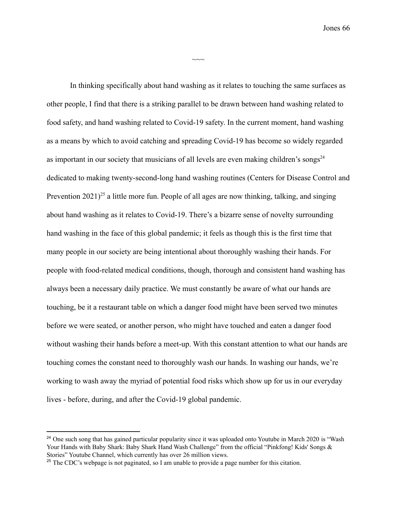In thinking specifically about hand washing as it relates to touching the same surfaces as other people, I find that there is a striking parallel to be drawn between hand washing related to food safety, and hand washing related to Covid-19 safety. In the current moment, hand washing as a means by which to avoid catching and spreading Covid-19 has become so widely regarded as important in our society that musicians of all levels are even making children's songs $^{24}$ dedicated to making twenty-second-long hand washing routines (Centers for Disease Control and Prevention  $2021$ <sup>25</sup> a little more fun. People of all ages are now thinking, talking, and singing about hand washing as it relates to Covid-19. There's a bizarre sense of novelty surrounding hand washing in the face of this global pandemic; it feels as though this is the first time that many people in our society are being intentional about thoroughly washing their hands. For people with food-related medical conditions, though, thorough and consistent hand washing has always been a necessary daily practice. We must constantly be aware of what our hands are touching, be it a restaurant table on which a danger food might have been served two minutes before we were seated, or another person, who might have touched and eaten a danger food without washing their hands before a meet-up. With this constant attention to what our hands are touching comes the constant need to thoroughly wash our hands. In washing our hands, we're working to wash away the myriad of potential food risks which show up for us in our everyday lives - before, during, and after the Covid-19 global pandemic.

 $\sim\sim$ 

<sup>&</sup>lt;sup>24</sup> One such song that has gained particular popularity since it was uploaded onto Youtube in March 2020 is "Wash" Your Hands with Baby Shark: Baby Shark Hand Wash Challenge" from the official ["Pinkfong!](https://www.youtube.com/channel/UCcdwLMPsaU2ezNSJU1nFoBQ) Kids' Songs & [Stories"](https://www.youtube.com/channel/UCcdwLMPsaU2ezNSJU1nFoBQ) Youtube Channel, which currently has over 26 million views.

<sup>&</sup>lt;sup>25</sup> The CDC's webpage is not paginated, so I am unable to provide a page number for this citation.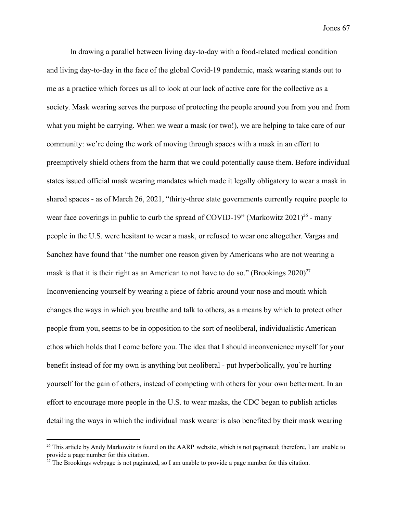In drawing a parallel between living day-to-day with a food-related medical condition and living day-to-day in the face of the global Covid-19 pandemic, mask wearing stands out to me as a practice which forces us all to look at our lack of active care for the collective as a society. Mask wearing serves the purpose of protecting the people around you from you and from what you might be carrying. When we wear a mask (or two!), we are helping to take care of our community: we're doing the work of moving through spaces with a mask in an effort to preemptively shield others from the harm that we could potentially cause them. Before individual states issued official mask wearing mandates which made it legally obligatory to wear a mask in shared spaces - as of March 26, 2021, "thirty-three state governments currently require people to [wear face coverings](https://www.aarp.org/health/conditions-treatments/info-2020/face-masks-protect-wearer.html) in public to curb the spread of [COVID-19"](https://www.aarp.org/health/conditions-treatments/info-2020/coronavirus-facts.html) (Markowitz  $2021$ )<sup>26</sup> - many people in the U.S. were hesitant to wear a mask, or refused to wear one altogether. Vargas and Sanchez have found that "the number one reason given by Americans who are not wearing a mask is that it is their right as an American to not have to do so." (Brookings  $2020$ )<sup>27</sup> Inconveniencing yourself by wearing a piece of fabric around your nose and mouth which changes the ways in which you breathe and talk to others, as a means by which to protect other people from you, seems to be in opposition to the sort of neoliberal, individualistic American ethos which holds that I come before you. The idea that I should inconvenience myself for your benefit instead of for my own is anything but neoliberal - put hyperbolically, you're hurting yourself for the gain of others, instead of competing with others for your own betterment. In an effort to encourage more people in the U.S. to wear masks, the CDC began to publish articles detailing the ways in which the individual mask wearer is also benefited by their mask wearing

<sup>&</sup>lt;sup>26</sup> This article by Andy Markowitz is found on the AARP website, which is not paginated; therefore, I am unable to provide a page number for this citation.

 $27$  The Brookings webpage is not paginated, so I am unable to provide a page number for this citation.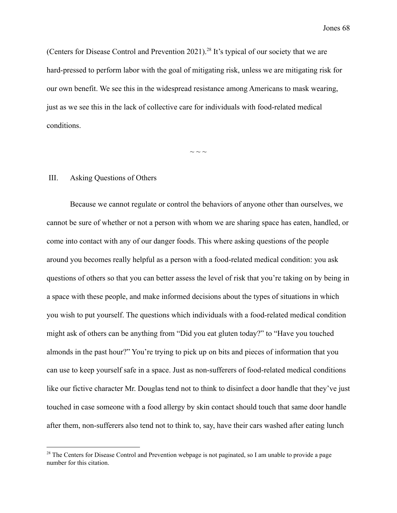(Centers for Disease Control and Prevention 2021).<sup>28</sup> It's typical of our society that we are hard-pressed to perform labor with the goal of mitigating risk, unless we are mitigating risk for our own benefit. We see this in the widespread resistance among Americans to mask wearing, just as we see this in the lack of collective care for individuals with food-related medical conditions.

 $\sim$  ~ ~

### III. Asking Questions of Others

Because we cannot regulate or control the behaviors of anyone other than ourselves, we cannot be sure of whether or not a person with whom we are sharing space has eaten, handled, or come into contact with any of our danger foods. This where asking questions of the people around you becomes really helpful as a person with a food-related medical condition: you ask questions of others so that you can better assess the level of risk that you're taking on by being in a space with these people, and make informed decisions about the types of situations in which you wish to put yourself. The questions which individuals with a food-related medical condition might ask of others can be anything from "Did you eat gluten today?" to "Have you touched almonds in the past hour?" You're trying to pick up on bits and pieces of information that you can use to keep yourself safe in a space. Just as non-sufferers of food-related medical conditions like our fictive character Mr. Douglas tend not to think to disinfect a door handle that they've just touched in case someone with a food allergy by skin contact should touch that same door handle after them, non-sufferers also tend not to think to, say, have their cars washed after eating lunch

<sup>&</sup>lt;sup>28</sup> The Centers for Disease Control and Prevention webpage is not paginated, so I am unable to provide a page number for this citation.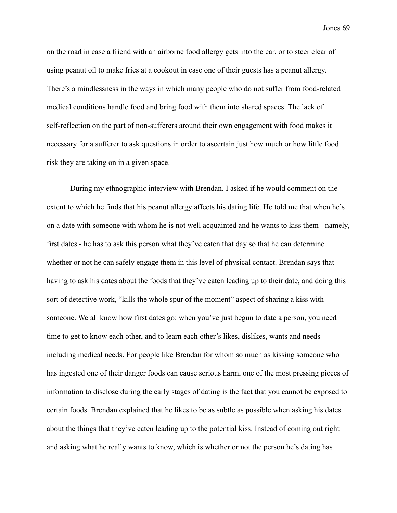on the road in case a friend with an airborne food allergy gets into the car, or to steer clear of using peanut oil to make fries at a cookout in case one of their guests has a peanut allergy. There's a mindlessness in the ways in which many people who do not suffer from food-related medical conditions handle food and bring food with them into shared spaces. The lack of self-reflection on the part of non-sufferers around their own engagement with food makes it necessary for a sufferer to ask questions in order to ascertain just how much or how little food risk they are taking on in a given space.

During my ethnographic interview with Brendan, I asked if he would comment on the extent to which he finds that his peanut allergy affects his dating life. He told me that when he's on a date with someone with whom he is not well acquainted and he wants to kiss them - namely, first dates - he has to ask this person what they've eaten that day so that he can determine whether or not he can safely engage them in this level of physical contact. Brendan says that having to ask his dates about the foods that they've eaten leading up to their date, and doing this sort of detective work, "kills the whole spur of the moment" aspect of sharing a kiss with someone. We all know how first dates go: when you've just begun to date a person, you need time to get to know each other, and to learn each other's likes, dislikes, wants and needs including medical needs. For people like Brendan for whom so much as kissing someone who has ingested one of their danger foods can cause serious harm, one of the most pressing pieces of information to disclose during the early stages of dating is the fact that you cannot be exposed to certain foods. Brendan explained that he likes to be as subtle as possible when asking his dates about the things that they've eaten leading up to the potential kiss. Instead of coming out right and asking what he really wants to know, which is whether or not the person he's dating has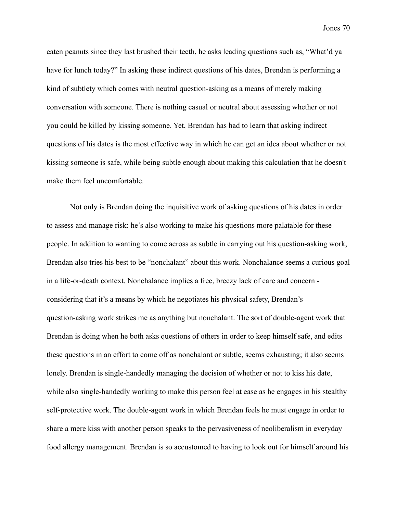eaten peanuts since they last brushed their teeth, he asks leading questions such as, "What'd ya have for lunch today?" In asking these indirect questions of his dates, Brendan is performing a kind of subtlety which comes with neutral question-asking as a means of merely making conversation with someone. There is nothing casual or neutral about assessing whether or not you could be killed by kissing someone. Yet, Brendan has had to learn that asking indirect questions of his dates is the most effective way in which he can get an idea about whether or not kissing someone is safe, while being subtle enough about making this calculation that he doesn't make them feel uncomfortable.

Not only is Brendan doing the inquisitive work of asking questions of his dates in order to assess and manage risk: he's also working to make his questions more palatable for these people. In addition to wanting to come across as subtle in carrying out his question-asking work, Brendan also tries his best to be "nonchalant" about this work. Nonchalance seems a curious goal in a life-or-death context. Nonchalance implies a free, breezy lack of care and concern considering that it's a means by which he negotiates his physical safety, Brendan's question-asking work strikes me as anything but nonchalant. The sort of double-agent work that Brendan is doing when he both asks questions of others in order to keep himself safe, and edits these questions in an effort to come off as nonchalant or subtle, seems exhausting; it also seems lonely. Brendan is single-handedly managing the decision of whether or not to kiss his date, while also single-handedly working to make this person feel at ease as he engages in his stealthy self-protective work. The double-agent work in which Brendan feels he must engage in order to share a mere kiss with another person speaks to the pervasiveness of neoliberalism in everyday food allergy management. Brendan is so accustomed to having to look out for himself around his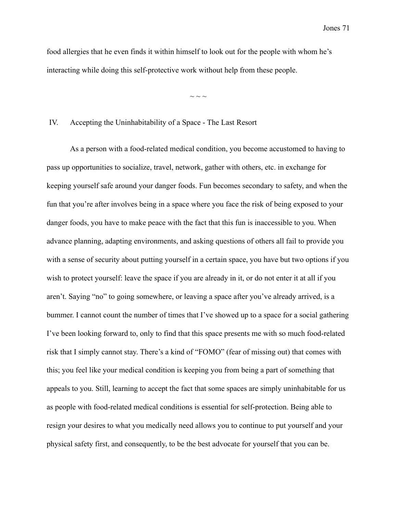food allergies that he even finds it within himself to look out for the people with whom he's interacting while doing this self-protective work without help from these people.

 $\sim$  ~ ~

IV. Accepting the Uninhabitability of a Space - The Last Resort

As a person with a food-related medical condition, you become accustomed to having to pass up opportunities to socialize, travel, network, gather with others, etc. in exchange for keeping yourself safe around your danger foods. Fun becomes secondary to safety, and when the fun that you're after involves being in a space where you face the risk of being exposed to your danger foods, you have to make peace with the fact that this fun is inaccessible to you. When advance planning, adapting environments, and asking questions of others all fail to provide you with a sense of security about putting yourself in a certain space, you have but two options if you wish to protect yourself: leave the space if you are already in it, or do not enter it at all if you aren't. Saying "no" to going somewhere, or leaving a space after you've already arrived, is a bummer. I cannot count the number of times that I've showed up to a space for a social gathering I've been looking forward to, only to find that this space presents me with so much food-related risk that I simply cannot stay. There's a kind of "FOMO" (fear of missing out) that comes with this; you feel like your medical condition is keeping you from being a part of something that appeals to you. Still, learning to accept the fact that some spaces are simply uninhabitable for us as people with food-related medical conditions is essential for self-protection. Being able to resign your desires to what you medically need allows you to continue to put yourself and your physical safety first, and consequently, to be the best advocate for yourself that you can be.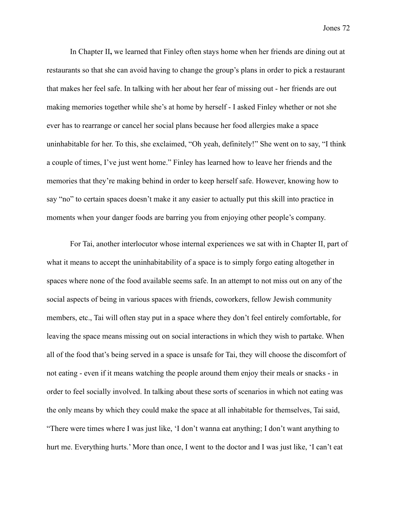In Chapter II**,** we learned that Finley often stays home when her friends are dining out at restaurants so that she can avoid having to change the group's plans in order to pick a restaurant that makes her feel safe. In talking with her about her fear of missing out - her friends are out making memories together while she's at home by herself - I asked Finley whether or not she ever has to rearrange or cancel her social plans because her food allergies make a space uninhabitable for her. To this, she exclaimed, "Oh yeah, definitely!" She went on to say, "I think a couple of times, I've just went home." Finley has learned how to leave her friends and the memories that they're making behind in order to keep herself safe. However, knowing how to say "no" to certain spaces doesn't make it any easier to actually put this skill into practice in moments when your danger foods are barring you from enjoying other people's company.

For Tai, another interlocutor whose internal experiences we sat with in Chapter II, part of what it means to accept the uninhabitability of a space is to simply forgo eating altogether in spaces where none of the food available seems safe. In an attempt to not miss out on any of the social aspects of being in various spaces with friends, coworkers, fellow Jewish community members, etc., Tai will often stay put in a space where they don't feel entirely comfortable, for leaving the space means missing out on social interactions in which they wish to partake. When all of the food that's being served in a space is unsafe for Tai, they will choose the discomfort of not eating - even if it means watching the people around them enjoy their meals or snacks - in order to feel socially involved. In talking about these sorts of scenarios in which not eating was the only means by which they could make the space at all inhabitable for themselves, Tai said, "There were times where I was just like, 'I don't wanna eat anything; I don't want anything to hurt me. Everything hurts.' More than once, I went to the doctor and I was just like, 'I can't eat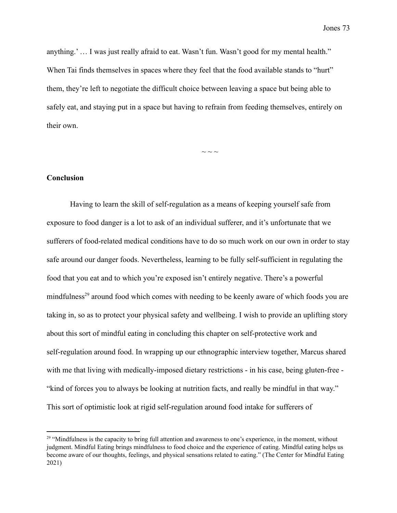anything.' … I was just really afraid to eat. Wasn't fun. Wasn't good for my mental health." When Tai finds themselves in spaces where they feel that the food available stands to "hurt" them, they're left to negotiate the difficult choice between leaving a space but being able to safely eat, and staying put in a space but having to refrain from feeding themselves, entirely on their own.

 $\sim$  ~ ~

# **Conclusion**

Having to learn the skill of self-regulation as a means of keeping yourself safe from exposure to food danger is a lot to ask of an individual sufferer, and it's unfortunate that we sufferers of food-related medical conditions have to do so much work on our own in order to stay safe around our danger foods. Nevertheless, learning to be fully self-sufficient in regulating the food that you eat and to which you're exposed isn't entirely negative. There's a powerful mindfulness<sup>29</sup> around food which comes with needing to be keenly aware of which foods you are taking in, so as to protect your physical safety and wellbeing. I wish to provide an uplifting story about this sort of mindful eating in concluding this chapter on self-protective work and self-regulation around food. In wrapping up our ethnographic interview together, Marcus shared with me that living with medically-imposed dietary restrictions - in his case, being gluten-free - "kind of forces you to always be looking at nutrition facts, and really be mindful in that way." This sort of optimistic look at rigid self-regulation around food intake for sufferers of

 $29$  "Mindfulness is the capacity to bring full attention and awareness to one's experience, in the moment, without judgment. Mindful Eating brings mindfulness to food choice and the experience of eating. Mindful eating helps us become aware of our thoughts, feelings, and physical sensations related to eating." (The Center for Mindful Eating 2021)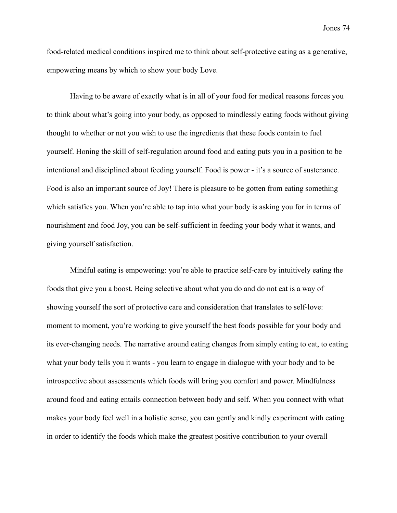food-related medical conditions inspired me to think about self-protective eating as a generative, empowering means by which to show your body Love.

Having to be aware of exactly what is in all of your food for medical reasons forces you to think about what's going into your body, as opposed to mindlessly eating foods without giving thought to whether or not you wish to use the ingredients that these foods contain to fuel yourself. Honing the skill of self-regulation around food and eating puts you in a position to be intentional and disciplined about feeding yourself. Food is power - it's a source of sustenance. Food is also an important source of Joy! There is pleasure to be gotten from eating something which satisfies you. When you're able to tap into what your body is asking you for in terms of nourishment and food Joy, you can be self-sufficient in feeding your body what it wants, and giving yourself satisfaction.

Mindful eating is empowering: you're able to practice self-care by intuitively eating the foods that give you a boost. Being selective about what you do and do not eat is a way of showing yourself the sort of protective care and consideration that translates to self-love: moment to moment, you're working to give yourself the best foods possible for your body and its ever-changing needs. The narrative around eating changes from simply eating to eat, to eating what your body tells you it wants - you learn to engage in dialogue with your body and to be introspective about assessments which foods will bring you comfort and power. Mindfulness around food and eating entails connection between body and self. When you connect with what makes your body feel well in a holistic sense, you can gently and kindly experiment with eating in order to identify the foods which make the greatest positive contribution to your overall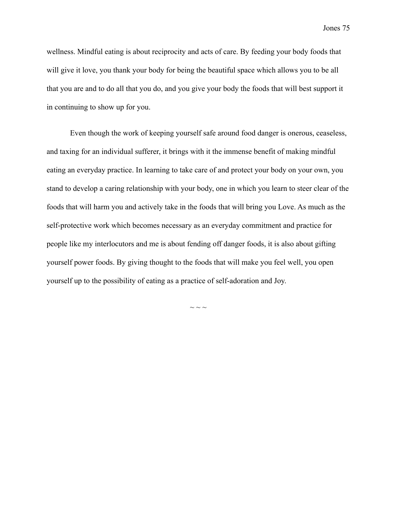wellness. Mindful eating is about reciprocity and acts of care. By feeding your body foods that will give it love, you thank your body for being the beautiful space which allows you to be all that you are and to do all that you do, and you give your body the foods that will best support it in continuing to show up for you.

Even though the work of keeping yourself safe around food danger is onerous, ceaseless, and taxing for an individual sufferer, it brings with it the immense benefit of making mindful eating an everyday practice. In learning to take care of and protect your body on your own, you stand to develop a caring relationship with your body, one in which you learn to steer clear of the foods that will harm you and actively take in the foods that will bring you Love. As much as the self-protective work which becomes necessary as an everyday commitment and practice for people like my interlocutors and me is about fending off danger foods, it is also about gifting yourself power foods. By giving thought to the foods that will make you feel well, you open yourself up to the possibility of eating as a practice of self-adoration and Joy.

 $\sim$   $\sim$   $\sim$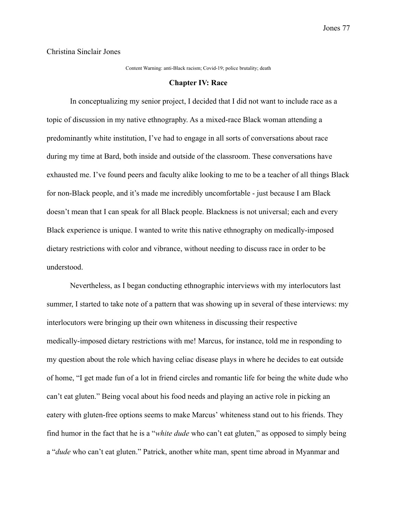Christina Sinclair Jones

Content Warning: anti-Black racism; Covid-19; police brutality; death

#### **Chapter IV: Race**

In conceptualizing my senior project, I decided that I did not want to include race as a topic of discussion in my native ethnography. As a mixed-race Black woman attending a predominantly white institution, I've had to engage in all sorts of conversations about race during my time at Bard, both inside and outside of the classroom. These conversations have exhausted me. I've found peers and faculty alike looking to me to be a teacher of all things Black for non-Black people, and it's made me incredibly uncomfortable - just because I am Black doesn't mean that I can speak for all Black people. Blackness is not universal; each and every Black experience is unique. I wanted to write this native ethnography on medically-imposed dietary restrictions with color and vibrance, without needing to discuss race in order to be understood.

Nevertheless, as I began conducting ethnographic interviews with my interlocutors last summer, I started to take note of a pattern that was showing up in several of these interviews: my interlocutors were bringing up their own whiteness in discussing their respective medically-imposed dietary restrictions with me! Marcus, for instance, told me in responding to my question about the role which having celiac disease plays in where he decides to eat outside of home, "I get made fun of a lot in friend circles and romantic life for being the white dude who can't eat gluten." Being vocal about his food needs and playing an active role in picking an eatery with gluten-free options seems to make Marcus' whiteness stand out to his friends. They find humor in the fact that he is a "*white dude* who can't eat gluten," as opposed to simply being a "*dude* who can't eat gluten." Patrick, another white man, spent time abroad in Myanmar and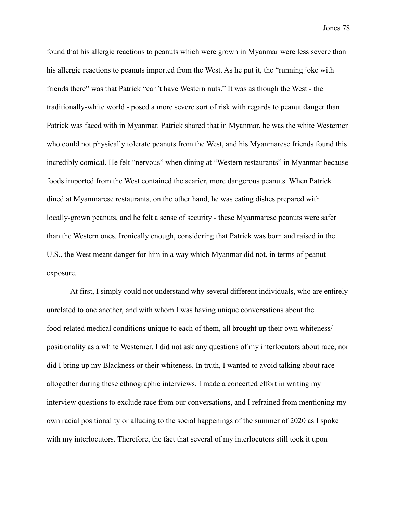found that his allergic reactions to peanuts which were grown in Myanmar were less severe than his allergic reactions to peanuts imported from the West. As he put it, the "running joke with friends there" was that Patrick "can't have Western nuts." It was as though the West - the traditionally-white world - posed a more severe sort of risk with regards to peanut danger than Patrick was faced with in Myanmar. Patrick shared that in Myanmar, he was the white Westerner who could not physically tolerate peanuts from the West, and his Myanmarese friends found this incredibly comical. He felt "nervous" when dining at "Western restaurants" in Myanmar because foods imported from the West contained the scarier, more dangerous peanuts. When Patrick dined at Myanmarese restaurants, on the other hand, he was eating dishes prepared with locally-grown peanuts, and he felt a sense of security - these Myanmarese peanuts were safer than the Western ones. Ironically enough, considering that Patrick was born and raised in the U.S., the West meant danger for him in a way which Myanmar did not, in terms of peanut exposure.

At first, I simply could not understand why several different individuals, who are entirely unrelated to one another, and with whom I was having unique conversations about the food-related medical conditions unique to each of them, all brought up their own whiteness/ positionality as a white Westerner. I did not ask any questions of my interlocutors about race, nor did I bring up my Blackness or their whiteness. In truth, I wanted to avoid talking about race altogether during these ethnographic interviews. I made a concerted effort in writing my interview questions to exclude race from our conversations, and I refrained from mentioning my own racial positionality or alluding to the social happenings of the summer of 2020 as I spoke with my interlocutors. Therefore, the fact that several of my interlocutors still took it upon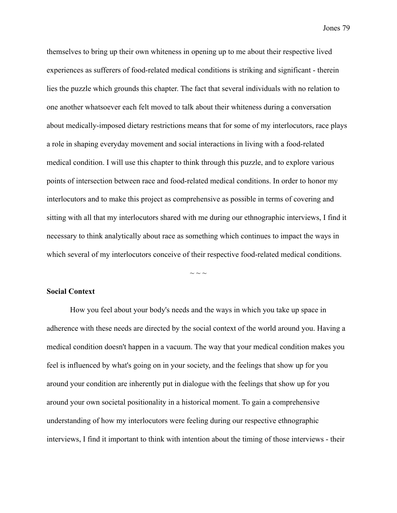themselves to bring up their own whiteness in opening up to me about their respective lived experiences as sufferers of food-related medical conditions is striking and significant - therein lies the puzzle which grounds this chapter. The fact that several individuals with no relation to one another whatsoever each felt moved to talk about their whiteness during a conversation about medically-imposed dietary restrictions means that for some of my interlocutors, race plays a role in shaping everyday movement and social interactions in living with a food-related medical condition. I will use this chapter to think through this puzzle, and to explore various points of intersection between race and food-related medical conditions. In order to honor my interlocutors and to make this project as comprehensive as possible in terms of covering and sitting with all that my interlocutors shared with me during our ethnographic interviews, I find it necessary to think analytically about race as something which continues to impact the ways in which several of my interlocutors conceive of their respective food-related medical conditions.

### **Social Context**

How you feel about your body's needs and the ways in which you take up space in adherence with these needs are directed by the social context of the world around you. Having a medical condition doesn't happen in a vacuum. The way that your medical condition makes you feel is influenced by what's going on in your society, and the feelings that show up for you around your condition are inherently put in dialogue with the feelings that show up for you around your own societal positionality in a historical moment. To gain a comprehensive understanding of how my interlocutors were feeling during our respective ethnographic interviews, I find it important to think with intention about the timing of those interviews - their

 $\sim$  ~ ~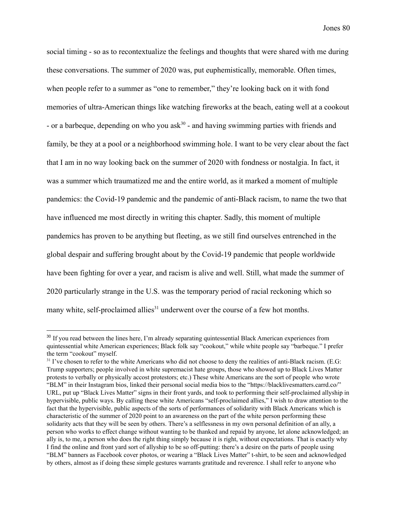social timing - so as to recontextualize the feelings and thoughts that were shared with me during these conversations. The summer of 2020 was, put euphemistically, memorable. Often times, when people refer to a summer as "one to remember," they're looking back on it with fond memories of ultra-American things like watching fireworks at the beach, eating well at a cookout - or a barbeque, depending on who you ask<sup>30</sup> - and having swimming parties with friends and family, be they at a pool or a neighborhood swimming hole. I want to be very clear about the fact that I am in no way looking back on the summer of 2020 with fondness or nostalgia. In fact, it was a summer which traumatized me and the entire world, as it marked a moment of multiple pandemics: the Covid-19 pandemic and the pandemic of anti-Black racism, to name the two that have influenced me most directly in writing this chapter. Sadly, this moment of multiple pandemics has proven to be anything but fleeting, as we still find ourselves entrenched in the global despair and suffering brought about by the Covid-19 pandemic that people worldwide have been fighting for over a year, and racism is alive and well. Still, what made the summer of 2020 particularly strange in the U.S. was the temporary period of racial reckoning which so many white, self-proclaimed allies<sup> $31$ </sup> underwent over the course of a few hot months.

<sup>&</sup>lt;sup>30</sup> If you read between the lines here, I'm already separating quintessential Black American experiences from quintessential white American experiences; Black folk say "cookout," while white people say "barbeque." I prefer the term "cookout" myself.

 $31$  I've chosen to refer to the white Americans who did not choose to deny the realities of anti-Black racism. (E.G: Trump supporters; people involved in white supremacist hate groups, those who showed up to Black Lives Matter protests to verbally or physically accost protestors; etc.) These white Americans are the sort of people who wrote "BLM" in their Instagram bios, linked their personal social media bios to the "https://blacklivesmatters.carrd.co/" URL, put up "Black Lives Matter" signs in their front yards, and took to performing their self-proclaimed allyship in hypervisible, public ways. By calling these white Americans "self-proclaimed allies," I wish to draw attention to the fact that the hypervisible, public aspects of the sorts of performances of solidarity with Black Americans which is characteristic of the summer of 2020 point to an awareness on the part of the white person performing these solidarity acts that they will be seen by others. There's a selflessness in my own personal definition of an ally, a person who works to effect change without wanting to be thanked and repaid by anyone, let alone acknowledged; an ally is, to me, a person who does the right thing simply because it is right, without expectations. That is exactly why I find the online and front yard sort of allyship to be so off-putting: there's a desire on the parts of people using "BLM" banners as Facebook cover photos, or wearing a "Black Lives Matter" t-shirt, to be seen and acknowledged by others, almost as if doing these simple gestures warrants gratitude and reverence. I shall refer to anyone who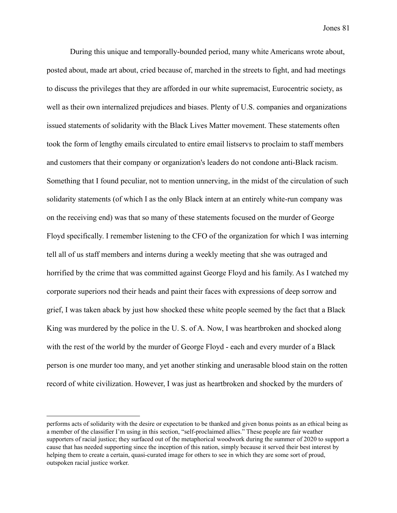During this unique and temporally-bounded period, many white Americans wrote about, posted about, made art about, cried because of, marched in the streets to fight, and had meetings to discuss the privileges that they are afforded in our white supremacist, Eurocentric society, as well as their own internalized prejudices and biases. Plenty of U.S. companies and organizations issued statements of solidarity with the Black Lives Matter movement. These statements often took the form of lengthy emails circulated to entire email listservs to proclaim to staff members and customers that their company or organization's leaders do not condone anti-Black racism. Something that I found peculiar, not to mention unnerving, in the midst of the circulation of such solidarity statements (of which I as the only Black intern at an entirely white-run company was on the receiving end) was that so many of these statements focused on the murder of George Floyd specifically. I remember listening to the CFO of the organization for which I was interning tell all of us staff members and interns during a weekly meeting that she was outraged and horrified by the crime that was committed against George Floyd and his family. As I watched my corporate superiors nod their heads and paint their faces with expressions of deep sorrow and grief, I was taken aback by just how shocked these white people seemed by the fact that a Black King was murdered by the police in the U. S. of A. Now, I was heartbroken and shocked along with the rest of the world by the murder of George Floyd - each and every murder of a Black person is one murder too many, and yet another stinking and unerasable blood stain on the rotten record of white civilization. However, I was just as heartbroken and shocked by the murders of

performs acts of solidarity with the desire or expectation to be thanked and given bonus points as an ethical being as a member of the classifier I'm using in this section, "self-proclaimed allies." These people are fair weather supporters of racial justice; they surfaced out of the metaphorical woodwork during the summer of 2020 to support a cause that has needed supporting since the inception of this nation, simply because it served their best interest by helping them to create a certain, quasi-curated image for others to see in which they are some sort of proud, outspoken racial justice worker.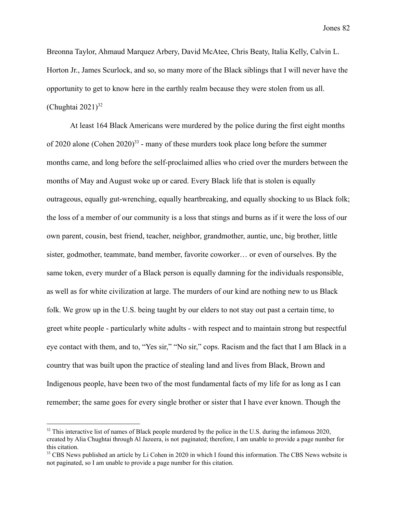Breonna Taylor, Ahmaud Marquez Arbery, David McAtee, Chris Beaty, Italia Kelly, Calvin L. Horton Jr., James Scurlock, and so, so many more of the Black siblings that I will never have the opportunity to get to know here in the earthly realm because they were stolen from us all. (Chughtai  $2021$ )<sup>32</sup>

At least 164 Black Americans were murdered by the police during the first eight months of 2020 alone (Cohen 2020)<sup>33</sup> - many of these murders took place long before the summer months came, and long before the self-proclaimed allies who cried over the murders between the months of May and August woke up or cared. Every Black life that is stolen is equally outrageous, equally gut-wrenching, equally heartbreaking, and equally shocking to us Black folk; the loss of a member of our community is a loss that stings and burns as if it were the loss of our own parent, cousin, best friend, teacher, neighbor, grandmother, auntie, unc, big brother, little sister, godmother, teammate, band member, favorite coworker… or even of ourselves. By the same token, every murder of a Black person is equally damning for the individuals responsible, as well as for white civilization at large. The murders of our kind are nothing new to us Black folk. We grow up in the U.S. being taught by our elders to not stay out past a certain time, to greet white people - particularly white adults - with respect and to maintain strong but respectful eye contact with them, and to, "Yes sir," "No sir," cops. Racism and the fact that I am Black in a country that was built upon the practice of stealing land and lives from Black, Brown and Indigenous people, have been two of the most fundamental facts of my life for as long as I can remember; the same goes for every single brother or sister that I have ever known. Though the

 $32$  This interactive list of names of Black people murdered by the police in the U.S. during the infamous 2020, created by Alia Chughtai through Al Jazeera, is not paginated; therefore, I am unable to provide a page number for this citation.

<sup>&</sup>lt;sup>33</sup> CBS News published an article by Li Cohen in 2020 in which I found this information. The CBS News website is not paginated, so I am unable to provide a page number for this citation.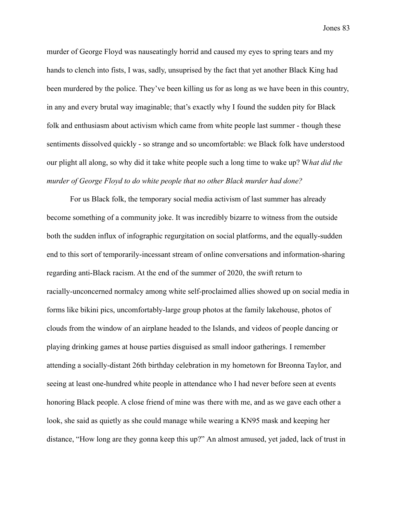murder of George Floyd was nauseatingly horrid and caused my eyes to spring tears and my hands to clench into fists, I was, sadly, unsuprised by the fact that yet another Black King had been murdered by the police. They've been killing us for as long as we have been in this country, in any and every brutal way imaginable; that's exactly why I found the sudden pity for Black folk and enthusiasm about activism which came from white people last summer - though these sentiments dissolved quickly - so strange and so uncomfortable: we Black folk have understood our plight all along, so why did it take white people such a long time to wake up? W*hat did the murder of George Floyd to do white people that no other Black murder had done?*

For us Black folk, the temporary social media activism of last summer has already become something of a community joke. It was incredibly bizarre to witness from the outside both the sudden influx of infographic regurgitation on social platforms, and the equally-sudden end to this sort of temporarily-incessant stream of online conversations and information-sharing regarding anti-Black racism. At the end of the summer of 2020, the swift return to racially-unconcerned normalcy among white self-proclaimed allies showed up on social media in forms like bikini pics, uncomfortably-large group photos at the family lakehouse, photos of clouds from the window of an airplane headed to the Islands, and videos of people dancing or playing drinking games at house parties disguised as small indoor gatherings. I remember attending a socially-distant 26th birthday celebration in my hometown for Breonna Taylor, and seeing at least one-hundred white people in attendance who I had never before seen at events honoring Black people. A close friend of mine was there with me, and as we gave each other a look, she said as quietly as she could manage while wearing a KN95 mask and keeping her distance, "How long are they gonna keep this up?" An almost amused, yet jaded, lack of trust in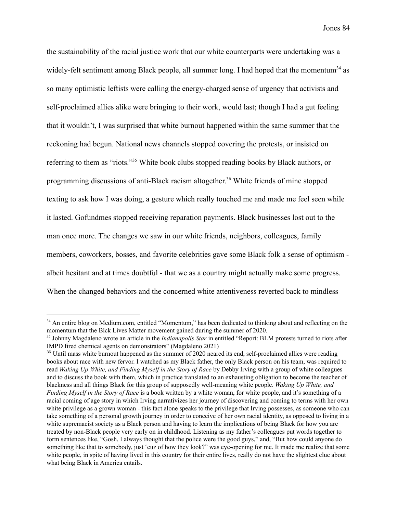the sustainability of the racial justice work that our white counterparts were undertaking was a widely-felt sentiment among Black people, all summer long. I had hoped that the momentum<sup>34</sup> as so many optimistic leftists were calling the energy-charged sense of urgency that activists and self-proclaimed allies alike were bringing to their work, would last; though I had a gut feeling that it wouldn't, I was surprised that white burnout happened within the same summer that the reckoning had begun. National news channels stopped covering the protests, or insisted on referring to them as "riots."<sup>35</sup> White book clubs stopped reading books by Black authors, or programming discussions of anti-Black racism altogether.<sup>36</sup> White friends of mine stopped texting to ask how I was doing, a gesture which really touched me and made me feel seen while it lasted. Gofundmes stopped receiving reparation payments. Black businesses lost out to the man once more. The changes we saw in our white friends, neighbors, colleagues, family members, coworkers, bosses, and favorite celebrities gave some Black folk a sense of optimism albeit hesitant and at times doubtful - that we as a country might actually make some progress. When the changed behaviors and the concerned white attentiveness reverted back to mindless

<sup>&</sup>lt;sup>34</sup> An entire blog on Medium.com, entitled "Momentum," has been dedicated to thinking about and reflecting on the momentum that the Blck Lives Matter movement gained during the summer of 2020.

<sup>35</sup> Johnny Magdaleno wrote an article in the *Indianapolis Star* in entitled "Report: BLM protests turned to riots after IMPD fired chemical agents on demonstrators" (Magdaleno 2021)

<sup>&</sup>lt;sup>36</sup> Until mass white burnout happened as the summer of 2020 neared its end, self-proclaimed allies were reading books about race with new fervor. I watched as my Black father, the only Black person on his team, was required to read *Waking Up White, and Finding Myself in the Story of Race* by Debby Irving with a group of white colleagues and to discuss the book with them, which in practice translated to an exhausting obligation to become the teacher of blackness and all things Black for this group of supposedly well-meaning white people. *Waking Up White, and Finding Myself in the Story of Race* is a book written by a white woman, for white people, and it's something of a racial coming of age story in which Irving narrativizes her journey of discovering and coming to terms with her own white privilege as a grown woman - this fact alone speaks to the privilege that Irving possesses, as someone who can take something of a personal growth journey in order to conceive of her own racial identity, as opposed to living in a white supremacist society as a Black person and having to learn the implications of being Black for how you are treated by non-Black people very early on in childhood. Listening as my father's colleagues put words together to form sentences like, "Gosh, I always thought that the police were the good guys," and, "But how could anyone do something like that to somebody, just 'cuz of how they look?" was eye-opening for me. It made me realize that some white people, in spite of having lived in this country for their entire lives, really do not have the slightest clue about what being Black in America entails.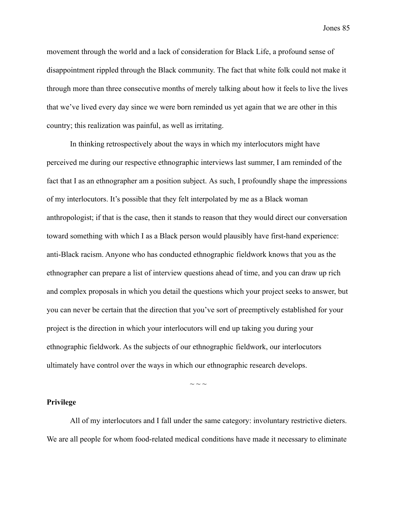movement through the world and a lack of consideration for Black Life, a profound sense of disappointment rippled through the Black community. The fact that white folk could not make it through more than three consecutive months of merely talking about how it feels to live the lives that we've lived every day since we were born reminded us yet again that we are other in this country; this realization was painful, as well as irritating.

In thinking retrospectively about the ways in which my interlocutors might have perceived me during our respective ethnographic interviews last summer, I am reminded of the fact that I as an ethnographer am a position subject. As such, I profoundly shape the impressions of my interlocutors. It's possible that they felt interpolated by me as a Black woman anthropologist; if that is the case, then it stands to reason that they would direct our conversation toward something with which I as a Black person would plausibly have first-hand experience: anti-Black racism. Anyone who has conducted ethnographic fieldwork knows that you as the ethnographer can prepare a list of interview questions ahead of time, and you can draw up rich and complex proposals in which you detail the questions which your project seeks to answer, but you can never be certain that the direction that you've sort of preemptively established for your project is the direction in which your interlocutors will end up taking you during your ethnographic fieldwork. As the subjects of our ethnographic fieldwork, our interlocutors ultimately have control over the ways in which our ethnographic research develops.

### **Privilege**

All of my interlocutors and I fall under the same category: involuntary restrictive dieters. We are all people for whom food-related medical conditions have made it necessary to eliminate

 $\sim$   $\sim$   $\sim$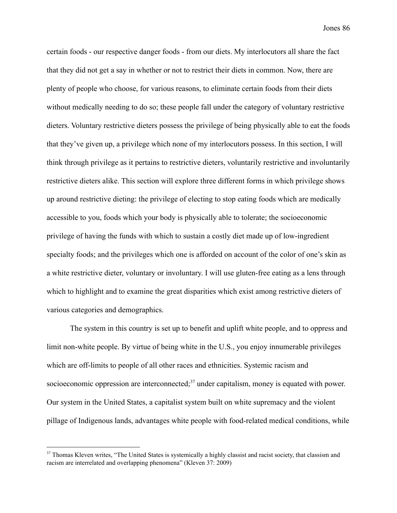certain foods - our respective danger foods - from our diets. My interlocutors all share the fact that they did not get a say in whether or not to restrict their diets in common. Now, there are plenty of people who choose, for various reasons, to eliminate certain foods from their diets without medically needing to do so; these people fall under the category of voluntary restrictive dieters. Voluntary restrictive dieters possess the privilege of being physically able to eat the foods that they've given up, a privilege which none of my interlocutors possess. In this section, I will think through privilege as it pertains to restrictive dieters, voluntarily restrictive and involuntarily restrictive dieters alike. This section will explore three different forms in which privilege shows up around restrictive dieting: the privilege of electing to stop eating foods which are medically accessible to you, foods which your body is physically able to tolerate; the socioeconomic privilege of having the funds with which to sustain a costly diet made up of low-ingredient specialty foods; and the privileges which one is afforded on account of the color of one's skin as a white restrictive dieter, voluntary or involuntary. I will use gluten-free eating as a lens through which to highlight and to examine the great disparities which exist among restrictive dieters of various categories and demographics.

The system in this country is set up to benefit and uplift white people, and to oppress and limit non-white people. By virtue of being white in the U.S., you enjoy innumerable privileges which are off-limits to people of all other races and ethnicities. Systemic racism and socioeconomic oppression are interconnected; $37$  under capitalism, money is equated with power. Our system in the United States, a capitalist system built on white supremacy and the violent pillage of Indigenous lands, advantages white people with food-related medical conditions, while

<sup>&</sup>lt;sup>37</sup> Thomas Kleven writes, "The United States is systemically a highly classist and racist society, that classism and racism are interrelated and overlapping phenomena" (Kleven 37: 2009)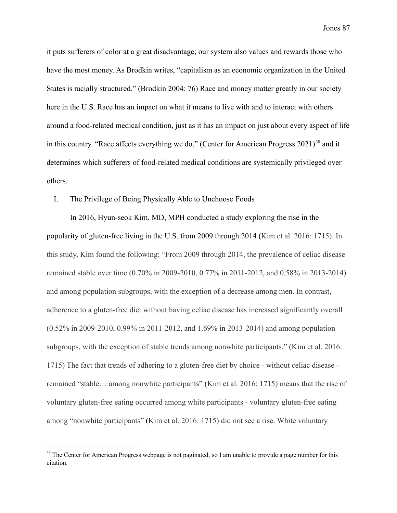it puts sufferers of color at a great disadvantage; our system also values and rewards those who have the most money. As Brodkin writes, "capitalism as an economic organization in the United States is racially structured." (Brodkin 2004: 76) Race and money matter greatly in our society here in the U.S. Race has an impact on what it means to live with and to interact with others around a food-related medical condition, just as it has an impact on just about every aspect of life in this country. "Race affects everything we do," (Center for American Progress  $2021$ )<sup>38</sup> and it determines which sufferers of food-related medical conditions are systemically privileged over others.

## I. The Privilege of Being Physically Able to Unchoose Foods

In 2016, Hyun-seok Kim, MD, MPH conducted a study exploring the rise in the popularity of gluten-free living in the U.S. from 2009 through 2014 (Kim et al. 2016: 1715). In this study, Kim found the following: "From 2009 through 2014, the prevalence of celiac disease remained stable over time (0.70% in 2009-2010, 0.77% in 2011-2012, and 0.58% in 2013-2014) and among population subgroups, with the exception of a decrease among men. In contrast, adherence to a gluten-free diet without having celiac disease has increased significantly overall (0.52% in 2009-2010, 0.99% in 2011-2012, and 1.69% in 2013-2014) and among population subgroups, with the exception of stable trends among nonwhite participants." (Kim et al. 2016: 1715) The fact that trends of adhering to a gluten-free diet by choice - without celiac disease remained "stable… among nonwhite participants" (Kim et al. 2016: 1715) means that the rise of voluntary gluten-free eating occurred among white participants - voluntary gluten-free eating among "nonwhite participants" (Kim et al. 2016: 1715) did not see a rise. White voluntary

<sup>&</sup>lt;sup>38</sup> The Center for American Progress webpage is not paginated, so I am unable to provide a page number for this citation.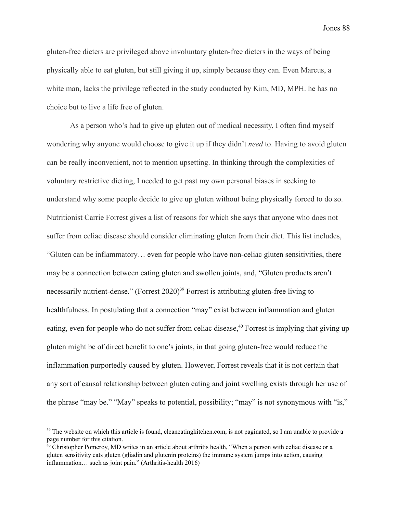gluten-free dieters are privileged above involuntary gluten-free dieters in the ways of being physically able to eat gluten, but still giving it up, simply because they can. Even Marcus, a white man, lacks the privilege reflected in the study conducted by Kim, MD, MPH. he has no choice but to live a life free of gluten.

As a person who's had to give up gluten out of medical necessity, I often find myself wondering why anyone would choose to give it up if they didn't *need* to. Having to avoid gluten can be really inconvenient, not to mention upsetting. In thinking through the complexities of voluntary restrictive dieting, I needed to get past my own personal biases in seeking to understand why some people decide to give up gluten without being physically forced to do so. Nutritionist Carrie Forrest gives a list of reasons for which she says that anyone who does not suffer from celiac disease should consider eliminating gluten from their diet. This list includes, "Gluten can be inflammatory… even for people who have non-celiac gluten sensitivities, there may be a connection between eating gluten and swollen joints, and, "Gluten products aren't necessarily nutrient-dense." (Forrest  $2020$ )<sup>39</sup> Forrest is attributing gluten-free living to healthfulness. In postulating that a connection "may" exist between inflammation and gluten eating, even for people who do not suffer from celiac disease,  $40$  Forrest is implying that giving up gluten might be of direct benefit to one's joints, in that going gluten-free would reduce the inflammation purportedly caused by gluten. However, Forrest reveals that it is not certain that any sort of causal relationship between gluten eating and joint swelling exists through her use of the phrase "may be." "May" speaks to potential, possibility; "may" is not synonymous with "is,"

<sup>&</sup>lt;sup>39</sup> The website on which this article is found, cleaneating kitchen.com, is not paginated, so I am unable to provide a page number for this citation.

<sup>&</sup>lt;sup>40</sup> Christopher Pomeroy, MD writes in an article about arthritis health, "When a person with celiac disease or a gluten sensitivity eats gluten (gliadin and glutenin proteins) the immune system jumps into action, causing inflammation… such as joint pain." (Arthritis-health 2016)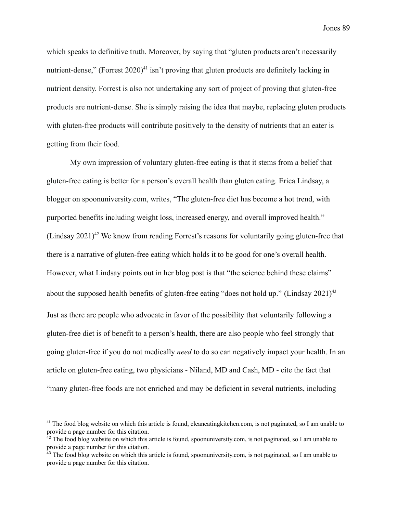which speaks to definitive truth. Moreover, by saying that "gluten products aren't necessarily nutrient-dense," (Forrest  $2020$ <sup>41</sup> isn't proving that gluten products are definitely lacking in nutrient density. Forrest is also not undertaking any sort of project of proving that gluten-free products are nutrient-dense. She is simply raising the idea that maybe, replacing gluten products with gluten-free products will contribute positively to the density of nutrients that an eater is getting from their food.

My own impression of voluntary gluten-free eating is that it stems from a belief that gluten-free eating is better for a person's overall health than gluten eating. Erica Lindsay, a blogger on spoonuniversity.com, writes, "The gluten-free diet has become a hot trend, with purported benefits including weight loss, increased energy, and overall improved health." (Lindsay 2021)<sup>42</sup> We know from reading Forrest's reasons for voluntarily going gluten-free that there is a narrative of gluten-free eating which holds it to be good for one's overall health. However, what Lindsay points out in her blog post is that "the science behind these claims" about the supposed health benefits of gluten-free eating "does not hold up." (Lindsay  $2021$ )<sup>43</sup> Just as there are people who advocate in favor of the possibility that voluntarily following a gluten-free diet is of benefit to a person's health, there are also people who feel strongly that going gluten-free if you do not medically *need* to do so can negatively impact your health. In an article on gluten-free eating, two physicians - Niland, MD and Cash, MD - cite the fact that "many gluten-free foods are not enriched and may be deficient in several nutrients, including

 $41$  The food blog website on which this article is found, cleaneating kitchen.com, is not paginated, so I am unable to provide a page number for this citation.

 $42$  The food blog website on which this article is found, spoonuniversity.com, is not paginated, so I am unable to provide a page number for this citation.

<sup>&</sup>lt;sup>43</sup> The food blog website on which this article is found, spoonuniversity.com, is not paginated, so I am unable to provide a page number for this citation.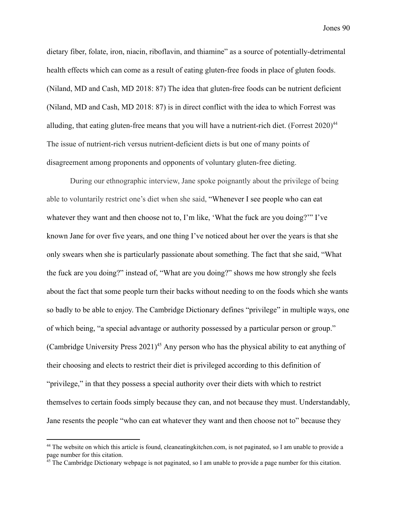dietary fiber, folate, iron, niacin, riboflavin, and thiamine" as a source of potentially-detrimental health effects which can come as a result of eating gluten-free foods in place of gluten foods. (Niland, MD and Cash, MD 2018: 87) The idea that gluten-free foods can be nutrient deficient (Niland, MD and Cash, MD 2018: 87) is in direct conflict with the idea to which Forrest was alluding, that eating gluten-free means that you will have a nutrient-rich diet. (Forrest  $2020)^{44}$ The issue of nutrient-rich versus nutrient-deficient diets is but one of many points of disagreement among proponents and opponents of voluntary gluten-free dieting.

During our ethnographic interview, Jane spoke poignantly about the privilege of being able to voluntarily restrict one's diet when she said, "Whenever I see people who can eat whatever they want and then choose not to, I'm like, 'What the fuck are you doing?'" I've known Jane for over five years, and one thing I've noticed about her over the years is that she only swears when she is particularly passionate about something. The fact that she said, "What the fuck are you doing?" instead of, "What are you doing?" shows me how strongly she feels about the fact that some people turn their backs without needing to on the foods which she wants so badly to be able to enjoy. The Cambridge Dictionary defines "privilege" in multiple ways, one of which being, "a [special](https://dictionary.cambridge.org/us/dictionary/english/special) [advantage](https://dictionary.cambridge.org/us/dictionary/english/advantage) or [authority](https://dictionary.cambridge.org/us/dictionary/english/authority) [possessed](https://dictionary.cambridge.org/us/dictionary/english/possessed) by a [particular](https://dictionary.cambridge.org/us/dictionary/english/particular) [person](https://dictionary.cambridge.org/us/dictionary/english/person) or [group.](https://dictionary.cambridge.org/us/dictionary/english/group)" (Cambridge University Press  $2021$ )<sup>45</sup> Any person who has the physical ability to eat anything of their choosing and elects to restrict their diet is privileged according to this definition of "privilege," in that they possess a special authority over their diets with which to restrict themselves to certain foods simply because they can, and not because they must. Understandably, Jane resents the people "who can eat whatever they want and then choose not to" because they

<sup>&</sup>lt;sup>44</sup> The website on which this article is found, cleaneating kitchen.com, is not paginated, so I am unable to provide a page number for this citation.

 $45$  The Cambridge Dictionary webpage is not paginated, so I am unable to provide a page number for this citation.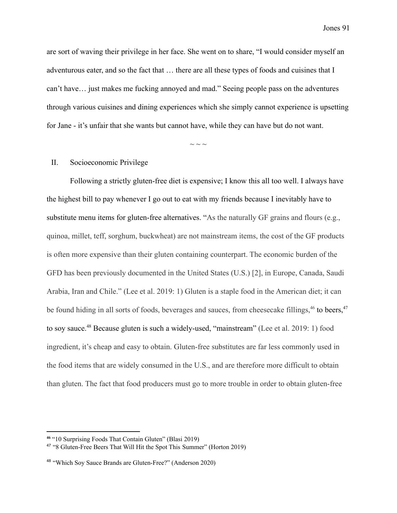are sort of waving their privilege in her face. She went on to share, "I would consider myself an adventurous eater, and so the fact that … there are all these types of foods and cuisines that I can't have… just makes me fucking annoyed and mad." Seeing people pass on the adventures through various cuisines and dining experiences which she simply cannot experience is upsetting for Jane - it's unfair that she wants but cannot have, while they can have but do not want.

 $\sim$   $\sim$   $\sim$ 

### II. Socioeconomic Privilege

Following a strictly gluten-free diet is expensive; I know this all too well. I always have the highest bill to pay whenever I go out to eat with my friends because I inevitably have to substitute menu items for gluten-free alternatives. "As the naturally GF grains and flours (e.g., quinoa, millet, teff, sorghum, buckwheat) are not mainstream items, the cost of the GF products is often more expensive than their gluten containing counterpart. The economic burden of the GFD has been previously documented in the United States (U.S.) [2], in Europe, Canada, Saudi Arabia, Iran and Chile." (Lee et al. 2019: 1) Gluten is a staple food in the American diet; it can be found hiding in all sorts of foods, beverages and sauces, from cheesecake fillings,  $46$  to beers,  $47$ to soy sauce.<sup>48</sup> Because gluten is such a widely-used, "mainstream" (Lee et al. 2019: 1) food ingredient, it's cheap and easy to obtain. Gluten-free substitutes are far less commonly used in the food items that are widely consumed in the U.S., and are therefore more difficult to obtain than gluten. The fact that food producers must go to more trouble in order to obtain gluten-free

**<sup>46</sup>** "10 Surprising Foods That Contain Gluten" (Blasi 2019)

<sup>47</sup> "8 Gluten-Free Beers That Will Hit the Spot This Summer" (Horton 2019)

<sup>48</sup> "Which Soy Sauce Brands are Gluten-Free?" (Anderson 2020)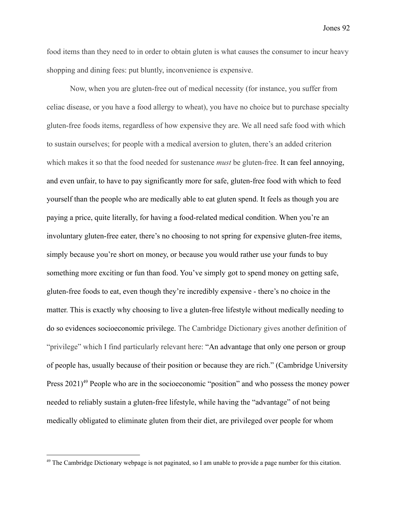food items than they need to in order to obtain gluten is what causes the consumer to incur heavy shopping and dining fees: put bluntly, inconvenience is expensive.

Now, when you are gluten-free out of medical necessity (for instance, you suffer from celiac disease, or you have a food allergy to wheat), you have no choice but to purchase specialty gluten-free foods items, regardless of how expensive they are. We all need safe food with which to sustain ourselves; for people with a medical aversion to gluten, there's an added criterion which makes it so that the food needed for sustenance *must* be gluten-free. It can feel annoying, and even unfair, to have to pay significantly more for safe, gluten-free food with which to feed yourself than the people who are medically able to eat gluten spend. It feels as though you are paying a price, quite literally, for having a food-related medical condition. When you're an involuntary gluten-free eater, there's no choosing to not spring for expensive gluten-free items, simply because you're short on money, or because you would rather use your funds to buy something more exciting or fun than food. You've simply got to spend money on getting safe, gluten-free foods to eat, even though they're incredibly expensive - there's no choice in the matter. This is exactly why choosing to live a gluten-free lifestyle without medically needing to do so evidences socioeconomic privilege. The Cambridge Dictionary gives another definition of "privilege" which I find particularly relevant here: "An [advantage](https://dictionary.cambridge.org/us/dictionary/english/advantage) that only one [person](https://dictionary.cambridge.org/us/dictionary/english/person) or [group](https://dictionary.cambridge.org/us/dictionary/english/group) of [people](https://dictionary.cambridge.org/us/dictionary/english/people) has, usually because of [their](https://dictionary.cambridge.org/us/dictionary/english/their) [position](https://dictionary.cambridge.org/us/dictionary/english/position) or because they are [rich](https://dictionary.cambridge.org/us/dictionary/english/rich)." (Cambridge University Press  $2021$ <sup>49</sup> People who are in the socioeconomic "position" and who possess the money power needed to reliably sustain a gluten-free lifestyle, while having the "advantage" of not being medically obligated to eliminate gluten from their diet, are privileged over people for whom

<sup>&</sup>lt;sup>49</sup> The Cambridge Dictionary webpage is not paginated, so I am unable to provide a page number for this citation.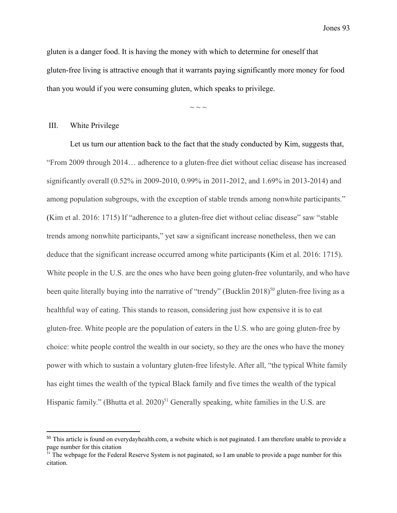gluten is a danger food. It is having the money with which to determine for oneself that gluten-free living is attractive enough that it warrants paying significantly more money for food than you would if you were consuming gluten, which speaks to privilege.

 $\sim$   $\sim$   $\sim$ 

## III. White Privilege

Let us turn our attention back to the fact that the study conducted by Kim, suggests that, "From 2009 through 2014… adherence to a gluten-free diet without celiac disease has increased significantly overall (0.52% in 2009-2010, 0.99% in 2011-2012, and 1.69% in 2013-2014) and among population subgroups, with the exception of stable trends among nonwhite participants." (Kim et al. 2016: 1715) If "adherence to a gluten-free diet without celiac disease" saw "stable trends among nonwhite participants," yet saw a significant increase nonetheless, then we can deduce that the significant increase occurred among white participants (Kim et al. 2016: 1715). White people in the U.S. are the ones who have been going gluten-free voluntarily, and who have been quite literally buying into the narrative of "trendy" (Bucklin 2018)<sup>50</sup> gluten-free living as a healthful way of eating. This stands to reason, considering just how expensive it is to eat gluten-free. White people are the population of eaters in the U.S. who are going gluten-free by choice: white people control the wealth in our society, so they are the ones who have the money power with which to sustain a voluntary gluten-free lifestyle. After all, "the typical White family has eight times the wealth of the typical Black family and five times the wealth of the typical Hispanic family." (Bhutta et al. 2020)<sup>51</sup> Generally speaking, white families in the U.S. are

<sup>&</sup>lt;sup>50</sup> This article is found on everydayhealth.com, a website which is not paginated. I am therefore unable to provide a page number for this citation

 $51$  The webpage for the Federal Reserve System is not paginated, so I am unable to provide a page number for this citation.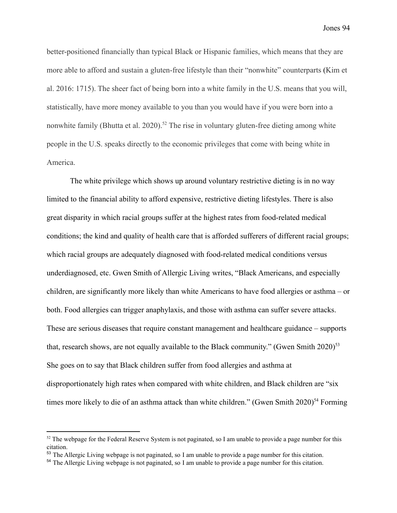better-positioned financially than typical Black or Hispanic families, which means that they are more able to afford and sustain a gluten-free lifestyle than their "nonwhite" counterparts (Kim et al. 2016: 1715). The sheer fact of being born into a white family in the U.S. means that you will, statistically, have more money available to you than you would have if you were born into a nonwhite family (Bhutta et al. 2020).<sup>52</sup> The rise in voluntary gluten-free dieting among white people in the U.S. speaks directly to the economic privileges that come with being white in America.

The white privilege which shows up around voluntary restrictive dieting is in no way limited to the financial ability to afford expensive, restrictive dieting lifestyles. There is also great disparity in which racial groups suffer at the highest rates from food-related medical conditions; the kind and quality of health care that is afforded sufferers of different racial groups; which racial groups are adequately diagnosed with food-related medical conditions versus underdiagnosed, etc. Gwen Smith of Allergic Living writes, "Black Americans, and especially children, are significantly more likely than white Americans to have food allergies or asthma – or both. Food allergies can trigger anaphylaxis, and those with asthma can suffer severe attacks. These are serious diseases that require constant management and healthcare guidance – supports that, research shows, are not equally available to the Black community." (Gwen Smith  $2020$ )<sup>53</sup> She goes on to say that Black children suffer from food allergies and asthma at disproportionately high rates when compared with white children, and Black children are "six times more likely to die of an [asthma attack](https://www.allergicliving.com/2017/03/04/far-higher-death-rate-among-black-children-asthma-u-s/) than white children." (Gwen Smith  $2020$ )<sup>54</sup> Forming

 $52$  The webpage for the Federal Reserve System is not paginated, so I am unable to provide a page number for this citation.

<sup>53</sup> The Allergic Living webpage is not paginated, so I am unable to provide a page number for this citation.

<sup>54</sup> The Allergic Living webpage is not paginated, so I am unable to provide a page number for this citation.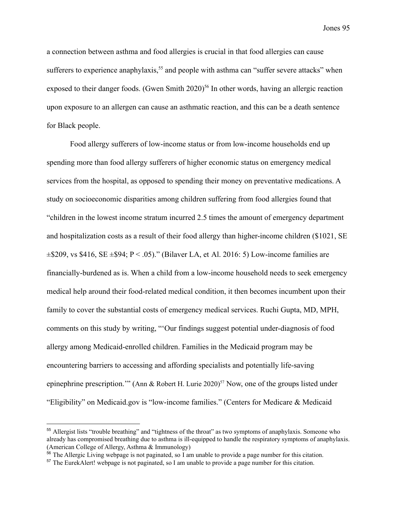a connection between asthma and food allergies is crucial in that food allergies can cause sufferers to experience anaphylaxis,  $55$  and people with asthma can "suffer severe attacks" when exposed to their danger foods. (Gwen Smith  $2020$ <sup>56</sup> In other words, having an allergic reaction upon exposure to an allergen can cause an asthmatic reaction, and this can be a death sentence for Black people.

Food allergy sufferers of low-income status or from low-income households end up spending more than food allergy sufferers of higher economic status on emergency medical services from the hospital, as opposed to spending their money on preventative medications. A study on socioeconomic disparities among children suffering from food allergies found that "children in the lowest income stratum incurred 2.5 times the amount of emergency department and hospitalization costs as a result of their food allergy than higher-income children (\$1021, SE  $\pm$ \$209, vs \$416, SE  $\pm$ \$94; P < .05)." (Bilaver LA, et Al. 2016: 5) Low-income families are financially-burdened as is. When a child from a low-income household needs to seek emergency medical help around their food-related medical condition, it then becomes incumbent upon their family to cover the substantial costs of emergency medical services. Ruchi Gupta, MD, MPH, comments on this study by writing, "'Our findings suggest potential under-diagnosis of food allergy among Medicaid-enrolled children. Families in the Medicaid program may be encountering barriers to accessing and affording specialists and potentially life-saving epinephrine prescription.'" (Ann & Robert H. Lurie 2020)<sup>57</sup> Now, one of the groups listed under "Eligibility" on Medicaid.gov is "low-income families." (Centers for Medicare & Medicaid

<sup>&</sup>lt;sup>55</sup> Allergist lists "trouble breathing" and "tightness of the throat" as two symptoms of anaphylaxis. Someone who already has compromised breathing due to asthma is ill-equipped to handle the respiratory symptoms of anaphylaxis. (American College of Allergy, Asthma & Immunology)

<sup>&</sup>lt;sup>56</sup> The Allergic Living webpage is not paginated, so I am unable to provide a page number for this citation.

<sup>&</sup>lt;sup>57</sup> The EurekAlert! webpage is not paginated, so I am unable to provide a page number for this citation.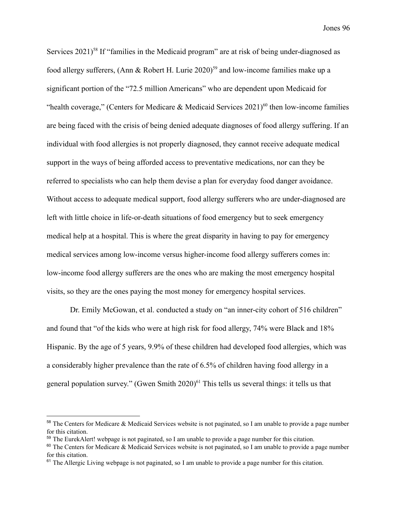Services  $2021$ <sup>58</sup> If "families in the Medicaid program" are at risk of being under-diagnosed as food allergy sufferers, (Ann & Robert H. Lurie 2020)<sup>59</sup> and low-income families make up a significant portion of the "72.5 million Americans" who are dependent upon Medicaid for "health coverage," (Centers for Medicare & Medicaid Services  $2021$ )<sup>60</sup> then low-income families are being faced with the crisis of being denied adequate diagnoses of food allergy suffering. If an individual with food allergies is not properly diagnosed, they cannot receive adequate medical support in the ways of being afforded access to preventative medications, nor can they be referred to specialists who can help them devise a plan for everyday food danger avoidance. Without access to adequate medical support, food allergy sufferers who are under-diagnosed are left with little choice in life-or-death situations of food emergency but to seek emergency medical help at a hospital. This is where the great disparity in having to pay for emergency medical services among low-income versus higher-income food allergy sufferers comes in: low-income food allergy sufferers are the ones who are making the most emergency hospital visits, so they are the ones paying the most money for emergency hospital services.

Dr. Emily McGowan, et al. conducted a study on "an inner-city cohort of 516 children" and found that "of the kids who were at high risk for food allergy, 74% were Black and 18% Hispanic. By the age of 5 years, 9.9% of these children had developed food allergies, which was a considerably higher prevalence than the rate of 6.5% of children having food allergy in a general population survey." (Gwen Smith  $2020$ <sup>61</sup> This tells us several things: it tells us that

<sup>&</sup>lt;sup>58</sup> The Centers for Medicare & Medicaid Services website is not paginated, so I am unable to provide a page number for this citation.

<sup>&</sup>lt;sup>59</sup> The EurekAlert! webpage is not paginated, so I am unable to provide a page number for this citation.

<sup>&</sup>lt;sup>60</sup> The Centers for Medicare & Medicaid Services website is not paginated, so I am unable to provide a page number for this citation.

<sup>&</sup>lt;sup>61</sup> The Allergic Living webpage is not paginated, so I am unable to provide a page number for this citation.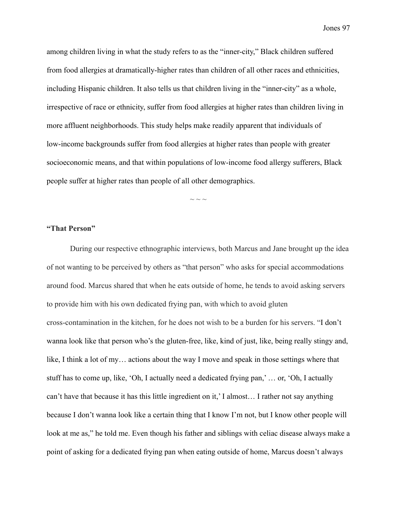among children living in what the study refers to as the "inner-city," Black children suffered from food allergies at dramatically-higher rates than children of all other races and ethnicities, including Hispanic children. It also tells us that children living in the "inner-city" as a whole, irrespective of race or ethnicity, suffer from food allergies at higher rates than children living in more affluent neighborhoods. This study helps make readily apparent that individuals of low-income backgrounds suffer from food allergies at higher rates than people with greater socioeconomic means, and that within populations of low-income food allergy sufferers, Black people suffer at higher rates than people of all other demographics.

 $\sim$   $\sim$   $\sim$ 

## **"That Person"**

During our respective ethnographic interviews, both Marcus and Jane brought up the idea of not wanting to be perceived by others as "that person" who asks for special accommodations around food. Marcus shared that when he eats outside of home, he tends to avoid asking servers to provide him with his own dedicated frying pan, with which to avoid gluten cross-contamination in the kitchen, for he does not wish to be a burden for his servers. "I don't wanna look like that person who's the gluten-free, like, kind of just, like, being really stingy and, like, I think a lot of my… actions about the way I move and speak in those settings where that stuff has to come up, like, 'Oh, I actually need a dedicated frying pan,' … or, 'Oh, I actually can't have that because it has this little ingredient on it,' I almost… I rather not say anything because I don't wanna look like a certain thing that I know I'm not, but I know other people will look at me as," he told me. Even though his father and siblings with celiac disease always make a point of asking for a dedicated frying pan when eating outside of home, Marcus doesn't always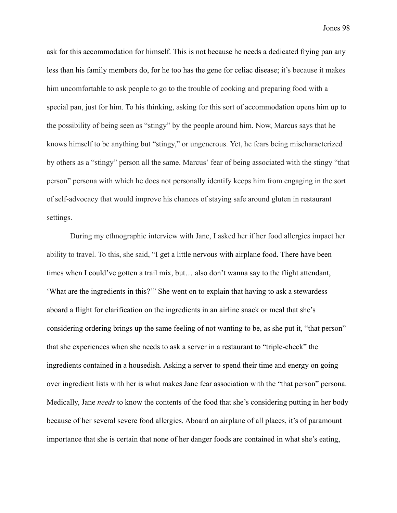ask for this accommodation for himself. This is not because he needs a dedicated frying pan any less than his family members do, for he too has the gene for celiac disease; it's because it makes him uncomfortable to ask people to go to the trouble of cooking and preparing food with a special pan, just for him. To his thinking, asking for this sort of accommodation opens him up to the possibility of being seen as "stingy" by the people around him. Now, Marcus says that he knows himself to be anything but "stingy," or ungenerous. Yet, he fears being mischaracterized by others as a "stingy" person all the same. Marcus' fear of being associated with the stingy "that person" persona with which he does not personally identify keeps him from engaging in the sort of self-advocacy that would improve his chances of staying safe around gluten in restaurant settings.

During my ethnographic interview with Jane, I asked her if her food allergies impact her ability to travel. To this, she said, "I get a little nervous with airplane food. There have been times when I could've gotten a trail mix, but… also don't wanna say to the flight attendant, 'What are the ingredients in this?'" She went on to explain that having to ask a stewardess aboard a flight for clarification on the ingredients in an airline snack or meal that she's considering ordering brings up the same feeling of not wanting to be, as she put it, "that person" that she experiences when she needs to ask a server in a restaurant to "triple-check" the ingredients contained in a housedish. Asking a server to spend their time and energy on going over ingredient lists with her is what makes Jane fear association with the "that person" persona. Medically, Jane *needs* to know the contents of the food that she's considering putting in her body because of her several severe food allergies. Aboard an airplane of all places, it's of paramount importance that she is certain that none of her danger foods are contained in what she's eating,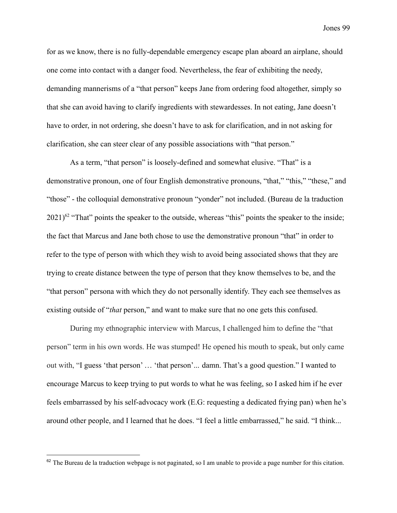for as we know, there is no fully-dependable emergency escape plan aboard an airplane, should one come into contact with a danger food. Nevertheless, the fear of exhibiting the needy, demanding mannerisms of a "that person" keeps Jane from ordering food altogether, simply so that she can avoid having to clarify ingredients with stewardesses. In not eating, Jane doesn't have to order, in not ordering, she doesn't have to ask for clarification, and in not asking for clarification, she can steer clear of any possible associations with "that person."

As a term, "that person" is loosely-defined and somewhat elusive. "That" is a demonstrative pronoun, one of four English demonstrative pronouns, "that," "this," "these," and "those" - the colloquial demonstrative pronoun "yonder" not included. (Bureau de la traduction  $2021$ <sup>62</sup> "That" points the speaker to the outside, whereas "this" points the speaker to the inside; the fact that Marcus and Jane both chose to use the demonstrative pronoun "that" in order to refer to the type of person with which they wish to avoid being associated shows that they are trying to create distance between the type of person that they know themselves to be, and the "that person" persona with which they do not personally identify. They each see themselves as existing outside of "*that* person," and want to make sure that no one gets this confused.

During my ethnographic interview with Marcus, I challenged him to define the "that person" term in his own words. He was stumped! He opened his mouth to speak, but only came out with, "I guess 'that person' … 'that person'... damn. That's a good question." I wanted to encourage Marcus to keep trying to put words to what he was feeling, so I asked him if he ever feels embarrassed by his self-advocacy work (E.G: requesting a dedicated frying pan) when he's around other people, and I learned that he does. "I feel a little embarrassed," he said. "I think...

 $62$  The Bureau de la traduction webpage is not paginated, so I am unable to provide a page number for this citation.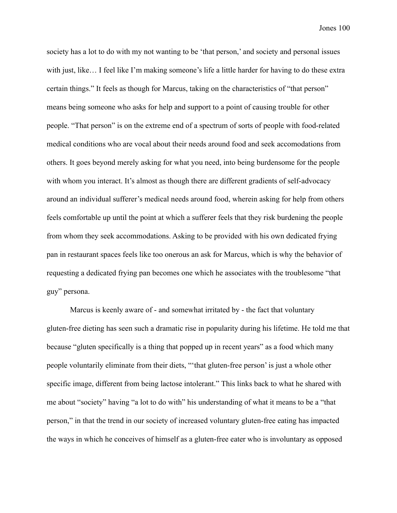society has a lot to do with my not wanting to be 'that person,' and society and personal issues with just, like… I feel like I'm making someone's life a little harder for having to do these extra certain things." It feels as though for Marcus, taking on the characteristics of "that person" means being someone who asks for help and support to a point of causing trouble for other people. "That person" is on the extreme end of a spectrum of sorts of people with food-related medical conditions who are vocal about their needs around food and seek accomodations from others. It goes beyond merely asking for what you need, into being burdensome for the people with whom you interact. It's almost as though there are different gradients of self-advocacy around an individual sufferer's medical needs around food, wherein asking for help from others feels comfortable up until the point at which a sufferer feels that they risk burdening the people from whom they seek accommodations. Asking to be provided with his own dedicated frying pan in restaurant spaces feels like too onerous an ask for Marcus, which is why the behavior of requesting a dedicated frying pan becomes one which he associates with the troublesome "that guy" persona.

Marcus is keenly aware of - and somewhat irritated by - the fact that voluntary gluten-free dieting has seen such a dramatic rise in popularity during his lifetime. He told me that because "gluten specifically is a thing that popped up in recent years" as a food which many people voluntarily eliminate from their diets, "'that gluten-free person' is just a whole other specific image, different from being lactose intolerant." This links back to what he shared with me about "society" having "a lot to do with" his understanding of what it means to be a "that person," in that the trend in our society of increased voluntary gluten-free eating has impacted the ways in which he conceives of himself as a gluten-free eater who is involuntary as opposed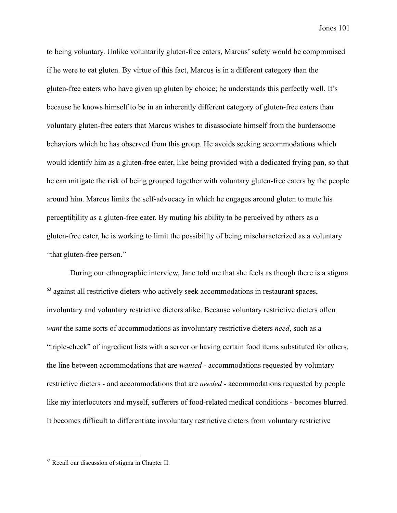to being voluntary. Unlike voluntarily gluten-free eaters, Marcus' safety would be compromised if he were to eat gluten. By virtue of this fact, Marcus is in a different category than the gluten-free eaters who have given up gluten by choice; he understands this perfectly well. It's because he knows himself to be in an inherently different category of gluten-free eaters than voluntary gluten-free eaters that Marcus wishes to disassociate himself from the burdensome behaviors which he has observed from this group. He avoids seeking accommodations which would identify him as a gluten-free eater, like being provided with a dedicated frying pan, so that he can mitigate the risk of being grouped together with voluntary gluten-free eaters by the people around him. Marcus limits the self-advocacy in which he engages around gluten to mute his perceptibility as a gluten-free eater. By muting his ability to be perceived by others as a gluten-free eater, he is working to limit the possibility of being mischaracterized as a voluntary "that gluten-free person."

During our ethnographic interview, Jane told me that she feels as though there is a stigma  $63$  against all restrictive dieters who actively seek accommodations in restaurant spaces, involuntary and voluntary restrictive dieters alike. Because voluntary restrictive dieters often *want* the same sorts of accommodations as involuntary restrictive dieters *need*, such as a "triple-check" of ingredient lists with a server or having certain food items substituted for others, the line between accommodations that are *wanted* - accommodations requested by voluntary restrictive dieters - and accommodations that are *needed* - accommodations requested by people like my interlocutors and myself, sufferers of food-related medical conditions - becomes blurred. It becomes difficult to differentiate involuntary restrictive dieters from voluntary restrictive

<sup>63</sup> Recall our discussion of stigma in Chapter II.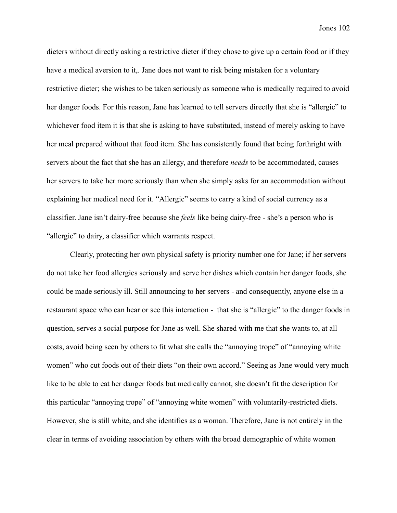dieters without directly asking a restrictive dieter if they chose to give up a certain food or if they have a medical aversion to it,. Jane does not want to risk being mistaken for a voluntary restrictive dieter; she wishes to be taken seriously as someone who is medically required to avoid her danger foods. For this reason, Jane has learned to tell servers directly that she is "allergic" to whichever food item it is that she is asking to have substituted, instead of merely asking to have her meal prepared without that food item. She has consistently found that being forthright with servers about the fact that she has an allergy, and therefore *needs* to be accommodated, causes her servers to take her more seriously than when she simply asks for an accommodation without explaining her medical need for it. "Allergic" seems to carry a kind of social currency as a classifier. Jane isn't dairy-free because she *feels* like being dairy-free - she's a person who is "allergic" to dairy, a classifier which warrants respect.

Clearly, protecting her own physical safety is priority number one for Jane; if her servers do not take her food allergies seriously and serve her dishes which contain her danger foods, she could be made seriously ill. Still announcing to her servers - and consequently, anyone else in a restaurant space who can hear or see this interaction - that she is "allergic" to the danger foods in question, serves a social purpose for Jane as well. She shared with me that she wants to, at all costs, avoid being seen by others to fit what she calls the "annoying trope" of "annoying white women" who cut foods out of their diets "on their own accord." Seeing as Jane would very much like to be able to eat her danger foods but medically cannot, she doesn't fit the description for this particular "annoying trope" of "annoying white women" with voluntarily-restricted diets. However, she is still white, and she identifies as a woman. Therefore, Jane is not entirely in the clear in terms of avoiding association by others with the broad demographic of white women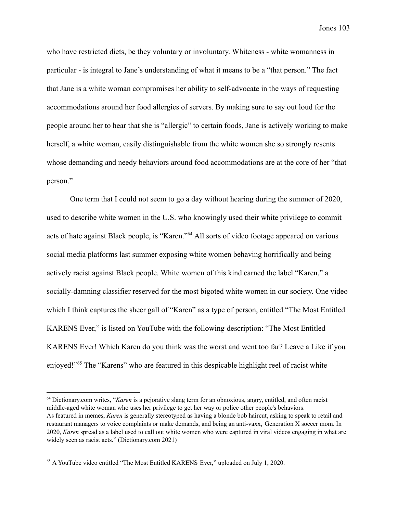who have restricted diets, be they voluntary or involuntary. Whiteness - white womanness in particular - is integral to Jane's understanding of what it means to be a "that person." The fact that Jane is a white woman compromises her ability to self-advocate in the ways of requesting accommodations around her food allergies of servers. By making sure to say out loud for the people around her to hear that she is "allergic" to certain foods, Jane is actively working to make herself, a white woman, easily distinguishable from the white women she so strongly resents whose demanding and needy behaviors around food accommodations are at the core of her "that person."

One term that I could not seem to go a day without hearing during the summer of 2020, used to describe white women in the U.S. who knowingly used their white privilege to commit acts of hate against Black people, is "Karen."<sup>64</sup> All sorts of video footage appeared on various social media platforms last summer exposing white women behaving horrifically and being actively racist against Black people. White women of this kind earned the label "Karen," a socially-damning classifier reserved for the most bigoted white women in our society. One video which I think captures the sheer gall of "Karen" as a type of person, entitled "The Most Entitled KARENS Ever," is listed on YouTube with the following description: "The Most Entitled KARENS Ever! Which Karen do you think was the worst and went too far? Leave a Like if you enjoyed!"<sup>65</sup> The "Karens" who are featured in this despicable highlight reel of racist white

<sup>64</sup> Dictionary.com writes, "*Karen* is a [pejorative](https://www.dictionary.com/browse/pejorative) slang term for an obnoxious, angry, entitled, and often racist middle-aged white woman who uses her privilege to get her way or police other people's behaviors. As featured in memes, *Karen* is generally stereotyped as having a blonde bob haircut, asking to speak to retail and restaurant managers to voice complaints or make demands, and being an [anti-vaxx](https://www.dictionary.com/e/pop-culture/vacctivist/), [Generation](https://www.dictionary.com/browse/generation-x) X [soccer](https://www.dictionary.com/browse/soccer-mom) mom. In 2020, *Karen* spread as a label used to call out white women who were captured in viral videos engaging in what are widely seen as [racist](https://www.dictionary.com/browse/racist#editors-notes-section) acts." (Dictionary.com 2021)

<sup>&</sup>lt;sup>65</sup> A YouTube video entitled "The Most Entitled KARENS Ever," uploaded on July 1, 2020.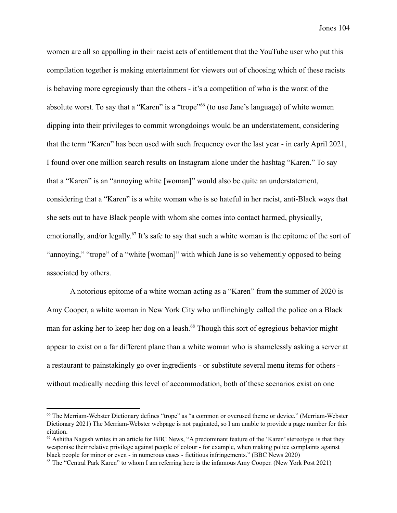women are all so appalling in their racist acts of entitlement that the YouTube user who put this compilation together is making entertainment for viewers out of choosing which of these racists is behaving more egregiously than the others - it's a competition of who is the worst of the absolute worst. To say that a "Karen" is a "trope" (to use Jane's language) of white women dipping into their privileges to commit wrongdoings would be an understatement, considering that the term "Karen" has been used with such frequency over the last year - in early April 2021, I found over one million search results on Instagram alone under the hashtag "Karen." To say that a "Karen" is an "annoying white [woman]" would also be quite an understatement, considering that a "Karen" is a white woman who is so hateful in her racist, anti-Black ways that she sets out to have Black people with whom she comes into contact harmed, physically, emotionally, and/or legally.<sup>67</sup> It's safe to say that such a white woman is the epitome of the sort of "annoying," "trope" of a "white [woman]" with which Jane is so vehemently opposed to being associated by others.

A notorious epitome of a white woman acting as a "Karen" from the summer of 2020 is Amy Cooper, a white woman in New York City who unflinchingly called the police on a Black man for asking her to keep her dog on a leash.<sup>68</sup> Though this sort of egregious behavior might appear to exist on a far different plane than a white woman who is shamelessly asking a server at a restaurant to painstakingly go over ingredients - or substitute several menu items for others without medically needing this level of accommodation, both of these scenarios exist on one

<sup>66</sup> The Merriam-Webster Dictionary defines "trope" as "a common or overused theme or device." (Merriam-Webster Dictionary 2021) The Merriam-Webster webpage is not paginated, so I am unable to provide a page number for this citation.

 $67$  Ashitha Nagesh writes in an article for BBC News, "A predominant feature of the 'Karen' stereotype is that they weaponise their relative privilege against people of colour - for example, when making police complaints against black people for minor or even - in numerous cases - fictitious infringements." (BBC News 2020)

<sup>68</sup> The "Central Park Karen" to whom I am referring here is the infamous Amy Cooper. (New York Post 2021)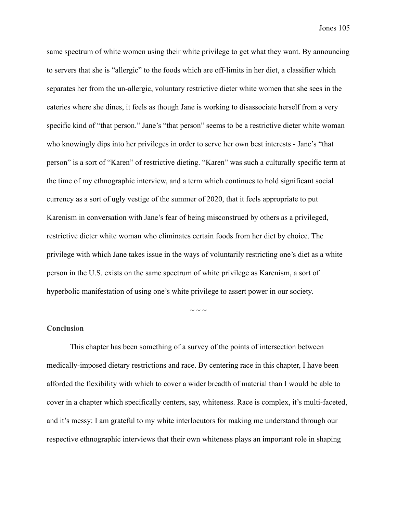same spectrum of white women using their white privilege to get what they want. By announcing to servers that she is "allergic" to the foods which are off-limits in her diet, a classifier which separates her from the un-allergic, voluntary restrictive dieter white women that she sees in the eateries where she dines, it feels as though Jane is working to disassociate herself from a very specific kind of "that person." Jane's "that person" seems to be a restrictive dieter white woman who knowingly dips into her privileges in order to serve her own best interests - Jane's "that person" is a sort of "Karen" of restrictive dieting. "Karen" was such a culturally specific term at the time of my ethnographic interview, and a term which continues to hold significant social currency as a sort of ugly vestige of the summer of 2020, that it feels appropriate to put Karenism in conversation with Jane's fear of being misconstrued by others as a privileged, restrictive dieter white woman who eliminates certain foods from her diet by choice. The privilege with which Jane takes issue in the ways of voluntarily restricting one's diet as a white person in the U.S. exists on the same spectrum of white privilege as Karenism, a sort of hyperbolic manifestation of using one's white privilege to assert power in our society.

## $\sim$  ~ ~

## **Conclusion**

This chapter has been something of a survey of the points of intersection between medically-imposed dietary restrictions and race. By centering race in this chapter, I have been afforded the flexibility with which to cover a wider breadth of material than I would be able to cover in a chapter which specifically centers, say, whiteness. Race is complex, it's multi-faceted, and it's messy: I am grateful to my white interlocutors for making me understand through our respective ethnographic interviews that their own whiteness plays an important role in shaping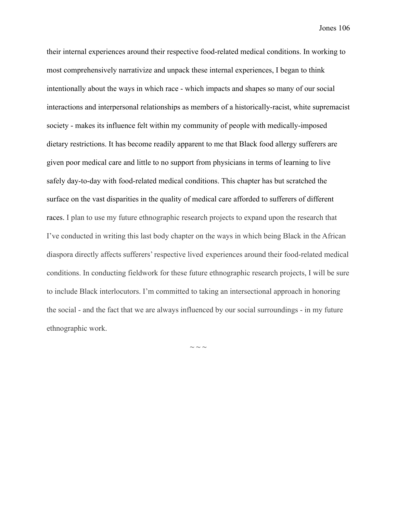their internal experiences around their respective food-related medical conditions. In working to most comprehensively narrativize and unpack these internal experiences, I began to think intentionally about the ways in which race - which impacts and shapes so many of our social interactions and interpersonal relationships as members of a historically-racist, white supremacist society - makes its influence felt within my community of people with medically-imposed dietary restrictions. It has become readily apparent to me that Black food allergy sufferers are given poor medical care and little to no support from physicians in terms of learning to live safely day-to-day with food-related medical conditions. This chapter has but scratched the surface on the vast disparities in the quality of medical care afforded to sufferers of different races. I plan to use my future ethnographic research projects to expand upon the research that I've conducted in writing this last body chapter on the ways in which being Black in the African diaspora directly affects sufferers' respective lived experiences around their food-related medical conditions. In conducting fieldwork for these future ethnographic research projects, I will be sure to include Black interlocutors. I'm committed to taking an intersectional approach in honoring the social - and the fact that we are always influenced by our social surroundings - in my future ethnographic work.

 $\sim$   $\sim$   $\sim$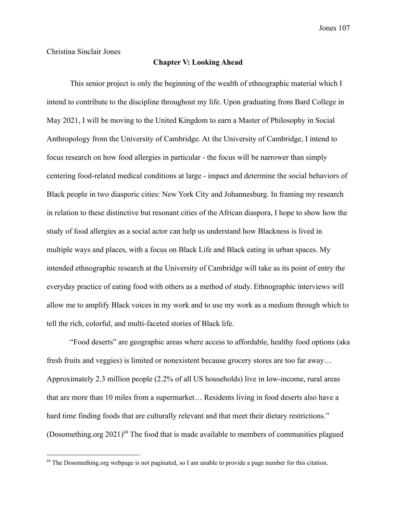Christina Sinclair Jones

## **Chapter V: Looking Ahead**

This senior project is only the beginning of the wealth of ethnographic material which I intend to contribute to the discipline throughout my life. Upon graduating from Bard College in May 2021, I will be moving to the United Kingdom to earn a Master of Philosophy in Social Anthropology from the University of Cambridge. At the University of Cambridge, I intend to focus research on how food allergies in particular - the focus will be narrower than simply centering food-related medical conditions at large - impact and determine the social behaviors of Black people in two diasporic cities: New York City and Johannesburg. In framing my research in relation to these distinctive but resonant cities of the African diaspora, I hope to show how the study of food allergies as a social actor can help us understand how Blackness is lived in multiple ways and places, with a focus on Black Life and Black eating in urban spaces. My intended ethnographic research at the University of Cambridge will take as its point of entry the everyday practice of eating food with others as a method of study. Ethnographic interviews will allow me to amplify Black voices in my work and to use my work as a medium through which to tell the rich, colorful, and multi-faceted stories of Black life.

"Food deserts" are geographic areas where access to affordable, healthy food options (aka fresh fruits and veggies) is limited or nonexistent because grocery stores are too far away… Approximately 2.3 million people (2.2% of all US households) live in low-income, rural areas that are more than 10 miles from a supermarket… Residents living in food deserts also have a hard time finding foods that are culturally relevant and that meet their dietary restrictions." (Dosomething.org  $2021$ )<sup>69</sup> The food that is made available to members of communities plagued

<sup>&</sup>lt;sup>69</sup> The Dosomething.org webpage is not paginated, so I am unable to provide a page number for this citation.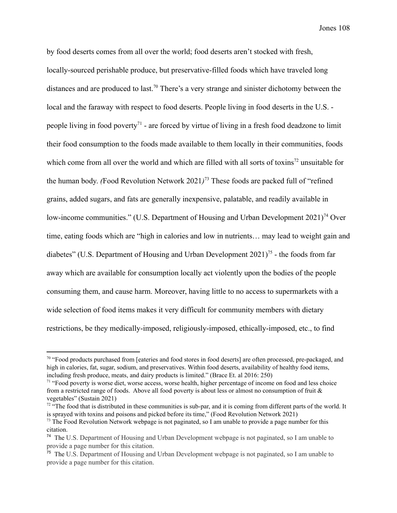by food deserts comes from all over the world; food deserts aren't stocked with fresh, locally-sourced perishable produce, but preservative-filled foods which have traveled long distances and are produced to last.<sup>70</sup> There's a very strange and sinister dichotomy between the local and the faraway with respect to food deserts. People living in food deserts in the U.S. people living in food poverty<sup> $71$ </sup> - are forced by virtue of living in a fresh food deadzone to limit their food consumption to the foods made available to them locally in their communities, foods which come from all over the world and which are filled with all sorts of toxins<sup>72</sup> unsuitable for the human body. *(Food Revolution Network 2021)*<sup>73</sup> These foods are packed full of "refined" grains, added sugars, and fats are generally inexpensive, palatable, and readily available in low-income [communities](https://www.huduser.gov/portal/pdredge/pdr-edge-frm-asst-sec-043018.html#)." (U.S. Department of Housing and Urban Development  $2021$ <sup>74</sup> Over time, eating foods which are "high in calories and low in nutrients… may lead to weight [gain](https://www.huduser.gov/portal/pdredge/pdr-edge-frm-asst-sec-043018.html#) and diabetes" (U.S. Department of Housing and Urban Development  $2021$ <sup>75</sup> - the foods from far away which are available for consumption locally act violently upon the bodies of the people consuming them, and cause harm. Moreover, having little to no access to supermarkets with a wide selection of food items makes it very difficult for community members with dietary restrictions, be they medically-imposed, religiously-imposed, ethically-imposed, etc., to find

 $70$  "Food products purchased from [eateries and food stores in food deserts] are often processed, pre-packaged, and high in calories, fat, sugar, sodium, and preservatives. Within food deserts, availability of healthy food items, including fresh produce, meats, and dairy products is limited." (Brace Et. al 2016: 250)

<sup>&</sup>lt;sup>71</sup> "Food poverty is worse diet, worse access, worse health, higher percentage of income on food and less choice from a restricted range of foods. Above all food poverty is about less or almost no consumption of fruit & vegetables" (Sustain 2021)

 $72$  "The food that is distributed in these communities is sub-par, and it is coming from different parts of the world. It is sprayed with toxins and poisons and picked before its time," (Food Revolution Network 2021)

 $<sup>73</sup>$  The Food Revolution Network webpage is not paginated, so I am unable to provide a page number for this</sup> citation.

<sup>&</sup>lt;sup>74</sup> The U.S. Department of Housing and Urban Development webpage is not paginated, so I am unable to provide a page number for this citation.

<sup>&</sup>lt;sup>75</sup> The U.S. Department of Housing and Urban Development webpage is not paginated, so I am unable to provide a page number for this citation.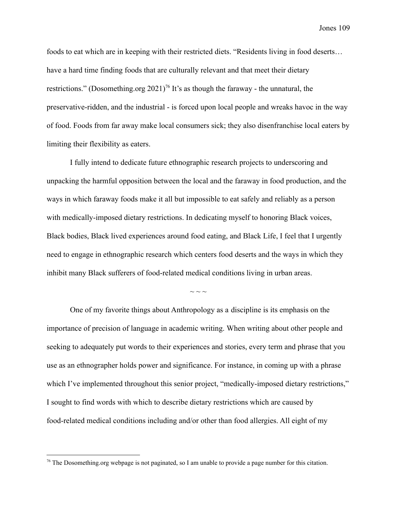foods to eat which are in keeping with their restricted diets. "Residents living in food deserts… have a hard time finding foods that are culturally relevant and that meet their dietary restrictions." (Dosomething.org  $2021$ <sup>76</sup> It's as though the faraway - the unnatural, the preservative-ridden, and the industrial - is forced upon local people and wreaks havoc in the way of food. Foods from far away make local consumers sick; they also disenfranchise local eaters by limiting their flexibility as eaters.

I fully intend to dedicate future ethnographic research projects to underscoring and unpacking the harmful opposition between the local and the faraway in food production, and the ways in which faraway foods make it all but impossible to eat safely and reliably as a person with medically-imposed dietary restrictions. In dedicating myself to honoring Black voices, Black bodies, Black lived experiences around food eating, and Black Life, I feel that I urgently need to engage in ethnographic research which centers food deserts and the ways in which they inhibit many Black sufferers of food-related medical conditions living in urban areas.

 $\sim$   $\sim$   $\sim$ 

One of my favorite things about Anthropology as a discipline is its emphasis on the importance of precision of language in academic writing. When writing about other people and seeking to adequately put words to their experiences and stories, every term and phrase that you use as an ethnographer holds power and significance. For instance, in coming up with a phrase which I've implemented throughout this senior project, "medically-imposed dietary restrictions," I sought to find words with which to describe dietary restrictions which are caused by food-related medical conditions including and/or other than food allergies. All eight of my

 $76$  The Dosomething.org webpage is not paginated, so I am unable to provide a page number for this citation.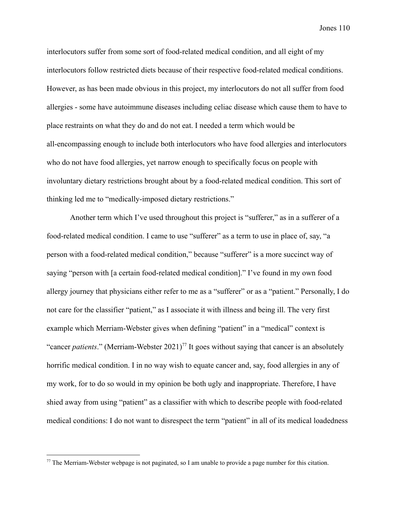interlocutors suffer from some sort of food-related medical condition, and all eight of my interlocutors follow restricted diets because of their respective food-related medical conditions. However, as has been made obvious in this project, my interlocutors do not all suffer from food allergies - some have autoimmune diseases including celiac disease which cause them to have to place restraints on what they do and do not eat. I needed a term which would be all-encompassing enough to include both interlocutors who have food allergies and interlocutors who do not have food allergies, yet narrow enough to specifically focus on people with involuntary dietary restrictions brought about by a food-related medical condition. This sort of thinking led me to "medically-imposed dietary restrictions."

Another term which I've used throughout this project is "sufferer," as in a sufferer of a food-related medical condition. I came to use "sufferer" as a term to use in place of, say, "a person with a food-related medical condition," because "sufferer" is a more succinct way of saying "person with [a certain food-related medical condition]." I've found in my own food allergy journey that physicians either refer to me as a "sufferer" or as a "patient." Personally, I do not care for the classifier "patient," as I associate it with illness and being ill. The very first example which Merriam-Webster gives when defining "patient" in a "medical" context is "cancer *patients*." (Merriam-Webster 2021)<sup>77</sup> It goes without saying that cancer is an absolutely horrific medical condition. I in no way wish to equate cancer and, say, food allergies in any of my work, for to do so would in my opinion be both ugly and inappropriate. Therefore, I have shied away from using "patient" as a classifier with which to describe people with food-related medical conditions: I do not want to disrespect the term "patient" in all of its medical loadedness

<sup>&</sup>lt;sup>77</sup> The Merriam-Webster webpage is not paginated, so I am unable to provide a page number for this citation.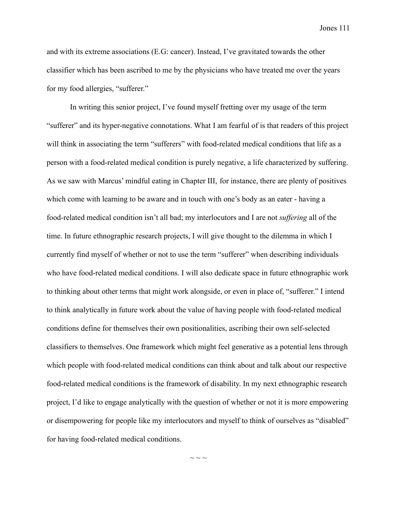and with its extreme associations (E.G: cancer). Instead, I've gravitated towards the other classifier which has been ascribed to me by the physicians who have treated me over the years for my food allergies, "sufferer."

In writing this senior project, I've found myself fretting over my usage of the term "sufferer" and its hyper-negative connotations. What I am fearful of is that readers of this project will think in associating the term "sufferers" with food-related medical conditions that life as a person with a food-related medical condition is purely negative, a life characterized by suffering. As we saw with Marcus' mindful eating in Chapter III, for instance, there are plenty of positives which come with learning to be aware and in touch with one's body as an eater - having a food-related medical condition isn't all bad; my interlocutors and I are not *suffering* all of the time. In future ethnographic research projects, I will give thought to the dilemma in which I currently find myself of whether or not to use the term "sufferer" when describing individuals who have food-related medical conditions. I will also dedicate space in future ethnographic work to thinking about other terms that might work alongside, or even in place of, "sufferer." I intend to think analytically in future work about the value of having people with food-related medical conditions define for themselves their own positionalities, ascribing their own self-selected classifiers to themselves. One framework which might feel generative as a potential lens through which people with food-related medical conditions can think about and talk about our respective food-related medical conditions is the framework of disability. In my next ethnographic research project, I'd like to engage analytically with the question of whether or not it is more empowering or disempowering for people like my interlocutors and myself to think of ourselves as "disabled" for having food-related medical conditions.

 $\sim$  ~ ~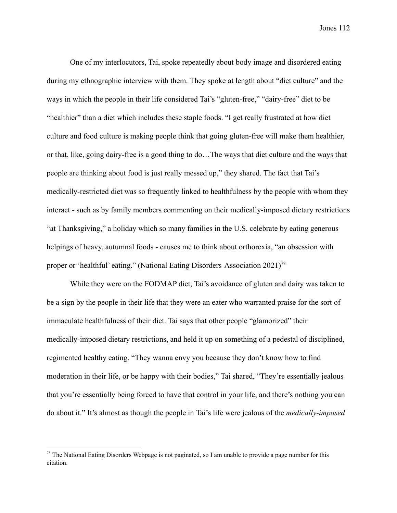One of my interlocutors, Tai, spoke repeatedly about body image and disordered eating during my ethnographic interview with them. They spoke at length about "diet culture" and the ways in which the people in their life considered Tai's "gluten-free," "dairy-free" diet to be "healthier" than a diet which includes these staple foods. "I get really frustrated at how diet culture and food culture is making people think that going gluten-free will make them healthier, or that, like, going dairy-free is a good thing to do…The ways that diet culture and the ways that people are thinking about food is just really messed up," they shared. The fact that Tai's medically-restricted diet was so frequently linked to healthfulness by the people with whom they interact - such as by family members commenting on their medically-imposed dietary restrictions "at Thanksgiving," a holiday which so many families in the U.S. celebrate by eating generous helpings of heavy, autumnal foods - causes me to think about orthorexia, "an obsession with proper or 'healthful' eating." (National Eating Disorders Association 2021)<sup>78</sup>

While they were on the FODMAP diet, Tai's avoidance of gluten and dairy was taken to be a sign by the people in their life that they were an eater who warranted praise for the sort of immaculate healthfulness of their diet. Tai says that other people "glamorized" their medically-imposed dietary restrictions, and held it up on something of a pedestal of disciplined, regimented healthy eating. "They wanna envy you because they don't know how to find moderation in their life, or be happy with their bodies," Tai shared, "They're essentially jealous that you're essentially being forced to have that control in your life, and there's nothing you can do about it." It's almost as though the people in Tai's life were jealous of the *medically-imposed*

<sup>&</sup>lt;sup>78</sup> The National Eating Disorders Webpage is not paginated, so I am unable to provide a page number for this citation.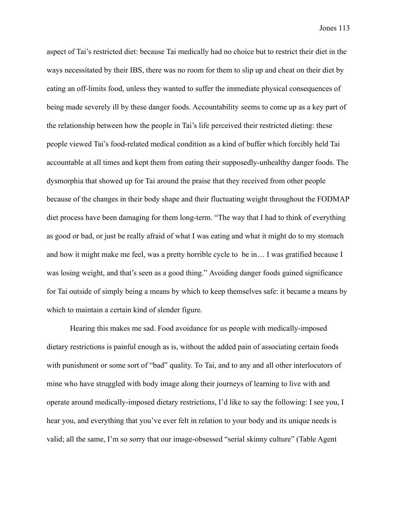aspect of Tai's restricted diet: because Tai medically had no choice but to restrict their diet in the ways necessitated by their IBS, there was no room for them to slip up and cheat on their diet by eating an off-limits food, unless they wanted to suffer the immediate physical consequences of being made severely ill by these danger foods. Accountability seems to come up as a key part of the relationship between how the people in Tai's life perceived their restricted dieting: these people viewed Tai's food-related medical condition as a kind of buffer which forcibly held Tai accountable at all times and kept them from eating their supposedly-unhealthy danger foods. The dysmorphia that showed up for Tai around the praise that they received from other people because of the changes in their body shape and their fluctuating weight throughout the FODMAP diet process have been damaging for them long-term. "The way that I had to think of everything as good or bad, or just be really afraid of what I was eating and what it might do to my stomach and how it might make me feel, was a pretty horrible cycle to be in… I was gratified because I was losing weight, and that's seen as a good thing." Avoiding danger foods gained significance for Tai outside of simply being a means by which to keep themselves safe: it became a means by which to maintain a certain kind of slender figure.

Hearing this makes me sad. Food avoidance for us people with medically-imposed dietary restrictions is painful enough as is, without the added pain of associating certain foods with punishment or some sort of "bad" quality. To Tai, and to any and all other interlocutors of mine who have struggled with body image along their journeys of learning to live with and operate around medically-imposed dietary restrictions, I'd like to say the following: I see you, I hear you, and everything that you've ever felt in relation to your body and its unique needs is valid; all the same, I'm so sorry that our image-obsessed "serial skinny culture" (Table Agent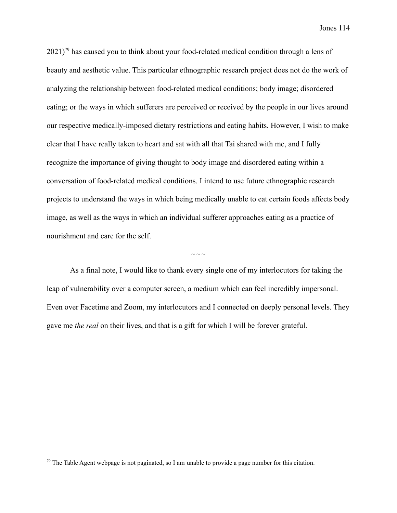$2021$ <sup>79</sup> has caused you to think about your food-related medical condition through a lens of beauty and aesthetic value. This particular ethnographic research project does not do the work of analyzing the relationship between food-related medical conditions; body image; disordered eating; or the ways in which sufferers are perceived or received by the people in our lives around our respective medically-imposed dietary restrictions and eating habits. However, I wish to make clear that I have really taken to heart and sat with all that Tai shared with me, and I fully recognize the importance of giving thought to body image and disordered eating within a conversation of food-related medical conditions. I intend to use future ethnographic research projects to understand the ways in which being medically unable to eat certain foods affects body image, as well as the ways in which an individual sufferer approaches eating as a practice of nourishment and care for the self.

As a final note, I would like to thank every single one of my interlocutors for taking the leap of vulnerability over a computer screen, a medium which can feel incredibly impersonal. Even over Facetime and Zoom, my interlocutors and I connected on deeply personal levels. They gave me *the real* on their lives, and that is a gift for which I will be forever grateful.

 $\sim$   $\sim$   $\sim$ 

 $79$  The Table Agent webpage is not paginated, so I am unable to provide a page number for this citation.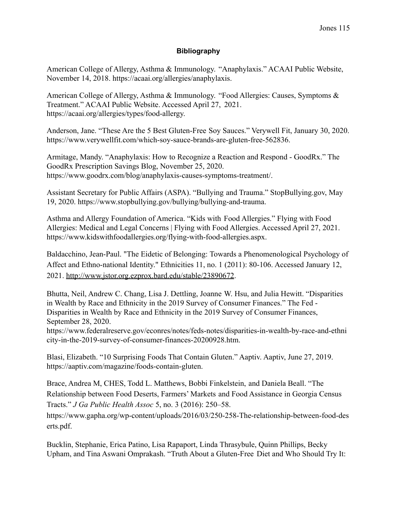## **Bibliography**

American College of Allergy, Asthma & Immunology. "Anaphylaxis." ACAAI Public Website, November 14, 2018. https://acaai.org/allergies/anaphylaxis.

American College of Allergy, Asthma & Immunology. "Food Allergies: Causes, Symptoms & Treatment." ACAAI Public Website. Accessed April 27, 2021. https://acaai.org/allergies/types/food-allergy.

Anderson, Jane. "These Are the 5 Best Gluten-Free Soy Sauces." Verywell Fit, January 30, 2020. https://www.verywellfit.com/which-soy-sauce-brands-are-gluten-free-562836.

Armitage, Mandy. "Anaphylaxis: How to Recognize a Reaction and Respond - GoodRx." The GoodRx Prescription Savings Blog, November 25, 2020. https://www.goodrx.com/blog/anaphylaxis-causes-symptoms-treatment/.

Assistant Secretary for Public Affairs (ASPA). "Bullying and Trauma." StopBullying.gov, May 19, 2020. https://www.stopbullying.gov/bullying/bullying-and-trauma.

Asthma and Allergy Foundation of America. "Kids with Food Allergies." Flying with Food Allergies: Medical and Legal Concerns | Flying with Food Allergies. Accessed April 27, 2021. https://www.kidswithfoodallergies.org/flying-with-food-allergies.aspx.

Baldacchino, Jean-Paul. "The Eidetic of Belonging: Towards a Phenomenological Psychology of Affect and Ethno-national Identity." Ethnicities 11, no. 1 (2011): 80-106. Accessed January 12, 2021. <http://www.jstor.org.ezprox.bard.edu/stable/23890672>.

Bhutta, Neil, Andrew C. Chang, Lisa J. Dettling, Joanne W. Hsu, and Julia Hewitt. "Disparities in Wealth by Race and Ethnicity in the 2019 Survey of Consumer Finances." The Fed - Disparities in Wealth by Race and Ethnicity in the 2019 Survey of Consumer Finances, September 28, 2020.

https://www.federalreserve.gov/econres/notes/feds-notes/disparities-in-wealth-by-race-and-ethni city-in-the-2019-survey-of-consumer-finances-20200928.htm.

Blasi, Elizabeth. "10 Surprising Foods That Contain Gluten." Aaptiv. Aaptiv, June 27, 2019. https://aaptiv.com/magazine/foods-contain-gluten.

Brace, Andrea M, CHES, Todd L. Matthews, Bobbi Finkelstein, and Daniela Beall. "The Relationship between Food Deserts, Farmers' Markets and Food Assistance in Georgia Census Tracts." *J Ga Public Health Assoc* 5, no. 3 (2016): 250–58.

https://www.gapha.org/wp-content/uploads/2016/03/250-258-The-relationship-between-food-des erts.pdf.

Bucklin, Stephanie, Erica Patino, Lisa Rapaport, Linda Thrasybule, Quinn Phillips, Becky Upham, and Tina Aswani Omprakash. "Truth About a Gluten-Free Diet and Who Should Try It: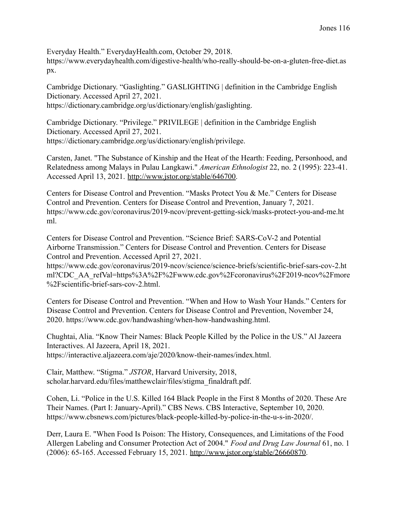Everyday Health." EverydayHealth.com, October 29, 2018.

https://www.everydayhealth.com/digestive-health/who-really-should-be-on-a-gluten-free-diet.as px.

Cambridge Dictionary. "Gaslighting." GASLIGHTING | definition in the Cambridge English Dictionary. Accessed April 27, 2021. https://dictionary.cambridge.org/us/dictionary/english/gaslighting.

Cambridge Dictionary. "Privilege." PRIVILEGE | definition in the Cambridge English Dictionary. Accessed April 27, 2021. https://dictionary.cambridge.org/us/dictionary/english/privilege.

Carsten, Janet. "The Substance of Kinship and the Heat of the Hearth: Feeding, Personhood, and Relatedness among Malays in Pulau Langkawi." *American Ethnologist* 22, no. 2 (1995): 223-41. Accessed April 13, 2021. [http://www.jstor.org/stable/646700.](http://www.jstor.org/stable/646700)

Centers for Disease Control and Prevention. "Masks Protect You & Me." Centers for Disease Control and Prevention. Centers for Disease Control and Prevention, January 7, 2021. https://www.cdc.gov/coronavirus/2019-ncov/prevent-getting-sick/masks-protect-you-and-me.ht ml.

Centers for Disease Control and Prevention. "Science Brief: SARS-CoV-2 and Potential Airborne Transmission." Centers for Disease Control and Prevention. Centers for Disease Control and Prevention. Accessed April 27, 2021.

https://www.cdc.gov/coronavirus/2019-ncov/science/science-briefs/scientific-brief-sars-cov-2.ht ml?CDC\_AA\_refVal=https%3A%2F%2Fwww.cdc.gov%2Fcoronavirus%2F2019-ncov%2Fmore %2Fscientific-brief-sars-cov-2.html.

Centers for Disease Control and Prevention. "When and How to Wash Your Hands." Centers for Disease Control and Prevention. Centers for Disease Control and Prevention, November 24, 2020. https://www.cdc.gov/handwashing/when-how-handwashing.html.

Chughtai, Alia. "Know Their Names: Black People Killed by the Police in the US." Al Jazeera Interactives. Al Jazeera, April 18, 2021. https://interactive.aljazeera.com/aje/2020/know-their-names/index.html.

Clair, Matthew. "Stigma." *JSTOR*, Harvard University, 2018, scholar.harvard.edu/files/matthewclair/files/stigma\_finaldraft.pdf.

Cohen, Li. "Police in the U.S. Killed 164 Black People in the First 8 Months of 2020. These Are Their Names. (Part I: January-April)." CBS News. CBS Interactive, September 10, 2020. https://www.cbsnews.com/pictures/black-people-killed-by-police-in-the-u-s-in-2020/.

Derr, Laura E. "When Food Is Poison: The History, Consequences, and Limitations of the Food Allergen Labeling and Consumer Protection Act of 2004." *Food and Drug Law Journal* 61, no. 1 (2006): 65-165. Accessed February 15, 2021. [http://www.jstor.org/stable/26660870.](http://www.jstor.org/stable/26660870)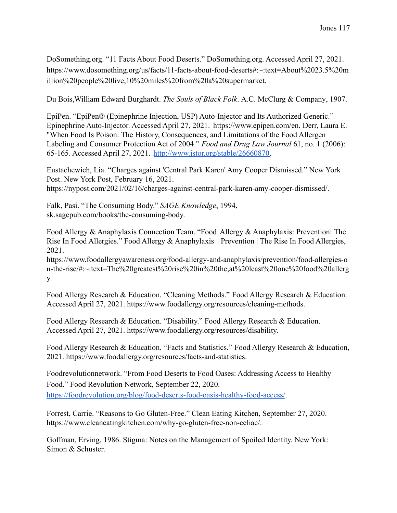DoSomething.org. "11 Facts About Food Deserts." DoSomething.org. Accessed April 27, 2021. https://www.dosomething.org/us/facts/11-facts-about-food-deserts#:~:text=About%2023.5%20m illion%20people%20live,10%20miles%20from%20a%20supermarket.

Du Bois,[William Edward Burghardt](https://www.google.com/search?hl=en&q=inauthor:%22William+Edward+Burghardt+Du+Bois%22&tbm=bks). *The Souls of Black Folk*. [A.C. McClurg & Company,](https://www.google.com/search?hl=en&gbpv=0&q=inpublisher:%22A.C.+McClurg+%26+Company%22&tbm=bks&sa=X&ved=2ahUKEwjuuPmwj67tAhUkF1kFHeQCBJMQmxMoADAGegQIEhAC) 1907.

EpiPen. "EpiPen® (Epinephrine Injection, USP) Auto-Injector and Its Authorized Generic." Epinephrine Auto-Injector. Accessed April 27, 2021. https://www.epipen.com/en. Derr, Laura E. "When Food Is Poison: The History, Consequences, and Limitations of the Food Allergen Labeling and Consumer Protection Act of 2004." *Food and Drug Law Journal* 61, no. 1 (2006): 65-165. Accessed April 27, 2021. [http://www.jstor.org/stable/26660870.](http://www.jstor.org/stable/26660870)

Eustachewich, Lia. "Charges against 'Central Park Karen' Amy Cooper Dismissed." New York Post. New York Post, February 16, 2021. https://nypost.com/2021/02/16/charges-against-central-park-karen-amy-cooper-dismissed/.

Falk, Pasi. "The Consuming Body." *SAGE Knowledge*, 1994, sk.sagepub.com/books/the-consuming-body.

Food Allergy & Anaphylaxis Connection Team. "Food Allergy & Anaphylaxis: Prevention: The Rise In Food Allergies." Food Allergy & Anaphylaxis | Prevention | The Rise In Food Allergies, 2021.

https://www.foodallergyawareness.org/food-allergy-and-anaphylaxis/prevention/food-allergies-o n-the-rise/#:~:text=The%20greatest%20rise%20in%20the,at%20least%20one%20food%20allerg y.

Food Allergy Research & Education. "Cleaning Methods." Food Allergy Research & Education. Accessed April 27, 2021. https://www.foodallergy.org/resources/cleaning-methods.

Food Allergy Research & Education. "Disability." Food Allergy Research & Education. Accessed April 27, 2021. https://www.foodallergy.org/resources/disability.

Food Allergy Research & Education. "Facts and Statistics." Food Allergy Research & Education, 2021. https://www.foodallergy.org/resources/facts-and-statistics.

Foodrevolutionnetwork. "From Food Deserts to Food Oases: Addressing Access to Healthy Food." Food Revolution Network, September 22, 2020. <https://foodrevolution.org/blog/food-deserts-food-oasis-healthy-food-access/>.

Forrest, Carrie. "Reasons to Go Gluten-Free." Clean Eating Kitchen, September 27, 2020. https://www.cleaneatingkitchen.com/why-go-gluten-free-non-celiac/.

Goffman, Erving. 1986. Stigma: Notes on the Management of Spoiled Identity. New York: Simon & Schuster.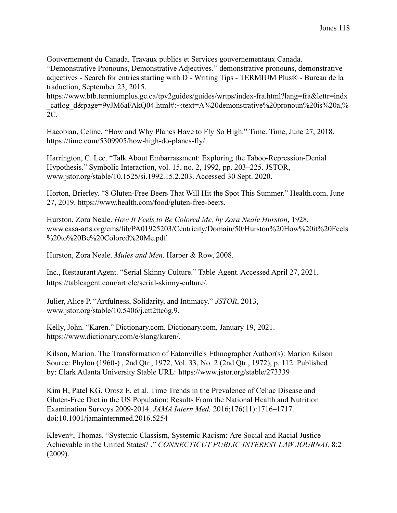Gouvernement du Canada, Travaux publics et Services gouvernementaux Canada.

"Demonstrative Pronouns, Demonstrative Adjectives." demonstrative pronouns, demonstrative adjectives - Search for entries starting with D - Writing Tips - TERMIUM Plus® - Bureau de la traduction, September 23, 2015.

https://www.btb.termiumplus.gc.ca/tpv2guides/guides/wrtps/index-fra.html?lang=fra&lettr=indx catlog\_d&page=9yJM6aFAkQ04.html#:~:text=A%20demonstrative%20pronoun%20is%20a,% 2C.

Hacobian, Celine. "How and Why Planes Have to Fly So High." Time. Time, June 27, 2018. https://time.com/5309905/how-high-do-planes-fly/.

Harrington, C. Lee. "Talk About Embarrassment: Exploring the Taboo-Repression-Denial Hypothesis." Symbolic Interaction, vol. 15, no. 2, 1992, pp. 203–225. JSTOR, www.jstor.org/stable/10.1525/si.1992.15.2.203. Accessed 30 Sept. 2020.

Horton, Brierley. "8 Gluten-Free Beers That Will Hit the Spot This Summer." Health.com, June 27, 2019. https://www.health.com/food/gluten-free-beers.

Hurston, Zora Neale. *How It Feels to Be Colored Me, by Zora Neale Hurston*, 1928, www.casa-arts.org/cms/lib/PA01925203/Centricity/Domain/50/Hurston%20How%20it%20Feels %20to%20Be%20Colored%20Me.pdf.

Hurston, Zora Neale. *Mules and Men*. Harper & Row, 2008.

Inc., Restaurant Agent. "Serial Skinny Culture." Table Agent. Accessed April 27, 2021. https://tableagent.com/article/serial-skinny-culture/.

Julier, Alice P. "Artfulness, Solidarity, and Intimacy." *JSTOR*, 2013, www.jstor.org/stable/10.5406/j.ctt2ttc6g.9.

Kelly, John. "Karen." Dictionary.com. Dictionary.com, January 19, 2021. https://www.dictionary.com/e/slang/karen/.

Kilson, Marion. The Transformation of Eatonville's Ethnographer Author(s): Marion Kilson Source: Phylon (1960-) , 2nd Qtr., 1972, Vol. 33, No. 2 (2nd Qtr., 1972), p. 112. Published by: Clark Atlanta University Stable URL: <https://www.jstor.org/stable/273339>

Kim H, Patel KG, Orosz E, et al. Time Trends in the Prevalence of Celiac Disease and Gluten-Free Diet in the US Population: Results From the National Health and Nutrition Examination Surveys 2009-2014. *JAMA Intern Med.* 2016;176(11):1716–1717. doi:10.1001/jamainternmed.2016.5254

Kleven†, Thomas. "Systemic Classism, Systemic Racism: Are Social and Racial Justice Achievable in the United States? ." *CONNECTICUT PUBLIC INTEREST LAW JOURNAL* 8:2 (2009).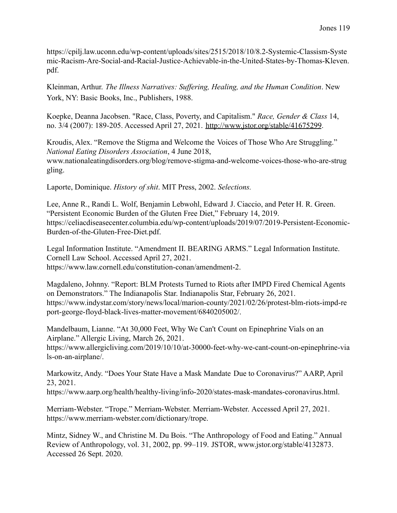https://cpilj.law.uconn.edu/wp-content/uploads/sites/2515/2018/10/8.2-Systemic-Classism-Syste mic-Racism-Are-Social-and-Racial-Justice-Achievable-in-the-United-States-by-Thomas-Kleven. pdf.

Kleinman, Arthur. *The Illness Narratives: Suffering, Healing, and the Human Condition*. New York, NY: Basic Books, Inc., Publishers, 1988.

Koepke, Deanna Jacobsen. "Race, Class, Poverty, and Capitalism." *Race, Gender & Class* 14, no. 3/4 (2007): 189-205. Accessed April 27, 2021. <http://www.jstor.org/stable/41675299>.

Kroudis, Alex. "Remove the Stigma and Welcome the Voices of Those Who Are Struggling." *National Eating Disorders Association*, 4 June 2018, www.nationaleatingdisorders.org/blog/remove-stigma-and-welcome-voices-those-who-are-strug gling.

Laporte, Dominique. *History of shit*. MIT Press, 2002. *Selections.*

Lee, Anne R., Randi L. Wolf, Benjamin Lebwohl, Edward J. Ciaccio, and Peter H. R. Green. "Persistent Economic Burden of the Gluten Free Diet," February 14, 2019. https://celiacdiseasecenter.columbia.edu/wp-content/uploads/2019/07/2019-Persistent-Economic-Burden-of-the-Gluten-Free-Diet.pdf.

Legal Information Institute. "Amendment II. BEARING ARMS." Legal Information Institute. Cornell Law School. Accessed April 27, 2021. https://www.law.cornell.edu/constitution-conan/amendment-2.

Magdaleno, Johnny. "Report: BLM Protests Turned to Riots after IMPD Fired Chemical Agents on Demonstrators." The Indianapolis Star. Indianapolis Star, February 26, 2021. https://www.indystar.com/story/news/local/marion-county/2021/02/26/protest-blm-riots-impd-re port-george-floyd-black-lives-matter-movement/6840205002/.

Mandelbaum, Lianne. "At 30,000 Feet, Why We Can't Count on Epinephrine Vials on an Airplane." Allergic Living, March 26, 2021. https://www.allergicliving.com/2019/10/10/at-30000-feet-why-we-cant-count-on-epinephrine-via ls-on-an-airplane/.

Markowitz, Andy. "Does Your State Have a Mask Mandate Due to Coronavirus?" AARP, April 23, 2021. https://www.aarp.org/health/healthy-living/info-2020/states-mask-mandates-coronavirus.html.

Merriam-Webster. "Trope." Merriam-Webster. Merriam-Webster. Accessed April 27, 2021. https://www.merriam-webster.com/dictionary/trope.

Mintz, Sidney W., and Christine M. Du Bois. "The Anthropology of Food and Eating." Annual Review of Anthropology, vol. 31, 2002, pp. 99–119. JSTOR, www.jstor.org/stable/4132873. Accessed 26 Sept. 2020.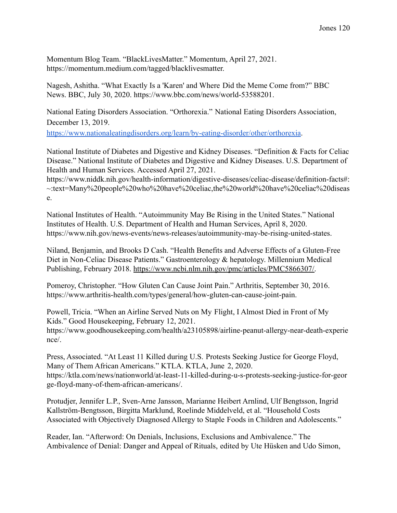Momentum Blog Team. "BlackLivesMatter." Momentum, April 27, 2021. https://momentum.medium.com/tagged/blacklivesmatter.

Nagesh, Ashitha. "What Exactly Is a 'Karen' and Where Did the Meme Come from?" BBC News. BBC, July 30, 2020. https://www.bbc.com/news/world-53588201.

National Eating Disorders Association. "Orthorexia." National Eating Disorders Association, December 13, 2019.

<https://www.nationaleatingdisorders.org/learn/by-eating-disorder/other/orthorexia>.

National Institute of Diabetes and Digestive and Kidney Diseases. "Definition & Facts for Celiac Disease." National Institute of Diabetes and Digestive and Kidney Diseases. U.S. Department of Health and Human Services. Accessed April 27, 2021.

https://www.niddk.nih.gov/health-information/digestive-diseases/celiac-disease/definition-facts#: ~:text=Many%20people%20who%20have%20celiac,the%20world%20have%20celiac%20diseas e.

National Institutes of Health. "Autoimmunity May Be Rising in the United States." National Institutes of Health. U.S. Department of Health and Human Services, April 8, 2020. https://www.nih.gov/news-events/news-releases/autoimmunity-may-be-rising-united-states.

Niland, Benjamin, and Brooks D Cash. "Health Benefits and Adverse Effects of a Gluten-Free Diet in Non-Celiac Disease Patients." Gastroenterology & hepatology. Millennium Medical Publishing, February 2018. [https://www.ncbi.nlm.nih.gov/pmc/articles/PMC5866307/.](https://www.ncbi.nlm.nih.gov/pmc/articles/PMC5866307/)

Pomeroy, Christopher. "How Gluten Can Cause Joint Pain." Arthritis, September 30, 2016. https://www.arthritis-health.com/types/general/how-gluten-can-cause-joint-pain.

Powell, Tricia. "When an Airline Served Nuts on My Flight, I Almost Died in Front of My Kids." Good Housekeeping, February 12, 2021. https://www.goodhousekeeping.com/health/a23105898/airline-peanut-allergy-near-death-experie nce/.

Press, Associated. "At Least 11 Killed during U.S. Protests Seeking Justice for George Floyd, Many of Them African Americans." KTLA. KTLA, June 2, 2020. https://ktla.com/news/nationworld/at-least-11-killed-during-u-s-protests-seeking-justice-for-geor ge-floyd-many-of-them-african-americans/.

Protudjer, Jennifer L.P., Sven-Arne Jansson, Marianne Heibert Arnlind, Ulf Bengtsson, Ingrid Kallström-Bengtsson, Birgitta Marklund, Roelinde Middelveld, et al. "Household Costs Associated with Objectively Diagnosed Allergy to Staple Foods in Children and Adolescents."

Reader, Ian. "Afterword: On Denials, Inclusions, Exclusions and Ambivalence." The Ambivalence of Denial: Danger and Appeal of Rituals, edited by Ute Hüsken and Udo Simon,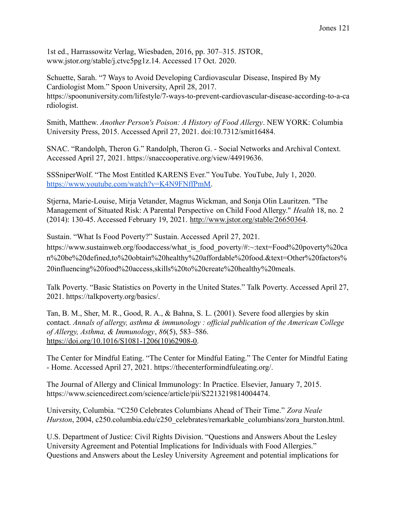1st ed., Harrassowitz Verlag, Wiesbaden, 2016, pp. 307–315. JSTOR, www.jstor.org/stable/j.ctvc5pg1z.14. Accessed 17 Oct. 2020.

Schuette, Sarah. "7 Ways to Avoid Developing Cardiovascular Disease, Inspired By My Cardiologist Mom." Spoon University, April 28, 2017. https://spoonuniversity.com/lifestyle/7-ways-to-prevent-cardiovascular-disease-according-to-a-ca rdiologist.

Smith, Matthew. *Another Person's Poison: A History of Food Allergy*. NEW YORK: Columbia University Press, 2015. Accessed April 27, 2021. doi:10.7312/smit16484.

SNAC. "Randolph, Theron G." Randolph, Theron G. - Social Networks and Archival Context. Accessed April 27, 2021. https://snaccooperative.org/view/44919636.

SSSniperWolf. "The Most Entitled KARENS Ever." YouTube. YouTube, July 1, 2020. <https://www.youtube.com/watch?v=K4N9FNffPmM>.

Stjerna, Marie-Louise, Mirja Vetander, Magnus Wickman, and Sonja Olin Lauritzen. "The Management of Situated Risk: A Parental Perspective on Child Food Allergy." *Health* 18, no. 2 (2014): 130-45. Accessed February 19, 2021. [http://www.jstor.org/stable/26650364.](http://www.jstor.org/stable/26650364)

Sustain. "What Is Food Poverty?" Sustain. Accessed April 27, 2021.

https://www.sustainweb.org/foodaccess/what\_is\_food\_poverty/#:~:text=Food%20poverty%20ca n%20be%20defined,to%20obtain%20healthy%20affordable%20food.&text=Other%20factors% 20influencing%20food%20access,skills%20to%20create%20healthy%20meals.

Talk Poverty. "Basic Statistics on Poverty in the United States." Talk Poverty. Accessed April 27, 2021. https://talkpoverty.org/basics/.

Tan, B. M., Sher, M. R., Good, R. A., & Bahna, S. L. (2001). Severe food allergies by skin contact. *Annals of allergy, asthma & immunology : official publication of the American College of Allergy, Asthma, & Immunology*, *86*(5), 583–586. [https://doi.org/10.1016/S1081-1206\(10\)62908-0.](https://doi.org/10.1016/S1081-1206(10)62908-0)

The Center for Mindful Eating. "The Center for Mindful Eating." The Center for Mindful Eating - Home. Accessed April 27, 2021. https://thecenterformindfuleating.org/.

The Journal of Allergy and Clinical Immunology: In Practice. Elsevier, January 7, 2015. https://www.sciencedirect.com/science/article/pii/S2213219814004474.

University, Columbia. "C250 Celebrates Columbians Ahead of Their Time." *Zora Neale Hurston*, 2004, c250.columbia.edu/c250\_celebrates/remarkable\_columbians/zora\_hurston.html.

U.S. Department of Justice: Civil Rights Division. "Questions and Answers About the Lesley University Agreement and Potential Implications for Individuals with Food Allergies." Questions and Answers about the Lesley University Agreement and potential implications for